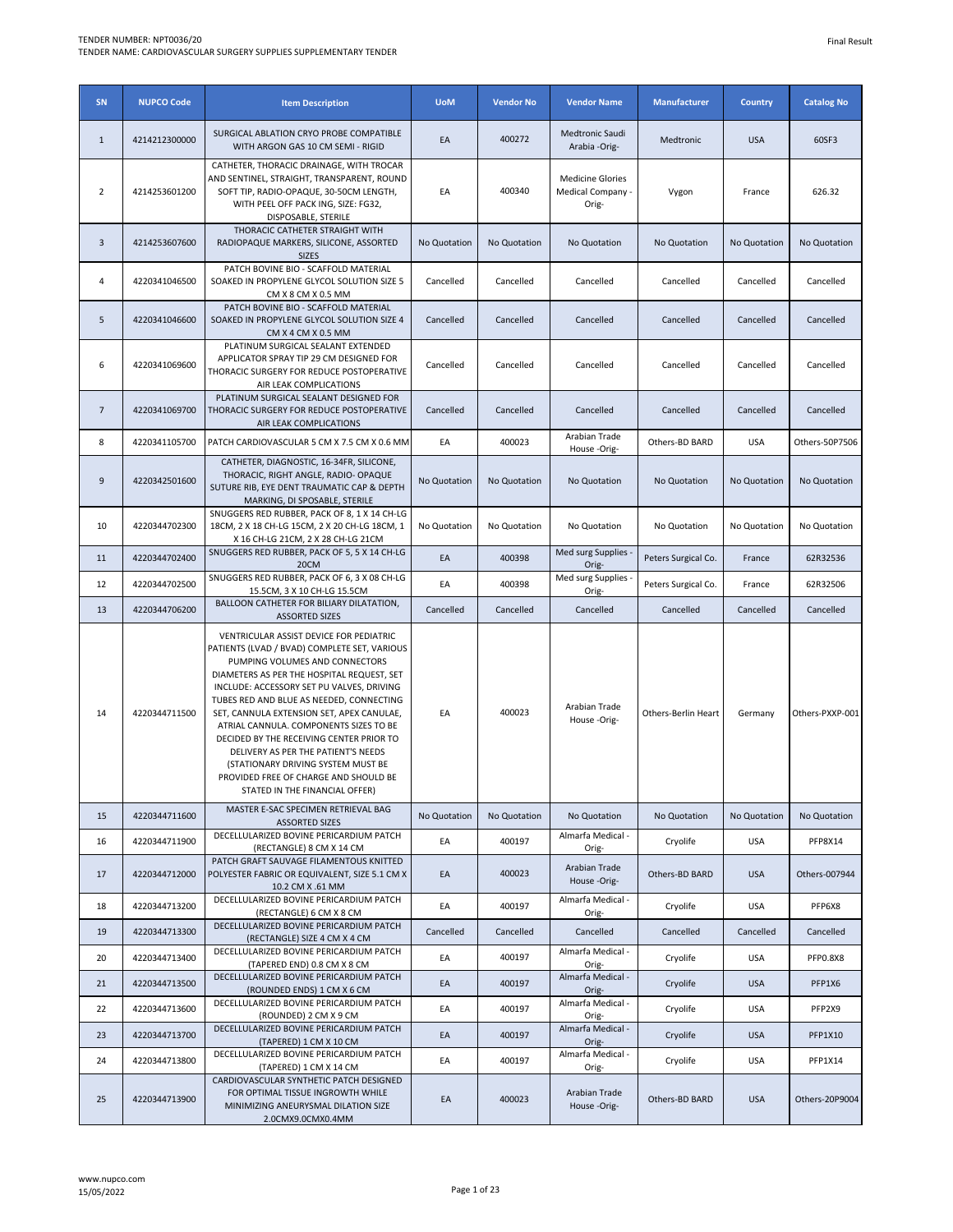| SN             | <b>NUPCO Code</b> | <b>Item Description</b>                                                                                                                                                                                                                                                                                                                                                                                                                                                                                                                                     | <b>UoM</b>   | <b>Vendor No</b> | <b>Vendor Name</b>                                    | <b>Manufacturer</b> | <b>Country</b> | <b>Catalog No</b> |
|----------------|-------------------|-------------------------------------------------------------------------------------------------------------------------------------------------------------------------------------------------------------------------------------------------------------------------------------------------------------------------------------------------------------------------------------------------------------------------------------------------------------------------------------------------------------------------------------------------------------|--------------|------------------|-------------------------------------------------------|---------------------|----------------|-------------------|
| $\mathbf{1}$   | 4214212300000     | SURGICAL ABLATION CRYO PROBE COMPATIBLE<br>WITH ARGON GAS 10 CM SEMI - RIGID                                                                                                                                                                                                                                                                                                                                                                                                                                                                                | EA           | 400272           | <b>Medtronic Saudi</b><br>Arabia -Orig-               | Medtronic           | <b>USA</b>     | 60SF3             |
| $\overline{2}$ | 4214253601200     | CATHETER, THORACIC DRAINAGE, WITH TROCAR<br>AND SENTINEL, STRAIGHT, TRANSPARENT, ROUND<br>SOFT TIP, RADIO-OPAQUE, 30-50CM LENGTH,<br>WITH PEEL OFF PACK ING, SIZE: FG32,<br>DISPOSABLE, STERILE                                                                                                                                                                                                                                                                                                                                                             | EA           | 400340           | <b>Medicine Glories</b><br>Medical Company -<br>Orig- | Vygon               | France         | 626.32            |
| 3              | 4214253607600     | THORACIC CATHETER STRAIGHT WITH<br>RADIOPAQUE MARKERS, SILICONE, ASSORTED<br><b>SIZES</b>                                                                                                                                                                                                                                                                                                                                                                                                                                                                   | No Quotation | No Quotation     | No Quotation                                          | No Quotation        | No Quotation   | No Quotation      |
| 4              | 4220341046500     | PATCH BOVINE BIO - SCAFFOLD MATERIAL<br>SOAKED IN PROPYLENE GLYCOL SOLUTION SIZE 5<br>CM X 8 CM X 0.5 MM                                                                                                                                                                                                                                                                                                                                                                                                                                                    | Cancelled    | Cancelled        | Cancelled                                             | Cancelled           | Cancelled      | Cancelled         |
| 5              | 4220341046600     | PATCH BOVINE BIO - SCAFFOLD MATERIAL<br>SOAKED IN PROPYLENE GLYCOL SOLUTION SIZE 4<br>CM X 4 CM X 0.5 MM                                                                                                                                                                                                                                                                                                                                                                                                                                                    | Cancelled    | Cancelled        | Cancelled                                             | Cancelled           | Cancelled      | Cancelled         |
| 6              | 4220341069600     | PLATINUM SURGICAL SEALANT EXTENDED<br>APPLICATOR SPRAY TIP 29 CM DESIGNED FOR<br>THORACIC SURGERY FOR REDUCE POSTOPERATIVE<br>AIR LEAK COMPLICATIONS                                                                                                                                                                                                                                                                                                                                                                                                        | Cancelled    | Cancelled        | Cancelled                                             | Cancelled           | Cancelled      | Cancelled         |
| $\overline{7}$ | 4220341069700     | PLATINUM SURGICAL SEALANT DESIGNED FOR<br>THORACIC SURGERY FOR REDUCE POSTOPERATIVE<br>AIR LEAK COMPLICATIONS                                                                                                                                                                                                                                                                                                                                                                                                                                               | Cancelled    | Cancelled        | Cancelled                                             | Cancelled           | Cancelled      | Cancelled         |
| 8              | 4220341105700     | PATCH CARDIOVASCULAR 5 CM X 7.5 CM X 0.6 MM                                                                                                                                                                                                                                                                                                                                                                                                                                                                                                                 | EA           | 400023           | Arabian Trade<br>House -Orig-                         | Others-BD BARD      | <b>USA</b>     | Others-50P7506    |
| 9              | 4220342501600     | CATHETER, DIAGNOSTIC, 16-34FR, SILICONE,<br>THORACIC, RIGHT ANGLE, RADIO- OPAQUE<br>SUTURE RIB, EYE DENT TRAUMATIC CAP & DEPTH<br>MARKING, DI SPOSABLE, STERILE                                                                                                                                                                                                                                                                                                                                                                                             | No Quotation | No Quotation     | No Quotation                                          | No Quotation        | No Quotation   | No Quotation      |
| 10             | 4220344702300     | SNUGGERS RED RUBBER, PACK OF 8, 1 X 14 CH-LG<br>18CM, 2 X 18 CH-LG 15CM, 2 X 20 CH-LG 18CM, 1<br>X 16 CH-LG 21CM, 2 X 28 CH-LG 21CM                                                                                                                                                                                                                                                                                                                                                                                                                         | No Quotation | No Quotation     | No Quotation                                          | No Quotation        | No Quotation   | No Quotation      |
| 11             | 4220344702400     | SNUGGERS RED RUBBER, PACK OF 5, 5 X 14 CH-LG<br>20CM                                                                                                                                                                                                                                                                                                                                                                                                                                                                                                        | EA           | 400398           | Med surg Supplies -<br>Orig-                          | Peters Surgical Co. | France         | 62R32536          |
| 12             | 4220344702500     | SNUGGERS RED RUBBER, PACK OF 6, 3 X 08 CH-LG<br>15.5CM, 3 X 10 CH-LG 15.5CM                                                                                                                                                                                                                                                                                                                                                                                                                                                                                 | EA           | 400398           | Med surg Supplies -<br>Orig-                          | Peters Surgical Co. | France         | 62R32506          |
| 13             | 4220344706200     | BALLOON CATHETER FOR BILIARY DILATATION,<br><b>ASSORTED SIZES</b>                                                                                                                                                                                                                                                                                                                                                                                                                                                                                           | Cancelled    | Cancelled        | Cancelled                                             | Cancelled           | Cancelled      | Cancelled         |
| 14             | 4220344711500     | VENTRICULAR ASSIST DEVICE FOR PEDIATRIC<br>PATIENTS (LVAD / BVAD) COMPLETE SET, VARIOUS<br>PUMPING VOLUMES AND CONNECTORS<br>DIAMETERS AS PER THE HOSPITAL REQUEST, SET<br>INCLUDE: ACCESSORY SET PU VALVES, DRIVING<br>TUBES RED AND BLUE AS NEEDED, CONNECTING<br>SET, CANNULA EXTENSION SET, APEX CANULAE,<br>ATRIAL CANNULA. COMPONENTS SIZES TO BE<br>DECIDED BY THE RECEIVING CENTER PRIOR TO<br>DELIVERY AS PER THE PATIENT'S NEEDS<br>(STATIONARY DRIVING SYSTEM MUST BE<br>PROVIDED FREE OF CHARGE AND SHOULD BE<br>STATED IN THE FINANCIAL OFFER) | EA           | 400023           | Arabian Trade<br>House-Orig-                          | Others-Berlin Heart | Germany        | Others-PXXP-001   |
| 15             | 4220344711600     | MASTER E-SAC SPECIMEN RETRIEVAL BAG<br><b>ASSORTED SIZES</b>                                                                                                                                                                                                                                                                                                                                                                                                                                                                                                | No Quotation | No Quotation     | No Quotation                                          | No Quotation        | No Quotation   | No Quotation      |
| 16             | 4220344711900     | DECELLULARIZED BOVINE PERICARDIUM PATCH<br>(RECTANGLE) 8 CM X 14 CM                                                                                                                                                                                                                                                                                                                                                                                                                                                                                         | EA           | 400197           | Almarfa Medical -<br>Orig-                            | Cryolife            | <b>USA</b>     | PFP8X14           |
| 17             | 4220344712000     | PATCH GRAFT SAUVAGE FILAMENTOUS KNITTED<br>POLYESTER FABRIC OR EQUIVALENT, SIZE 5.1 CM X<br>10.2 CM X .61 MM                                                                                                                                                                                                                                                                                                                                                                                                                                                | EA           | 400023           | Arabian Trade<br>House-Orig-                          | Others-BD BARD      | <b>USA</b>     | Others-007944     |
| 18             | 4220344713200     | DECELLULARIZED BOVINE PERICARDIUM PATCH<br>(RECTANGLE) 6 CM X 8 CM                                                                                                                                                                                                                                                                                                                                                                                                                                                                                          | EA           | 400197           | Almarfa Medical -<br>Orig-                            | Cryolife            | <b>USA</b>     | PFP6X8            |
| 19             | 4220344713300     | DECELLULARIZED BOVINE PERICARDIUM PATCH<br>(RECTANGLE) SIZE 4 CM X 4 CM                                                                                                                                                                                                                                                                                                                                                                                                                                                                                     | Cancelled    | Cancelled        | Cancelled                                             | Cancelled           | Cancelled      | Cancelled         |
| 20             | 4220344713400     | DECELLULARIZED BOVINE PERICARDIUM PATCH<br>(TAPERED END) 0.8 CM X 8 CM                                                                                                                                                                                                                                                                                                                                                                                                                                                                                      | EA           | 400197           | Almarfa Medical -<br>Orig-                            | Cryolife            | <b>USA</b>     | PFP0.8X8          |
| 21             | 4220344713500     | DECELLULARIZED BOVINE PERICARDIUM PATCH<br>(ROUNDED ENDS) 1 CM X 6 CM                                                                                                                                                                                                                                                                                                                                                                                                                                                                                       | EA           | 400197           | Almarfa Medical -<br>Orig-                            | Cryolife            | <b>USA</b>     | PFP1X6            |
| 22             | 4220344713600     | DECELLULARIZED BOVINE PERICARDIUM PATCH<br>(ROUNDED) 2 CM X 9 CM                                                                                                                                                                                                                                                                                                                                                                                                                                                                                            | EA           | 400197           | Almarfa Medical -<br>Orig-                            | Cryolife            | <b>USA</b>     | PFP2X9            |
| 23             | 4220344713700     | DECELLULARIZED BOVINE PERICARDIUM PATCH<br>(TAPERED) 1 CM X 10 CM                                                                                                                                                                                                                                                                                                                                                                                                                                                                                           | EA           | 400197           | Almarfa Medical -<br>Orig-                            | Cryolife            | <b>USA</b>     | PFP1X10           |
| 24             | 4220344713800     | DECELLULARIZED BOVINE PERICARDIUM PATCH<br>(TAPERED) 1 CM X 14 CM                                                                                                                                                                                                                                                                                                                                                                                                                                                                                           | EA           | 400197           | Almarfa Medical -<br>Orig-                            | Cryolife            | <b>USA</b>     | PFP1X14           |
| 25             | 4220344713900     | CARDIOVASCULAR SYNTHETIC PATCH DESIGNED<br>FOR OPTIMAL TISSUE INGROWTH WHILE<br>MINIMIZING ANEURYSMAL DILATION SIZE<br>2.0CMX9.0CMX0.4MM                                                                                                                                                                                                                                                                                                                                                                                                                    | EA           | 400023           | Arabian Trade<br>House-Orig-                          | Others-BD BARD      | <b>USA</b>     | Others-20P9004    |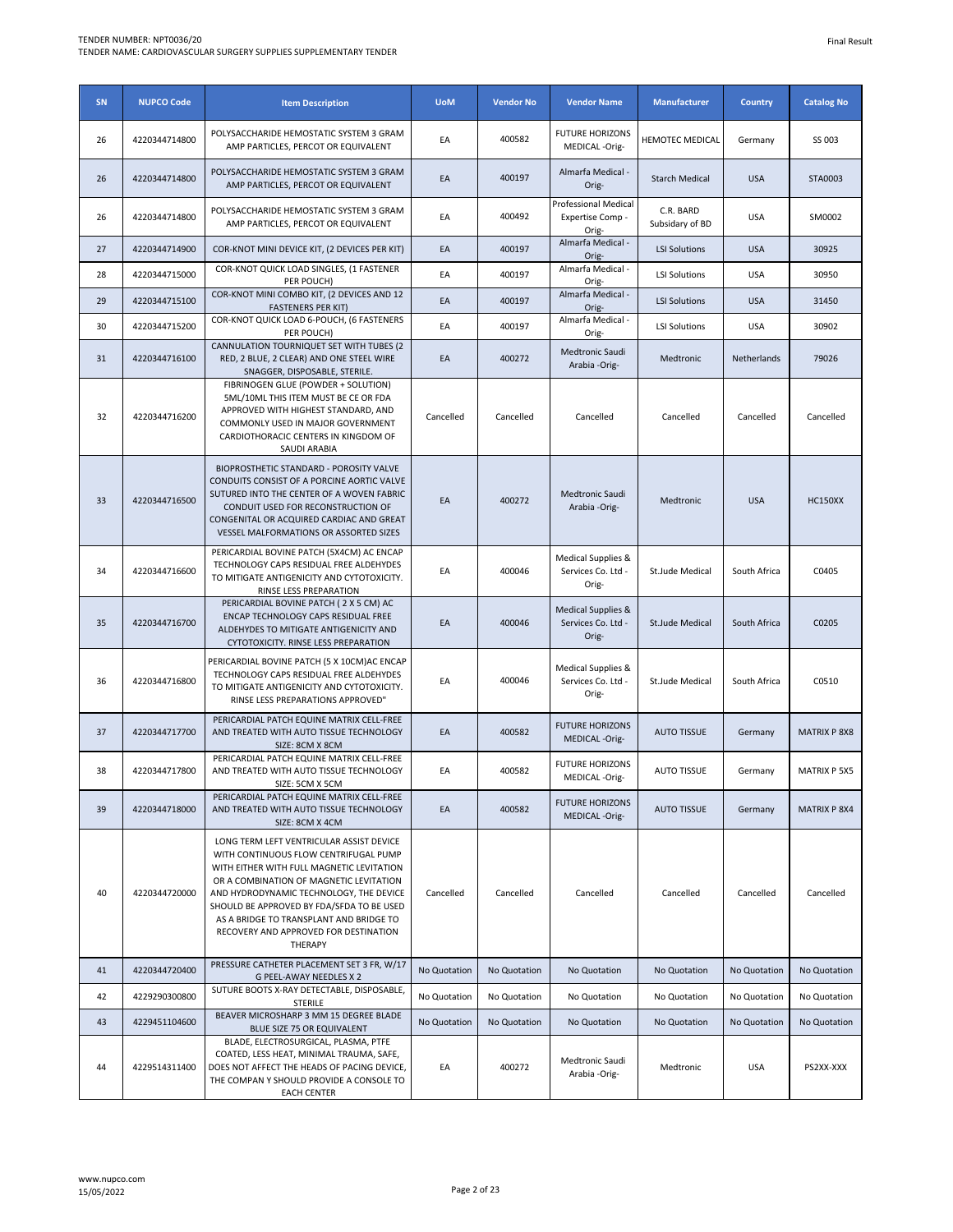| SN | <b>NUPCO Code</b> | <b>Item Description</b>                                                                                                                                                                                                                                                                                                                                          | <b>UoM</b>   | <b>Vendor No</b> | <b>Vendor Name</b>                                | <b>Manufacturer</b>          | <b>Country</b> | <b>Catalog No</b>   |
|----|-------------------|------------------------------------------------------------------------------------------------------------------------------------------------------------------------------------------------------------------------------------------------------------------------------------------------------------------------------------------------------------------|--------------|------------------|---------------------------------------------------|------------------------------|----------------|---------------------|
| 26 | 4220344714800     | POLYSACCHARIDE HEMOSTATIC SYSTEM 3 GRAM<br>AMP PARTICLES, PERCOT OR EQUIVALENT                                                                                                                                                                                                                                                                                   | EA           | 400582           | <b>FUTURE HORIZONS</b><br>MEDICAL -Orig-          | <b>HEMOTEC MEDICAL</b>       | Germany        | SS 003              |
| 26 | 4220344714800     | POLYSACCHARIDE HEMOSTATIC SYSTEM 3 GRAM<br>AMP PARTICLES, PERCOT OR EQUIVALENT                                                                                                                                                                                                                                                                                   | EA           | 400197           | Almarfa Medical -<br>Orig-                        | <b>Starch Medical</b>        | <b>USA</b>     | STA0003             |
| 26 | 4220344714800     | POLYSACCHARIDE HEMOSTATIC SYSTEM 3 GRAM<br>AMP PARTICLES, PERCOT OR EQUIVALENT                                                                                                                                                                                                                                                                                   | EA           | 400492           | Professional Medical<br>Expertise Comp -<br>Orig- | C.R. BARD<br>Subsidary of BD | <b>USA</b>     | SM0002              |
| 27 | 4220344714900     | COR-KNOT MINI DEVICE KIT, (2 DEVICES PER KIT)                                                                                                                                                                                                                                                                                                                    | EA           | 400197           | Almarfa Medical -<br>Orig-                        | <b>LSI Solutions</b>         | <b>USA</b>     | 30925               |
| 28 | 4220344715000     | COR-KNOT QUICK LOAD SINGLES, (1 FASTENER<br>PER POUCH)                                                                                                                                                                                                                                                                                                           | EA           | 400197           | Almarfa Medical -<br>Orig-                        | <b>LSI Solutions</b>         | <b>USA</b>     | 30950               |
| 29 | 4220344715100     | COR-KNOT MINI COMBO KIT, (2 DEVICES AND 12<br><b>FASTENERS PER KIT)</b>                                                                                                                                                                                                                                                                                          | EA           | 400197           | Almarfa Medical -<br>Orig-                        | <b>LSI Solutions</b>         | <b>USA</b>     | 31450               |
| 30 | 4220344715200     | COR-KNOT QUICK LOAD 6-POUCH, (6 FASTENERS<br>PER POUCH)                                                                                                                                                                                                                                                                                                          | EA           | 400197           | Almarfa Medical -<br>Orig-                        | <b>LSI Solutions</b>         | <b>USA</b>     | 30902               |
| 31 | 4220344716100     | CANNULATION TOURNIQUET SET WITH TUBES (2<br>RED, 2 BLUE, 2 CLEAR) AND ONE STEEL WIRE<br>SNAGGER, DISPOSABLE, STERILE.                                                                                                                                                                                                                                            | EA           | 400272           | Medtronic Saudi<br>Arabia -Orig-                  | Medtronic                    | Netherlands    | 79026               |
| 32 | 4220344716200     | FIBRINOGEN GLUE (POWDER + SOLUTION)<br>5ML/10ML THIS ITEM MUST BE CE OR FDA<br>APPROVED WITH HIGHEST STANDARD, AND<br>COMMONLY USED IN MAJOR GOVERNMENT<br>CARDIOTHORACIC CENTERS IN KINGDOM OF<br>SAUDI ARABIA                                                                                                                                                  | Cancelled    | Cancelled        | Cancelled                                         | Cancelled                    | Cancelled      | Cancelled           |
| 33 | 4220344716500     | BIOPROSTHETIC STANDARD - POROSITY VALVE<br>CONDUITS CONSIST OF A PORCINE AORTIC VALVE<br>SUTURED INTO THE CENTER OF A WOVEN FABRIC<br>CONDUIT USED FOR RECONSTRUCTION OF<br>CONGENITAL OR ACQUIRED CARDIAC AND GREAT<br>VESSEL MALFORMATIONS OR ASSORTED SIZES                                                                                                   | EA           | 400272           | Medtronic Saudi<br>Arabia -Orig-                  | Medtronic                    | <b>USA</b>     | <b>HC150XX</b>      |
| 34 | 4220344716600     | PERICARDIAL BOVINE PATCH (5X4CM) AC ENCAP<br>TECHNOLOGY CAPS RESIDUAL FREE ALDEHYDES<br>TO MITIGATE ANTIGENICITY AND CYTOTOXICITY.<br>RINSE LESS PREPARATION                                                                                                                                                                                                     | EA           | 400046           | Medical Supplies &<br>Services Co. Ltd -<br>Orig- | St.Jude Medical              | South Africa   | C0405               |
| 35 | 4220344716700     | PERICARDIAL BOVINE PATCH (2X5 CM) AC<br>ENCAP TECHNOLOGY CAPS RESIDUAL FREE<br>ALDEHYDES TO MITIGATE ANTIGENICITY AND<br>CYTOTOXICITY. RINSE LESS PREPARATION                                                                                                                                                                                                    | EA           | 400046           | Medical Supplies &<br>Services Co. Ltd -<br>Orig- | St.Jude Medical              | South Africa   | C0205               |
| 36 | 4220344716800     | PERICARDIAL BOVINE PATCH (5 X 10CM)AC ENCAP<br>TECHNOLOGY CAPS RESIDUAL FREE ALDEHYDES<br>TO MITIGATE ANTIGENICITY AND CYTOTOXICITY.<br>RINSE LESS PREPARATIONS APPROVED"                                                                                                                                                                                        | EA           | 400046           | Medical Supplies &<br>Services Co. Ltd -<br>Orig- | St.Jude Medical              | South Africa   | C0510               |
| 37 | 4220344717700     | PERICARDIAL PATCH EQUINE MATRIX CELL-FREE<br>AND TREATED WITH AUTO TISSUE TECHNOLOGY<br>SIZE: 8CM X 8CM                                                                                                                                                                                                                                                          | EA           | 400582           | <b>FUTURE HORIZONS</b><br>MEDICAL -Orig-          | <b>AUTO TISSUE</b>           | Germany        | <b>MATRIX P 8X8</b> |
| 38 | 4220344717800     | PERICARDIAL PATCH EQUINE MATRIX CELL-FREE<br>AND TREATED WITH AUTO TISSUE TECHNOLOGY<br>SIZE: 5CM X 5CM                                                                                                                                                                                                                                                          | EA           | 400582           | <b>FUTURE HORIZONS</b><br>MEDICAL -Orig-          | <b>AUTO TISSUE</b>           | Germany        | MATRIX P 5X5        |
| 39 | 4220344718000     | PERICARDIAL PATCH EQUINE MATRIX CELL-FREE<br>AND TREATED WITH AUTO TISSUE TECHNOLOGY<br>SIZE: 8CM X 4CM                                                                                                                                                                                                                                                          | EA           | 400582           | <b>FUTURE HORIZONS</b><br>MEDICAL -Orig-          | <b>AUTO TISSUE</b>           | Germany        | <b>MATRIX P 8X4</b> |
| 40 | 4220344720000     | LONG TERM LEFT VENTRICULAR ASSIST DEVICE<br>WITH CONTINUOUS FLOW CENTRIFUGAL PUMP<br>WITH EITHER WITH FULL MAGNETIC LEVITATION<br>OR A COMBINATION OF MAGNETIC LEVITATION<br>AND HYDRODYNAMIC TECHNOLOGY, THE DEVICE<br>SHOULD BE APPROVED BY FDA/SFDA TO BE USED<br>AS A BRIDGE TO TRANSPLANT AND BRIDGE TO<br>RECOVERY AND APPROVED FOR DESTINATION<br>THERAPY | Cancelled    | Cancelled        | Cancelled                                         | Cancelled                    | Cancelled      | Cancelled           |
| 41 | 4220344720400     | PRESSURE CATHETER PLACEMENT SET 3 FR, W/17<br>G PEEL-AWAY NEEDLES X 2                                                                                                                                                                                                                                                                                            | No Quotation | No Quotation     | No Quotation                                      | No Quotation                 | No Quotation   | No Quotation        |
| 42 | 4229290300800     | SUTURE BOOTS X-RAY DETECTABLE, DISPOSABLE,<br><b>STERILE</b>                                                                                                                                                                                                                                                                                                     | No Quotation | No Quotation     | No Quotation                                      | No Quotation                 | No Quotation   | No Quotation        |
| 43 | 4229451104600     | BEAVER MICROSHARP 3 MM 15 DEGREE BLADE<br>BLUE SIZE 75 OR EQUIVALENT                                                                                                                                                                                                                                                                                             | No Quotation | No Quotation     | No Quotation                                      | No Quotation                 | No Quotation   | No Quotation        |
| 44 | 4229514311400     | BLADE, ELECTROSURGICAL, PLASMA, PTFE<br>COATED, LESS HEAT, MINIMAL TRAUMA, SAFE,<br>DOES NOT AFFECT THE HEADS OF PACING DEVICE,<br>THE COMPAN Y SHOULD PROVIDE A CONSOLE TO<br><b>EACH CENTER</b>                                                                                                                                                                | EA           | 400272           | Medtronic Saudi<br>Arabia -Orig-                  | Medtronic                    | <b>USA</b>     | PS2XX-XXX           |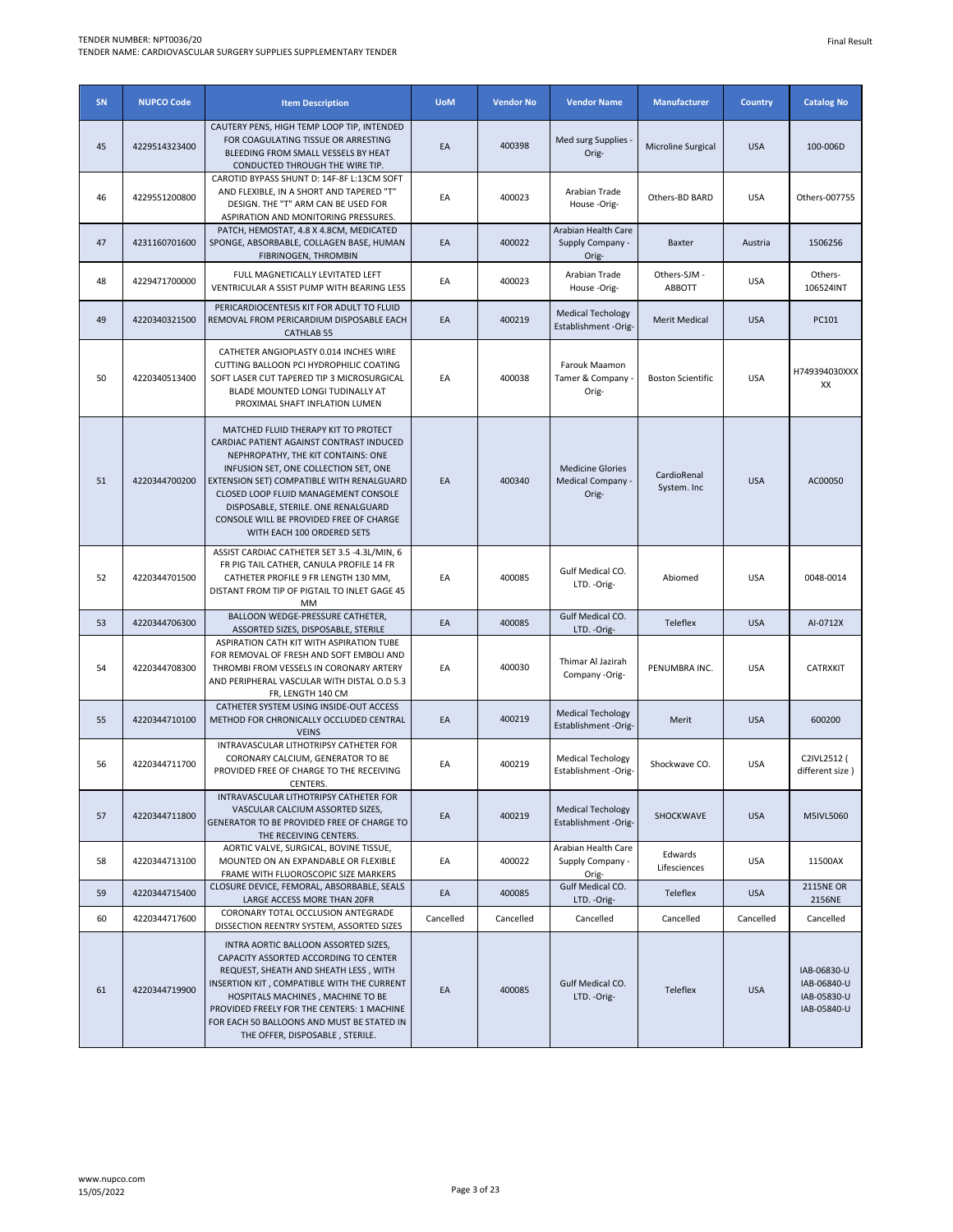| SN | <b>NUPCO Code</b> | <b>Item Description</b>                                                                                                                                                                                                                                                                                                                                              | <b>UoM</b> | <b>Vendor No</b> | <b>Vendor Name</b>                                    | <b>Manufacturer</b>           | <b>Country</b> | <b>Catalog No</b>                                        |
|----|-------------------|----------------------------------------------------------------------------------------------------------------------------------------------------------------------------------------------------------------------------------------------------------------------------------------------------------------------------------------------------------------------|------------|------------------|-------------------------------------------------------|-------------------------------|----------------|----------------------------------------------------------|
| 45 | 4229514323400     | CAUTERY PENS, HIGH TEMP LOOP TIP, INTENDED<br>FOR COAGULATING TISSUE OR ARRESTING<br>BLEEDING FROM SMALL VESSELS BY HEAT<br>CONDUCTED THROUGH THE WIRE TIP.                                                                                                                                                                                                          | EA         | 400398           | Med surg Supplies<br>Orig-                            | Microline Surgical            | <b>USA</b>     | 100-006D                                                 |
| 46 | 4229551200800     | CAROTID BYPASS SHUNT D: 14F-8F L:13CM SOFT<br>AND FLEXIBLE, IN A SHORT AND TAPERED "T"<br>DESIGN. THE "T" ARM CAN BE USED FOR<br>ASPIRATION AND MONITORING PRESSURES.                                                                                                                                                                                                | EA         | 400023           | Arabian Trade<br>House -Orig-                         | Others-BD BARD                | <b>USA</b>     | Others-007755                                            |
| 47 | 4231160701600     | PATCH, HEMOSTAT, 4.8 X 4.8CM, MEDICATED<br>SPONGE, ABSORBABLE, COLLAGEN BASE, HUMAN<br>FIBRINOGEN, THROMBIN                                                                                                                                                                                                                                                          | EA         | 400022           | Arabian Health Care<br>Supply Company -<br>Orig-      | Baxter                        | Austria        | 1506256                                                  |
| 48 | 4229471700000     | FULL MAGNETICALLY LEVITATED LEFT<br>VENTRICULAR A SSIST PUMP WITH BEARING LESS                                                                                                                                                                                                                                                                                       | EA         | 400023           | Arabian Trade<br>House-Orig-                          | Others-SJM -<br><b>ABBOTT</b> | <b>USA</b>     | Others-<br>106524INT                                     |
| 49 | 4220340321500     | PERICARDIOCENTESIS KIT FOR ADULT TO FLUID<br>REMOVAL FROM PERICARDIUM DISPOSABLE EACH<br><b>CATHLAB 55</b>                                                                                                                                                                                                                                                           | EA         | 400219           | <b>Medical Techology</b><br>Establishment -Orig-      | <b>Merit Medical</b>          | <b>USA</b>     | PC101                                                    |
| 50 | 4220340513400     | CATHETER ANGIOPLASTY 0.014 INCHES WIRE<br>CUTTING BALLOON PCI HYDROPHILIC COATING<br>SOFT LASER CUT TAPERED TIP 3 MICROSURGICAL<br>BLADE MOUNTED LONGI TUDINALLY AT<br>PROXIMAL SHAFT INFLATION LUMEN                                                                                                                                                                | EA         | 400038           | Farouk Maamon<br>Tamer & Company<br>Orig-             | <b>Boston Scientific</b>      | <b>USA</b>     | H749394030XXX<br>XX                                      |
| 51 | 4220344700200     | MATCHED FLUID THERAPY KIT TO PROTECT<br>CARDIAC PATIENT AGAINST CONTRAST INDUCED<br>NEPHROPATHY. THE KIT CONTAINS: ONE<br>INFUSION SET, ONE COLLECTION SET, ONE<br>EXTENSION SET) COMPATIBLE WITH RENALGUARD<br>CLOSED LOOP FLUID MANAGEMENT CONSOLE<br>DISPOSABLE, STERILE. ONE RENALGUARD<br>CONSOLE WILL BE PROVIDED FREE OF CHARGE<br>WITH EACH 100 ORDERED SETS | EA         | 400340           | <b>Medicine Glories</b><br>Medical Company -<br>Orig- | CardioRenal<br>System. Inc    | <b>USA</b>     | AC00050                                                  |
| 52 | 4220344701500     | ASSIST CARDIAC CATHETER SET 3.5 -4.3L/MIN, 6<br>FR PIG TAIL CATHER, CANULA PROFILE 14 FR<br>CATHETER PROFILE 9 FR LENGTH 130 MM,<br>DISTANT FROM TIP OF PIGTAIL TO INLET GAGE 45<br>MM                                                                                                                                                                               | EA         | 400085           | Gulf Medical CO.<br>LTD. - Orig-                      | Abiomed                       | <b>USA</b>     | 0048-0014                                                |
| 53 | 4220344706300     | BALLOON WEDGE-PRESSURE CATHETER,<br>ASSORTED SIZES, DISPOSABLE, STERILE                                                                                                                                                                                                                                                                                              | EA         | 400085           | Gulf Medical CO.<br>LTD. - Orig-                      | Teleflex                      | <b>USA</b>     | AI-0712X                                                 |
| 54 | 4220344708300     | ASPIRATION CATH KIT WITH ASPIRATION TUBE<br>FOR REMOVAL OF FRESH AND SOFT EMBOLI AND<br>THROMBI FROM VESSELS IN CORONARY ARTERY<br>AND PERIPHERAL VASCULAR WITH DISTAL O.D 5.3<br>FR, LENGTH 140 CM                                                                                                                                                                  | EA         | 400030           | Thimar Al Jazirah<br>Company -Orig-                   | PENUMBRA INC.                 | <b>USA</b>     | <b>CATRXKIT</b>                                          |
| 55 | 4220344710100     | CATHETER SYSTEM USING INSIDE-OUT ACCESS<br>METHOD FOR CHRONICALLY OCCLUDED CENTRAL<br><b>VEINS</b>                                                                                                                                                                                                                                                                   | EA         | 400219           | <b>Medical Techology</b><br>Establishment -Orig-      | Merit                         | <b>USA</b>     | 600200                                                   |
| 56 | 4220344711700     | INTRAVASCULAR LITHOTRIPSY CATHETER FOR<br>CORONARY CALCIUM, GENERATOR TO BE<br>PROVIDED FREE OF CHARGE TO THE RECEIVING<br>CENTERS.                                                                                                                                                                                                                                  | EA         | 400219           | <b>Medical Techology</b><br>Establishment -Orig-      | Shockwave CO.                 | <b>USA</b>     | C2IVL2512 (<br>different size)                           |
| 57 | 4220344711800     | INTRAVASCULAR LITHOTRIPSY CATHETER FOR<br>VASCULAR CALCIUM ASSORTED SIZES,<br>GENERATOR TO BE PROVIDED FREE OF CHARGE TO<br>THE RECEIVING CENTERS.                                                                                                                                                                                                                   | EA         | 400219           | <b>Medical Techology</b><br>Establishment -Orig-      | SHOCKWAVE                     | <b>USA</b>     | M5IVL5060                                                |
| 58 | 4220344713100     | AORTIC VALVE, SURGICAL, BOVINE TISSUE,<br>MOUNTED ON AN EXPANDABLE OR FLEXIBLE<br>FRAME WITH FLUOROSCOPIC SIZE MARKERS                                                                                                                                                                                                                                               | EA         | 400022           | Arabian Health Care<br>Supply Company -<br>Orig-      | Edwards<br>Lifesciences       | <b>USA</b>     | 11500AX                                                  |
| 59 | 4220344715400     | CLOSURE DEVICE, FEMORAL, ABSORBABLE, SEALS<br>LARGE ACCESS MORE THAN 20FR                                                                                                                                                                                                                                                                                            | EA         | 400085           | Gulf Medical CO.<br>LTD. - Orig-                      | Teleflex                      | <b>USA</b>     | <b>2115NE OR</b><br>2156NE                               |
| 60 | 4220344717600     | CORONARY TOTAL OCCLUSION ANTEGRADE<br>DISSECTION REENTRY SYSTEM, ASSORTED SIZES                                                                                                                                                                                                                                                                                      | Cancelled  | Cancelled        | Cancelled                                             | Cancelled                     | Cancelled      | Cancelled                                                |
| 61 | 4220344719900     | INTRA AORTIC BALLOON ASSORTED SIZES,<br>CAPACITY ASSORTED ACCORDING TO CENTER<br>REQUEST, SHEATH AND SHEATH LESS, WITH<br>INSERTION KIT, COMPATIBLE WITH THE CURRENT<br>HOSPITALS MACHINES, MACHINE TO BE<br>PROVIDED FREELY FOR THE CENTERS: 1 MACHINE<br>FOR EACH 50 BALLOONS AND MUST BE STATED IN<br>THE OFFER, DISPOSABLE, STERILE.                             | EA         | 400085           | Gulf Medical CO.<br>LTD. - Orig-                      | Teleflex                      | <b>USA</b>     | IAB-06830-U<br>IAB-06840-U<br>IAB-05830-U<br>IAB-05840-U |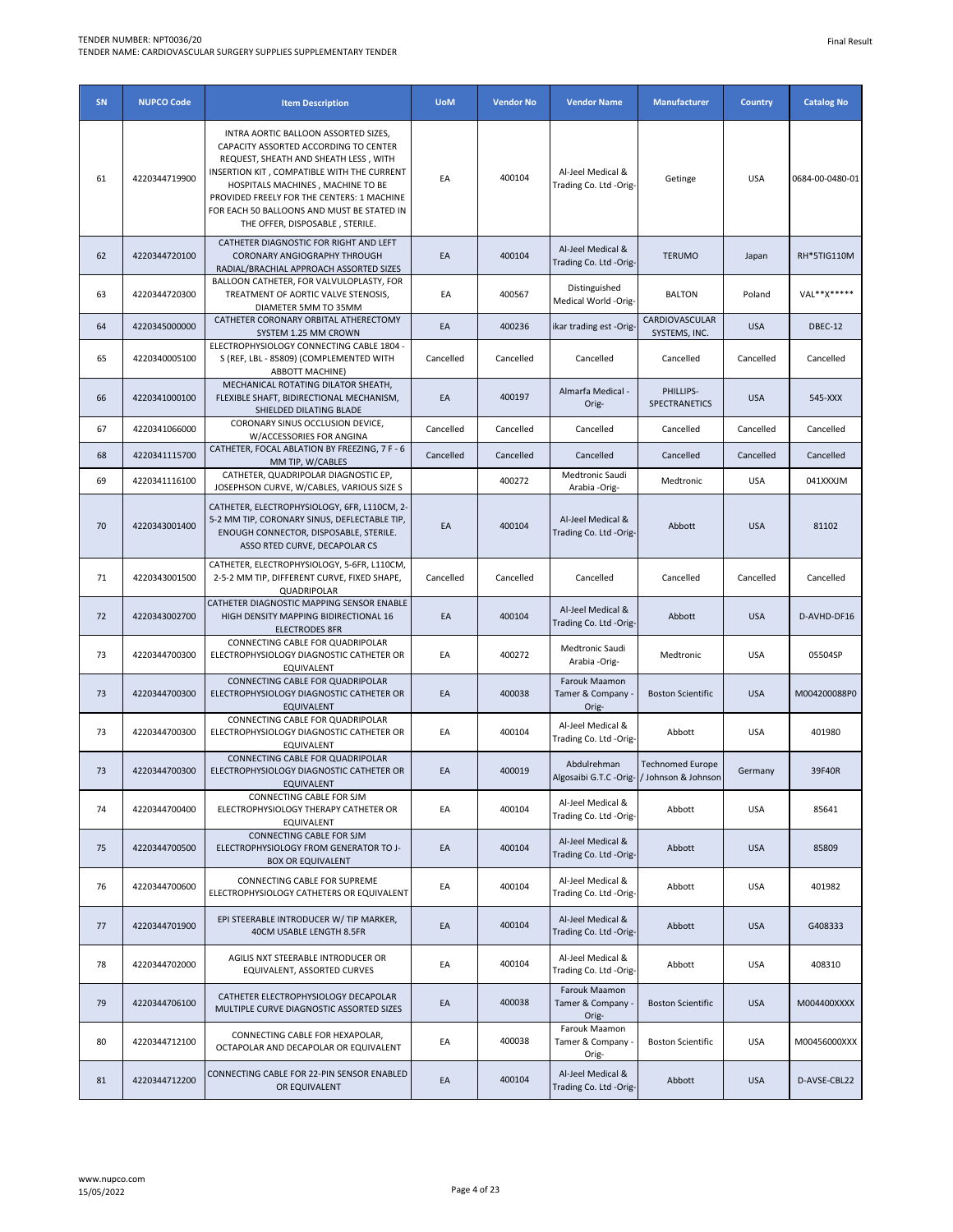| SN | <b>NUPCO Code</b> | <b>Item Description</b>                                                                                                                                                                                                                                                                                                                  | <b>UoM</b> | <b>Vendor No</b> | <b>Vendor Name</b>                                        | <b>Manufacturer</b>             | <b>Country</b> | <b>Catalog No</b> |
|----|-------------------|------------------------------------------------------------------------------------------------------------------------------------------------------------------------------------------------------------------------------------------------------------------------------------------------------------------------------------------|------------|------------------|-----------------------------------------------------------|---------------------------------|----------------|-------------------|
| 61 | 4220344719900     | INTRA AORTIC BALLOON ASSORTED SIZES,<br>CAPACITY ASSORTED ACCORDING TO CENTER<br>REQUEST, SHEATH AND SHEATH LESS, WITH<br>INSERTION KIT, COMPATIBLE WITH THE CURRENT<br>HOSPITALS MACHINES, MACHINE TO BE<br>PROVIDED FREELY FOR THE CENTERS: 1 MACHINE<br>FOR EACH 50 BALLOONS AND MUST BE STATED IN<br>THE OFFER, DISPOSABLE, STERILE. | EA         | 400104           | Al-Jeel Medical &<br>Trading Co. Ltd -Orig-               | Getinge                         | <b>USA</b>     | 0684-00-0480-01   |
| 62 | 4220344720100     | CATHETER DIAGNOSTIC FOR RIGHT AND LEFT<br>CORONARY ANGIOGRAPHY THROUGH<br>RADIAL/BRACHIAL APPROACH ASSORTED SIZES                                                                                                                                                                                                                        | EA         | 400104           | Al-Jeel Medical &<br>Trading Co. Ltd -Orig-               | <b>TERUMO</b>                   | Japan          | RH*5TIG110M       |
| 63 | 4220344720300     | BALLOON CATHETER, FOR VALVULOPLASTY, FOR<br>TREATMENT OF AORTIC VALVE STENOSIS,<br>DIAMETER 5MM TO 35MM                                                                                                                                                                                                                                  | EA         | 400567           | Distinguished<br>Medical World -Orig-                     | <b>BALTON</b>                   | Poland         | VAL**X*****       |
| 64 | 4220345000000     | CATHETER CORONARY ORBITAL ATHERECTOMY<br>SYSTEM 1.25 MM CROWN                                                                                                                                                                                                                                                                            | EA         | 400236           | ikar trading est -Orig-                                   | CARDIOVASCULAR<br>SYSTEMS, INC. | <b>USA</b>     | DBEC-12           |
| 65 | 4220340005100     | ELECTROPHYSIOLOGY CONNECTING CABLE 1804 -<br>S (REF, LBL - 85809) (COMPLEMENTED WITH<br><b>ABBOTT MACHINE)</b>                                                                                                                                                                                                                           | Cancelled  | Cancelled        | Cancelled                                                 | Cancelled                       | Cancelled      | Cancelled         |
| 66 | 4220341000100     | MECHANICAL ROTATING DILATOR SHEATH,<br>FLEXIBLE SHAFT, BIDIRECTIONAL MECHANISM,<br>SHIELDED DILATING BLADE                                                                                                                                                                                                                               | EA         | 400197           | Almarfa Medical -<br>Orig-                                | PHILLIPS-<br>SPECTRANETICS      | <b>USA</b>     | 545-XXX           |
| 67 | 4220341066000     | CORONARY SINUS OCCLUSION DEVICE,<br>W/ACCESSORIES FOR ANGINA                                                                                                                                                                                                                                                                             | Cancelled  | Cancelled        | Cancelled                                                 | Cancelled                       | Cancelled      | Cancelled         |
| 68 | 4220341115700     | CATHETER, FOCAL ABLATION BY FREEZING, 7 F - 6<br>MM TIP, W/CABLES                                                                                                                                                                                                                                                                        | Cancelled  | Cancelled        | Cancelled                                                 | Cancelled                       | Cancelled      | Cancelled         |
| 69 | 4220341116100     | CATHETER, QUADRIPOLAR DIAGNOSTIC EP,<br>JOSEPHSON CURVE, W/CABLES, VARIOUS SIZE S                                                                                                                                                                                                                                                        |            | 400272           | Medtronic Saudi<br>Arabia -Orig-                          | Medtronic                       | <b>USA</b>     | 041XXXJM          |
| 70 | 4220343001400     | CATHETER, ELECTROPHYSIOLOGY, 6FR, L110CM, 2-<br>5-2 MM TIP, CORONARY SINUS, DEFLECTABLE TIP,<br>ENOUGH CONNECTOR, DISPOSABLE, STERILE.<br>ASSO RTED CURVE, DECAPOLAR CS                                                                                                                                                                  | EA         | 400104           | Al-Jeel Medical &<br>Trading Co. Ltd -Orig-               | Abbott                          | <b>USA</b>     | 81102             |
| 71 | 4220343001500     | CATHETER, ELECTROPHYSIOLOGY, 5-6FR, L110CM,<br>2-5-2 MM TIP, DIFFERENT CURVE, FIXED SHAPE,<br>QUADRIPOLAR                                                                                                                                                                                                                                | Cancelled  | Cancelled        | Cancelled                                                 | Cancelled                       | Cancelled      | Cancelled         |
| 72 | 4220343002700     | CATHETER DIAGNOSTIC MAPPING SENSOR ENABLE<br>HIGH DENSITY MAPPING BIDIRECTIONAL 16<br><b>ELECTRODES 8FR</b>                                                                                                                                                                                                                              | EA         | 400104           | Al-Jeel Medical &<br>Trading Co. Ltd -Orig-               | Abbott                          | <b>USA</b>     | D-AVHD-DF16       |
| 73 | 4220344700300     | CONNECTING CABLE FOR QUADRIPOLAR<br>ELECTROPHYSIOLOGY DIAGNOSTIC CATHETER OR<br>EQUIVALENT                                                                                                                                                                                                                                               | EA         | 400272           | Medtronic Saudi<br>Arabia -Orig-                          | Medtronic                       | <b>USA</b>     | 05504SP           |
| 73 | 4220344700300     | CONNECTING CABLE FOR QUADRIPOLAR<br>ELECTROPHYSIOLOGY DIAGNOSTIC CATHETER OR<br><b>EQUIVALENT</b>                                                                                                                                                                                                                                        | EA         | 400038           | Farouk Maamon<br>Tamer & Company ·<br>Orig-               | <b>Boston Scientific</b>        | <b>USA</b>     | M004200088P0      |
| 73 | 4220344700300     | CONNECTING CABLE FOR QUADRIPOLAR<br>ELECTROPHYSIOLOGY DIAGNOSTIC CATHETER OR<br>EQUIVALENT                                                                                                                                                                                                                                               | EA         | 400104           | Al-Jeel Medical &<br>Trading Co. Ltd -Orig-               | Abbott                          | <b>USA</b>     | 401980            |
| 73 | 4220344700300     | CONNECTING CABLE FOR QUADRIPOLAR<br>ELECTROPHYSIOLOGY DIAGNOSTIC CATHETER OR<br>EQUIVALENT                                                                                                                                                                                                                                               | EA         | 400019           | Abdulrehman<br>Algosaibi G.T.C -Orig- / Johnson & Johnson | <b>Technomed Europe</b>         | Germany        | 39F40R            |
| 74 | 4220344700400     | CONNECTING CABLE FOR SJM<br>ELECTROPHYSIOLOGY THERAPY CATHETER OR<br>EQUIVALENT                                                                                                                                                                                                                                                          | EA         | 400104           | Al-Jeel Medical &<br>Trading Co. Ltd -Orig-               | Abbott                          | <b>USA</b>     | 85641             |
| 75 | 4220344700500     | CONNECTING CABLE FOR SJM<br>ELECTROPHYSIOLOGY FROM GENERATOR TO J-<br><b>BOX OR EQUIVALENT</b>                                                                                                                                                                                                                                           | EA         | 400104           | Al-Jeel Medical &<br>Trading Co. Ltd -Orig-               | Abbott                          | <b>USA</b>     | 85809             |
| 76 | 4220344700600     | CONNECTING CABLE FOR SUPREME<br>ELECTROPHYSIOLOGY CATHETERS OR EQUIVALENT                                                                                                                                                                                                                                                                | EA         | 400104           | Al-Jeel Medical &<br>Trading Co. Ltd -Orig-               | Abbott                          | <b>USA</b>     | 401982            |
| 77 | 4220344701900     | EPI STEERABLE INTRODUCER W/ TIP MARKER,<br>40CM USABLE LENGTH 8.5FR                                                                                                                                                                                                                                                                      | EA         | 400104           | Al-Jeel Medical &<br>Trading Co. Ltd -Orig-               | Abbott                          | <b>USA</b>     | G408333           |
| 78 | 4220344702000     | AGILIS NXT STEERABLE INTRODUCER OR<br>EQUIVALENT, ASSORTED CURVES                                                                                                                                                                                                                                                                        | EA         | 400104           | Al-Jeel Medical &<br>Trading Co. Ltd -Orig-               | Abbott                          | <b>USA</b>     | 408310            |
| 79 | 4220344706100     | CATHETER ELECTROPHYSIOLOGY DECAPOLAR<br>MULTIPLE CURVE DIAGNOSTIC ASSORTED SIZES                                                                                                                                                                                                                                                         | EA         | 400038           | Farouk Maamon<br>Tamer & Company<br>Orig-                 | <b>Boston Scientific</b>        | <b>USA</b>     | M004400XXXX       |
| 80 | 4220344712100     | CONNECTING CABLE FOR HEXAPOLAR,<br>OCTAPOLAR AND DECAPOLAR OR EQUIVALENT                                                                                                                                                                                                                                                                 | EA         | 400038           | Farouk Maamon<br>Tamer & Company -<br>Orig-               | <b>Boston Scientific</b>        | <b>USA</b>     | M00456000XXX      |
| 81 | 4220344712200     | CONNECTING CABLE FOR 22-PIN SENSOR ENABLED<br>OR EQUIVALENT                                                                                                                                                                                                                                                                              | EA         | 400104           | Al-Jeel Medical &<br>Trading Co. Ltd -Orig-               | Abbott                          | <b>USA</b>     | D-AVSE-CBL22      |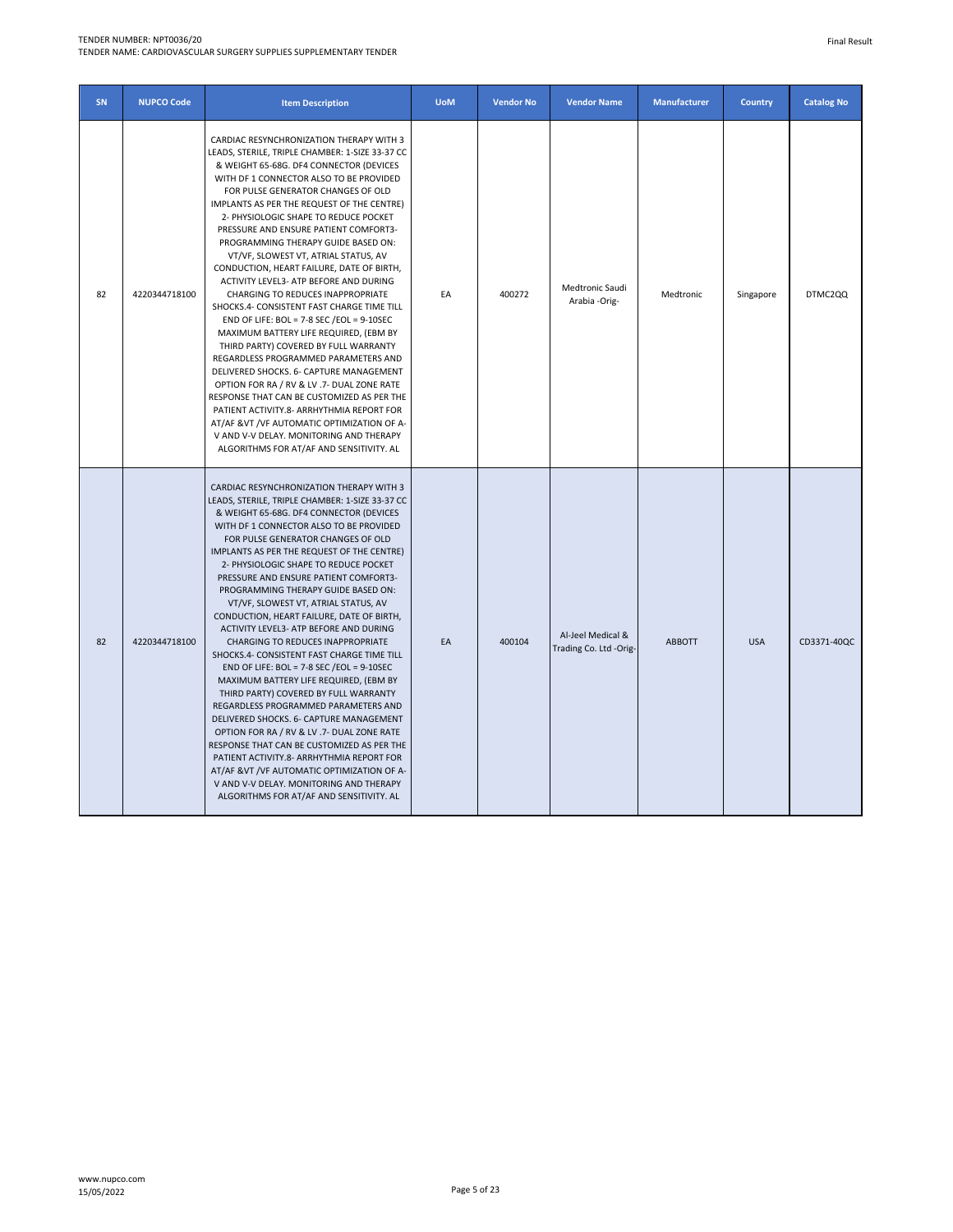### TENDER NUMBER: NPT0036/20

TENDER NAME: CARDIOVASCULAR SURGERY SUPPLIES SUPPLEMENTARY TENDER

| SN | <b>NUPCO Code</b> | <b>Item Description</b>                                                                                                                                                                                                                                                                                                                                                                                                                                                                                                                                                                                                                                                                                                                                                                                                                                                                                                                                                                                                                                                                                                       | <b>UoM</b> | <b>Vendor No</b> | <b>Vendor Name</b>                          | <b>Manufacturer</b> | <b>Country</b> | <b>Catalog No</b> |
|----|-------------------|-------------------------------------------------------------------------------------------------------------------------------------------------------------------------------------------------------------------------------------------------------------------------------------------------------------------------------------------------------------------------------------------------------------------------------------------------------------------------------------------------------------------------------------------------------------------------------------------------------------------------------------------------------------------------------------------------------------------------------------------------------------------------------------------------------------------------------------------------------------------------------------------------------------------------------------------------------------------------------------------------------------------------------------------------------------------------------------------------------------------------------|------------|------------------|---------------------------------------------|---------------------|----------------|-------------------|
| 82 | 4220344718100     | CARDIAC RESYNCHRONIZATION THERAPY WITH 3<br>LEADS, STERILE, TRIPLE CHAMBER: 1-SIZE 33-37 CC<br>& WEIGHT 65-68G. DF4 CONNECTOR (DEVICES<br>WITH DF 1 CONNECTOR ALSO TO BE PROVIDED<br>FOR PULSE GENERATOR CHANGES OF OLD<br>IMPLANTS AS PER THE REQUEST OF THE CENTRE)<br>2- PHYSIOLOGIC SHAPE TO REDUCE POCKET<br>PRESSURE AND ENSURE PATIENT COMFORT3-<br>PROGRAMMING THERAPY GUIDE BASED ON:<br>VT/VF, SLOWEST VT, ATRIAL STATUS, AV<br>CONDUCTION, HEART FAILURE, DATE OF BIRTH,<br>ACTIVITY LEVEL3- ATP BEFORE AND DURING<br>CHARGING TO REDUCES INAPPROPRIATE<br>SHOCKS.4- CONSISTENT FAST CHARGE TIME TILL<br>END OF LIFE: BOL = 7-8 SEC / EOL = $9-10$ SEC<br>MAXIMUM BATTERY LIFE REQUIRED, (EBM BY<br>THIRD PARTY) COVERED BY FULL WARRANTY<br>REGARDLESS PROGRAMMED PARAMETERS AND<br>DELIVERED SHOCKS. 6- CAPTURE MANAGEMENT<br>OPTION FOR RA / RV & LV .7- DUAL ZONE RATE<br>RESPONSE THAT CAN BE CUSTOMIZED AS PER THE<br>PATIENT ACTIVITY.8- ARRHYTHMIA REPORT FOR<br>AT/AF &VT /VF AUTOMATIC OPTIMIZATION OF A-<br>V AND V-V DELAY. MONITORING AND THERAPY<br>ALGORITHMS FOR AT/AF AND SENSITIVITY. AL         | EA         | 400272           | Medtronic Saudi<br>Arabia -Orig-            | Medtronic           | Singapore      | DTMC2QQ           |
| 82 | 4220344718100     | CARDIAC RESYNCHRONIZATION THERAPY WITH 3<br>LEADS, STERILE, TRIPLE CHAMBER: 1-SIZE 33-37 CC<br>& WEIGHT 65-68G. DF4 CONNECTOR (DEVICES<br>WITH DF 1 CONNECTOR ALSO TO BE PROVIDED<br>FOR PULSE GENERATOR CHANGES OF OLD<br>IMPLANTS AS PER THE REQUEST OF THE CENTRE)<br>2- PHYSIOLOGIC SHAPE TO REDUCE POCKET<br>PRESSURE AND ENSURE PATIENT COMFORT3-<br>PROGRAMMING THERAPY GUIDE BASED ON:<br>VT/VF, SLOWEST VT, ATRIAL STATUS, AV<br>CONDUCTION, HEART FAILURE, DATE OF BIRTH,<br>ACTIVITY LEVEL3- ATP BEFORE AND DURING<br><b>CHARGING TO REDUCES INAPPROPRIATE</b><br>SHOCKS.4- CONSISTENT FAST CHARGE TIME TILL<br>END OF LIFE: BOL = $7-8$ SEC /EOL = $9-10$ SEC<br>MAXIMUM BATTERY LIFE REQUIRED, (EBM BY<br>THIRD PARTY) COVERED BY FULL WARRANTY<br>REGARDLESS PROGRAMMED PARAMETERS AND<br>DELIVERED SHOCKS. 6- CAPTURE MANAGEMENT<br>OPTION FOR RA / RV & LV .7- DUAL ZONE RATE<br>RESPONSE THAT CAN BE CUSTOMIZED AS PER THE<br>PATIENT ACTIVITY.8- ARRHYTHMIA REPORT FOR<br>AT/AF &VT /VF AUTOMATIC OPTIMIZATION OF A-<br>V AND V-V DELAY. MONITORING AND THERAPY<br>ALGORITHMS FOR AT/AF AND SENSITIVITY. AL | EA         | 400104           | Al-Jeel Medical &<br>Trading Co. Ltd -Orig- | <b>ABBOTT</b>       | <b>USA</b>     | CD3371-40QC       |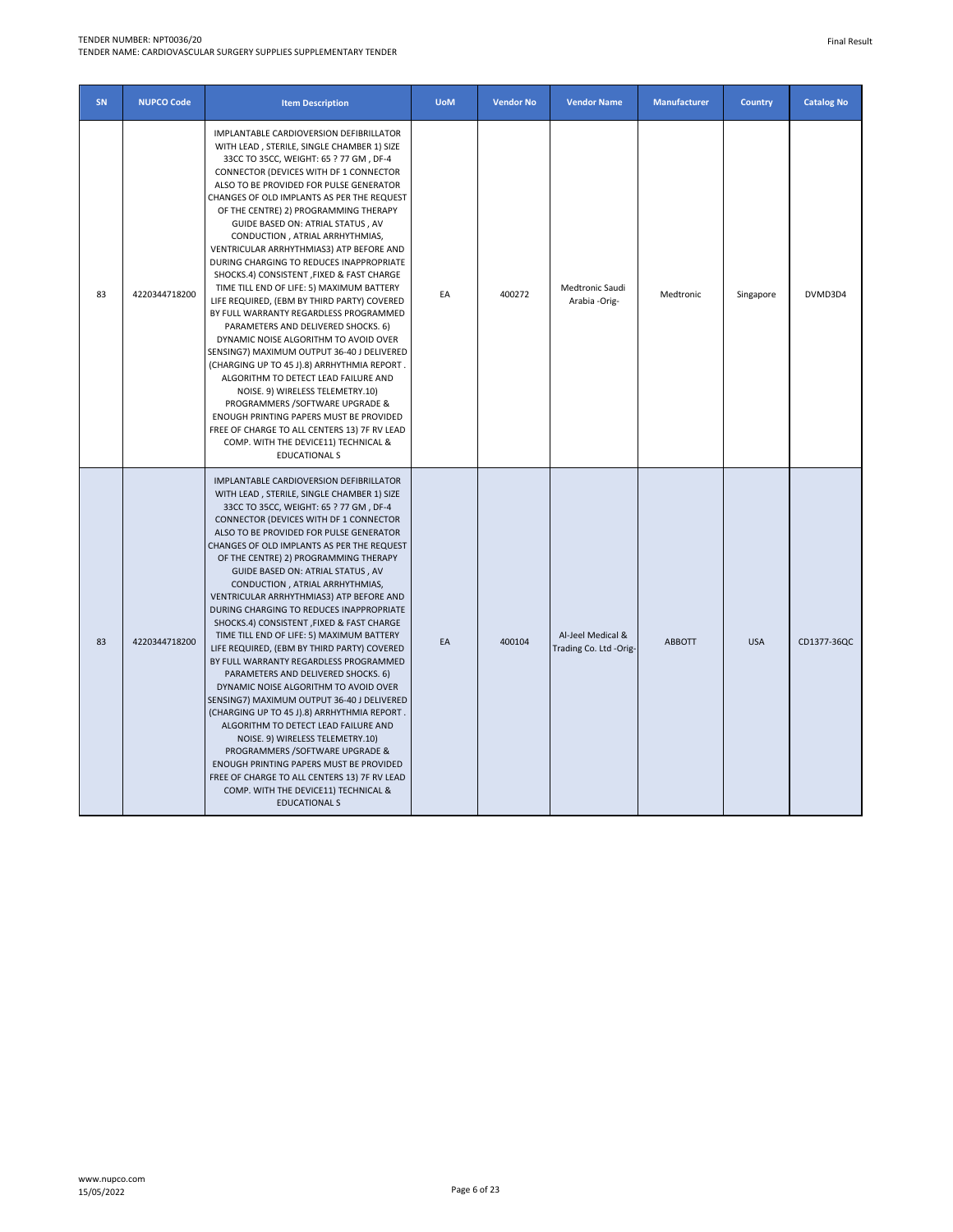## TENDER NUMBER: NPT0036/20

TENDER NAME: CARDIOVASCULAR SURGERY SUPPLIES SUPPLEMENTARY TENDER

| SN | <b>NUPCO Code</b> | <b>Item Description</b>                                                                                                                                                                                                                                                                                                                                                                                                                                                                                                                                                                                                                                                                                                                                                                                                                                                                                                                                                                                                                                                                                                | <b>UoM</b> | <b>Vendor No</b> | <b>Vendor Name</b>                          | <b>Manufacturer</b> | <b>Country</b> | <b>Catalog No</b> |
|----|-------------------|------------------------------------------------------------------------------------------------------------------------------------------------------------------------------------------------------------------------------------------------------------------------------------------------------------------------------------------------------------------------------------------------------------------------------------------------------------------------------------------------------------------------------------------------------------------------------------------------------------------------------------------------------------------------------------------------------------------------------------------------------------------------------------------------------------------------------------------------------------------------------------------------------------------------------------------------------------------------------------------------------------------------------------------------------------------------------------------------------------------------|------------|------------------|---------------------------------------------|---------------------|----------------|-------------------|
| 83 | 4220344718200     | IMPLANTABLE CARDIOVERSION DEFIBRILLATOR<br>WITH LEAD, STERILE, SINGLE CHAMBER 1) SIZE<br>33CC TO 35CC, WEIGHT: 65 ? 77 GM, DF-4<br>CONNECTOR (DEVICES WITH DF 1 CONNECTOR<br>ALSO TO BE PROVIDED FOR PULSE GENERATOR<br>CHANGES OF OLD IMPLANTS AS PER THE REQUEST<br>OF THE CENTRE) 2) PROGRAMMING THERAPY<br>GUIDE BASED ON: ATRIAL STATUS, AV<br>CONDUCTION, ATRIAL ARRHYTHMIAS,<br>VENTRICULAR ARRHYTHMIAS3) ATP BEFORE AND<br>DURING CHARGING TO REDUCES INAPPROPRIATE<br>SHOCKS.4) CONSISTENT , FIXED & FAST CHARGE<br>TIME TILL END OF LIFE: 5) MAXIMUM BATTERY<br>LIFE REQUIRED, (EBM BY THIRD PARTY) COVERED<br>BY FULL WARRANTY REGARDLESS PROGRAMMED<br>PARAMETERS AND DELIVERED SHOCKS. 6)<br>DYNAMIC NOISE ALGORITHM TO AVOID OVER<br>SENSING7) MAXIMUM OUTPUT 36-40 J DELIVERED<br>(CHARGING UP TO 45 J).8) ARRHYTHMIA REPORT.<br>ALGORITHM TO DETECT LEAD FAILURE AND<br>NOISE. 9) WIRELESS TELEMETRY.10)<br>PROGRAMMERS /SOFTWARE UPGRADE &<br>ENOUGH PRINTING PAPERS MUST BE PROVIDED<br>FREE OF CHARGE TO ALL CENTERS 13) 7F RV LEAD<br>COMP. WITH THE DEVICE11) TECHNICAL &<br><b>EDUCATIONAL S</b> | EA         | 400272           | Medtronic Saudi<br>Arabia -Orig-            | Medtronic           | Singapore      | DVMD3D4           |
| 83 | 4220344718200     | IMPLANTABLE CARDIOVERSION DEFIBRILLATOR<br>WITH LEAD, STERILE, SINGLE CHAMBER 1) SIZE<br>33CC TO 35CC, WEIGHT: 65 ? 77 GM, DF-4<br>CONNECTOR (DEVICES WITH DF 1 CONNECTOR<br>ALSO TO BE PROVIDED FOR PULSE GENERATOR<br>CHANGES OF OLD IMPLANTS AS PER THE REQUEST<br>OF THE CENTRE) 2) PROGRAMMING THERAPY<br>GUIDE BASED ON: ATRIAL STATUS, AV<br>CONDUCTION, ATRIAL ARRHYTHMIAS,<br>VENTRICULAR ARRHYTHMIAS3) ATP BEFORE AND<br>DURING CHARGING TO REDUCES INAPPROPRIATE<br>SHOCKS.4) CONSISTENT , FIXED & FAST CHARGE<br>TIME TILL END OF LIFE: 5) MAXIMUM BATTERY<br>LIFE REQUIRED, (EBM BY THIRD PARTY) COVERED<br>BY FULL WARRANTY REGARDLESS PROGRAMMED<br>PARAMETERS AND DELIVERED SHOCKS. 6)<br>DYNAMIC NOISE ALGORITHM TO AVOID OVER<br>SENSING7) MAXIMUM OUTPUT 36-40 J DELIVERED<br>(CHARGING UP TO 45 J).8) ARRHYTHMIA REPORT.<br>ALGORITHM TO DETECT LEAD FAILURE AND<br>NOISE. 9) WIRELESS TELEMETRY.10)<br>PROGRAMMERS /SOFTWARE UPGRADE &<br>ENOUGH PRINTING PAPERS MUST BE PROVIDED<br>FREE OF CHARGE TO ALL CENTERS 13) 7F RV LEAD<br>COMP. WITH THE DEVICE11) TECHNICAL &<br><b>EDUCATIONAL S</b> | FA         | 400104           | Al-Jeel Medical &<br>Trading Co. Ltd -Orig- | <b>ABBOTT</b>       | <b>USA</b>     | CD1377-36QC       |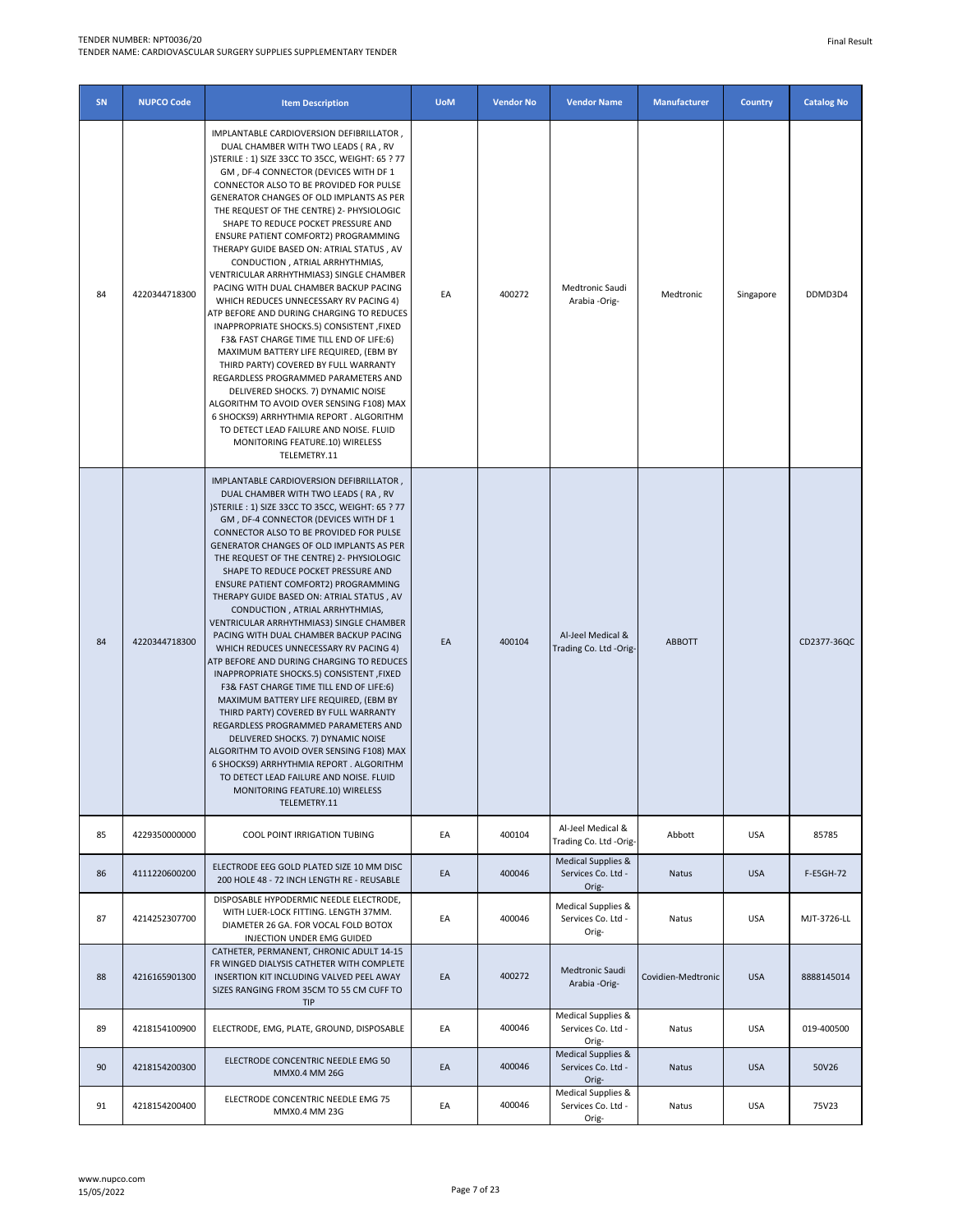# TENDER NUMBER: NPT0036/20

TENDER NAME: CARDIOVASCULAR SURGERY SUPPLIES SUPPLEMENTARY TENDER

| SN | <b>NUPCO Code</b> | <b>Item Description</b>                                                                                                                                                                                                                                                                                                                                                                                                                                                                                                                                                                                                                                                                                                                                                                                                                                                                                                                                                                                                                                                                                                | <b>UoM</b> | <b>Vendor No</b> | <b>Vendor Name</b>                                | <b>Manufacturer</b> | <b>Country</b> | <b>Catalog No</b> |
|----|-------------------|------------------------------------------------------------------------------------------------------------------------------------------------------------------------------------------------------------------------------------------------------------------------------------------------------------------------------------------------------------------------------------------------------------------------------------------------------------------------------------------------------------------------------------------------------------------------------------------------------------------------------------------------------------------------------------------------------------------------------------------------------------------------------------------------------------------------------------------------------------------------------------------------------------------------------------------------------------------------------------------------------------------------------------------------------------------------------------------------------------------------|------------|------------------|---------------------------------------------------|---------------------|----------------|-------------------|
| 84 | 4220344718300     | IMPLANTABLE CARDIOVERSION DEFIBRILLATOR,<br>DUAL CHAMBER WITH TWO LEADS (RA, RV<br>)STERILE : 1) SIZE 33CC TO 35CC, WEIGHT: 65 ? 77<br>GM, DF-4 CONNECTOR (DEVICES WITH DF 1<br>CONNECTOR ALSO TO BE PROVIDED FOR PULSE<br>GENERATOR CHANGES OF OLD IMPLANTS AS PER<br>THE REQUEST OF THE CENTRE) 2- PHYSIOLOGIC<br>SHAPE TO REDUCE POCKET PRESSURE AND<br>ENSURE PATIENT COMFORT2) PROGRAMMING<br>THERAPY GUIDE BASED ON: ATRIAL STATUS, AV<br>CONDUCTION, ATRIAL ARRHYTHMIAS,<br>VENTRICULAR ARRHYTHMIAS3) SINGLE CHAMBER<br>PACING WITH DUAL CHAMBER BACKUP PACING<br>WHICH REDUCES UNNECESSARY RV PACING 4)<br>ATP BEFORE AND DURING CHARGING TO REDUCES<br>INAPPROPRIATE SHOCKS.5) CONSISTENT ,FIXED<br>F3& FAST CHARGE TIME TILL END OF LIFE:6)<br>MAXIMUM BATTERY LIFE REQUIRED, (EBM BY<br>THIRD PARTY) COVERED BY FULL WARRANTY<br>REGARDLESS PROGRAMMED PARAMETERS AND<br>DELIVERED SHOCKS. 7) DYNAMIC NOISE<br>ALGORITHM TO AVOID OVER SENSING F108) MAX<br>6 SHOCKS9) ARRHYTHMIA REPORT. ALGORITHM<br>TO DETECT LEAD FAILURE AND NOISE. FLUID<br>MONITORING FEATURE.10) WIRELESS<br>TELEMETRY.11           | EA         | 400272           | Medtronic Saudi<br>Arabia -Orig-                  | Medtronic           | Singapore      | DDMD3D4           |
| 84 | 4220344718300     | IMPLANTABLE CARDIOVERSION DEFIBRILLATOR,<br>DUAL CHAMBER WITH TWO LEADS (RA, RV<br>) STERILE : 1) SIZE 33CC TO 35CC, WEIGHT: 65 ? 77<br>GM, DF-4 CONNECTOR (DEVICES WITH DF 1<br>CONNECTOR ALSO TO BE PROVIDED FOR PULSE<br>GENERATOR CHANGES OF OLD IMPLANTS AS PER<br>THE REQUEST OF THE CENTRE) 2- PHYSIOLOGIC<br>SHAPE TO REDUCE POCKET PRESSURE AND<br><b>ENSURE PATIENT COMFORT2) PROGRAMMING</b><br>THERAPY GUIDE BASED ON: ATRIAL STATUS, AV<br>CONDUCTION, ATRIAL ARRHYTHMIAS,<br>VENTRICULAR ARRHYTHMIAS3) SINGLE CHAMBER<br>PACING WITH DUAL CHAMBER BACKUP PACING<br>WHICH REDUCES UNNECESSARY RV PACING 4)<br>ATP BEFORE AND DURING CHARGING TO REDUCES<br>INAPPROPRIATE SHOCKS.5) CONSISTENT , FIXED<br>F3& FAST CHARGE TIME TILL END OF LIFE:6)<br>MAXIMUM BATTERY LIFE REQUIRED, (EBM BY<br>THIRD PARTY) COVERED BY FULL WARRANTY<br>REGARDLESS PROGRAMMED PARAMETERS AND<br>DELIVERED SHOCKS. 7) DYNAMIC NOISE<br>ALGORITHM TO AVOID OVER SENSING F108) MAX<br>6 SHOCKS9) ARRHYTHMIA REPORT . ALGORITHM<br>TO DETECT LEAD FAILURE AND NOISE. FLUID<br>MONITORING FEATURE.10) WIRELESS<br>TELEMETRY.11 | EA         | 400104           | Al-Jeel Medical &<br>Trading Co. Ltd -Orig-       | <b>ABBOTT</b>       |                | CD2377-36QC       |
| 85 | 4229350000000     | <b>COOL POINT IRRIGATION TUBING</b>                                                                                                                                                                                                                                                                                                                                                                                                                                                                                                                                                                                                                                                                                                                                                                                                                                                                                                                                                                                                                                                                                    | EA         | 400104           | Al-Jeel Medical &<br>Trading Co. Ltd -Orig-       | Abbott              | <b>USA</b>     | 85785             |
| 86 | 4111220600200     | ELECTRODE EEG GOLD PLATED SIZE 10 MM DISC<br>200 HOLE 48 - 72 INCH LENGTH RE - REUSABLE                                                                                                                                                                                                                                                                                                                                                                                                                                                                                                                                                                                                                                                                                                                                                                                                                                                                                                                                                                                                                                | EA         | 400046           | Medical Supplies &<br>Services Co. Ltd -<br>Orig- | Natus               | <b>USA</b>     | F-E5GH-72         |
| 87 | 4214252307700     | DISPOSABLE HYPODERMIC NEEDLE ELECTRODE,<br>WITH LUER-LOCK FITTING. LENGTH 37MM.<br>DIAMETER 26 GA. FOR VOCAL FOLD BOTOX<br>INJECTION UNDER EMG GUIDED                                                                                                                                                                                                                                                                                                                                                                                                                                                                                                                                                                                                                                                                                                                                                                                                                                                                                                                                                                  | EA         | 400046           | Medical Supplies &<br>Services Co. Ltd -<br>Orig- | Natus               | <b>USA</b>     | MJT-3726-LL       |
| 88 | 4216165901300     | CATHETER, PERMANENT, CHRONIC ADULT 14-15<br>FR WINGED DIALYSIS CATHETER WITH COMPLETE<br>INSERTION KIT INCLUDING VALVED PEEL AWAY<br>SIZES RANGING FROM 35CM TO 55 CM CUFF TO<br>TIP                                                                                                                                                                                                                                                                                                                                                                                                                                                                                                                                                                                                                                                                                                                                                                                                                                                                                                                                   | EA         | 400272           | Medtronic Saudi<br>Arabia -Orig-                  | Covidien-Medtronic  | <b>USA</b>     | 8888145014        |
| 89 | 4218154100900     | ELECTRODE, EMG, PLATE, GROUND, DISPOSABLE                                                                                                                                                                                                                                                                                                                                                                                                                                                                                                                                                                                                                                                                                                                                                                                                                                                                                                                                                                                                                                                                              | EA         | 400046           | Medical Supplies &<br>Services Co. Ltd -<br>Orig- | Natus               | <b>USA</b>     | 019-400500        |
| 90 | 4218154200300     | ELECTRODE CONCENTRIC NEEDLE EMG 50<br>MMX0.4 MM 26G                                                                                                                                                                                                                                                                                                                                                                                                                                                                                                                                                                                                                                                                                                                                                                                                                                                                                                                                                                                                                                                                    | EA         | 400046           | Medical Supplies &<br>Services Co. Ltd -<br>Orig- | Natus               | <b>USA</b>     | 50V26             |
| 91 | 4218154200400     | ELECTRODE CONCENTRIC NEEDLE EMG 75<br>MMX0.4 MM 23G                                                                                                                                                                                                                                                                                                                                                                                                                                                                                                                                                                                                                                                                                                                                                                                                                                                                                                                                                                                                                                                                    | EA         | 400046           | Medical Supplies &<br>Services Co. Ltd -<br>Orig- | Natus               | <b>USA</b>     | 75V23             |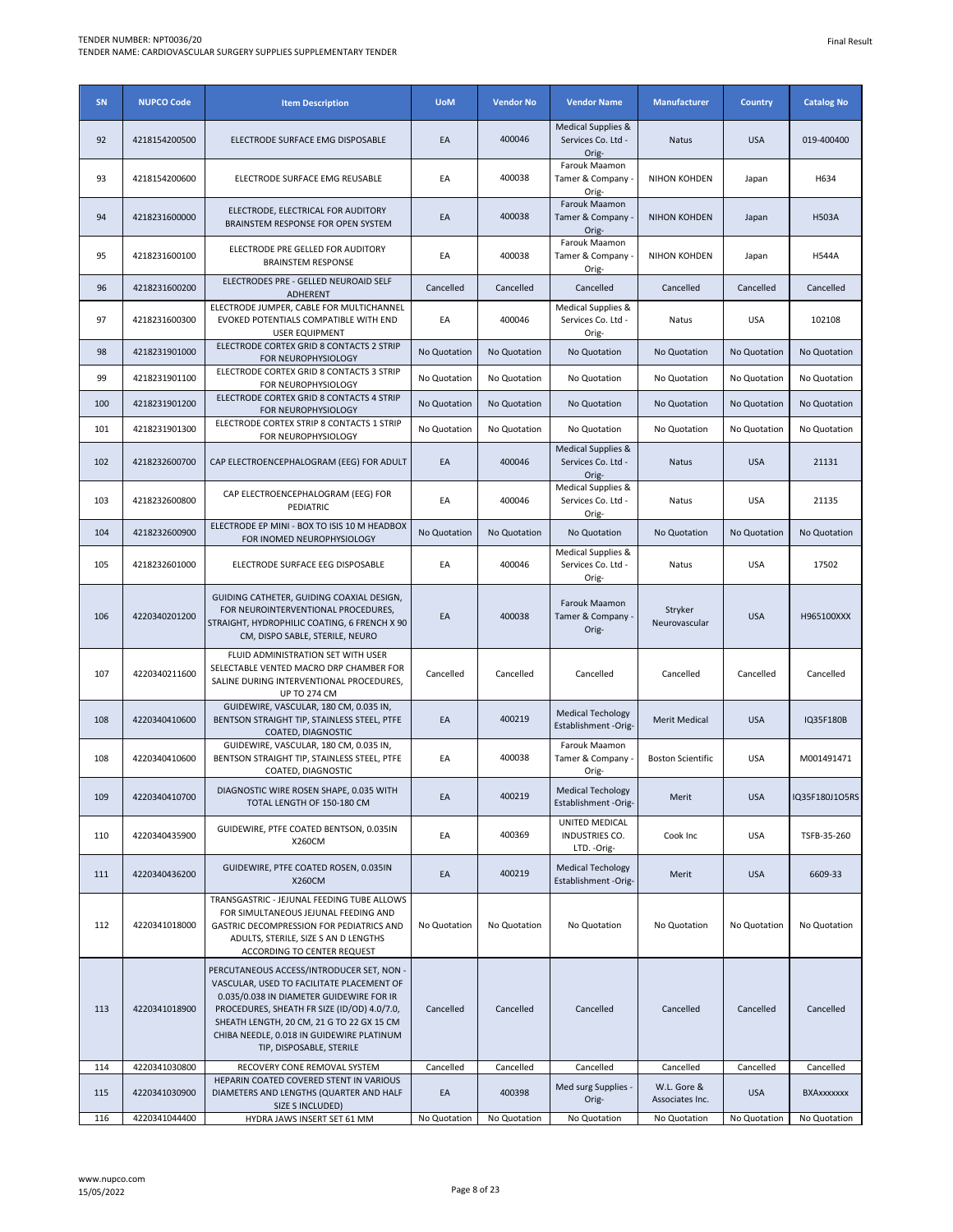| SN  | <b>NUPCO Code</b> | <b>Item Description</b>                                                                                                                                                                                                                                                                                 | <b>UoM</b>   | <b>Vendor No</b> | <b>Vendor Name</b>                                | <b>Manufacturer</b>            | <b>Country</b> | <b>Catalog No</b> |
|-----|-------------------|---------------------------------------------------------------------------------------------------------------------------------------------------------------------------------------------------------------------------------------------------------------------------------------------------------|--------------|------------------|---------------------------------------------------|--------------------------------|----------------|-------------------|
| 92  | 4218154200500     | ELECTRODE SURFACE EMG DISPOSABLE                                                                                                                                                                                                                                                                        | EA           | 400046           | Medical Supplies &<br>Services Co. Ltd -<br>Orig- | Natus                          | <b>USA</b>     | 019-400400        |
| 93  | 4218154200600     | ELECTRODE SURFACE EMG REUSABLE                                                                                                                                                                                                                                                                          | EA           | 400038           | Farouk Maamon<br>Tamer & Company<br>Orig-         | NIHON KOHDEN                   | Japan          | H634              |
| 94  | 4218231600000     | ELECTRODE, ELECTRICAL FOR AUDITORY<br>BRAINSTEM RESPONSE FOR OPEN SYSTEM                                                                                                                                                                                                                                | EA           | 400038           | Farouk Maamon<br>Tamer & Company<br>Orig-         | <b>NIHON KOHDEN</b>            | Japan          | <b>H503A</b>      |
| 95  | 4218231600100     | ELECTRODE PRE GELLED FOR AUDITORY<br><b>BRAINSTEM RESPONSE</b>                                                                                                                                                                                                                                          | EA           | 400038           | Farouk Maamon<br>Tamer & Company<br>Orig-         | NIHON KOHDEN                   | Japan          | <b>H544A</b>      |
| 96  | 4218231600200     | ELECTRODES PRE - GELLED NEUROAID SELF<br>ADHERENT                                                                                                                                                                                                                                                       | Cancelled    | Cancelled        | Cancelled                                         | Cancelled                      | Cancelled      | Cancelled         |
| 97  | 4218231600300     | ELECTRODE JUMPER, CABLE FOR MULTICHANNEL<br>EVOKED POTENTIALS COMPATIBLE WITH END<br><b>USER EQUIPMENT</b>                                                                                                                                                                                              | EA           | 400046           | Medical Supplies &<br>Services Co. Ltd -<br>Orig- | Natus                          | <b>USA</b>     | 102108            |
| 98  | 4218231901000     | ELECTRODE CORTEX GRID 8 CONTACTS 2 STRIP<br>FOR NEUROPHYSIOLOGY                                                                                                                                                                                                                                         | No Quotation | No Quotation     | No Quotation                                      | No Quotation                   | No Quotation   | No Quotation      |
| 99  | 4218231901100     | ELECTRODE CORTEX GRID 8 CONTACTS 3 STRIP<br>FOR NEUROPHYSIOLOGY                                                                                                                                                                                                                                         | No Quotation | No Quotation     | No Quotation                                      | No Quotation                   | No Quotation   | No Quotation      |
| 100 | 4218231901200     | ELECTRODE CORTEX GRID 8 CONTACTS 4 STRIP<br>FOR NEUROPHYSIOLOGY                                                                                                                                                                                                                                         | No Quotation | No Quotation     | No Quotation                                      | No Quotation                   | No Quotation   | No Quotation      |
| 101 | 4218231901300     | ELECTRODE CORTEX STRIP 8 CONTACTS 1 STRIP<br>FOR NEUROPHYSIOLOGY                                                                                                                                                                                                                                        | No Quotation | No Quotation     | No Quotation                                      | No Quotation                   | No Quotation   | No Quotation      |
| 102 | 4218232600700     | CAP ELECTROENCEPHALOGRAM (EEG) FOR ADULT                                                                                                                                                                                                                                                                | EA           | 400046           | Medical Supplies &<br>Services Co. Ltd -<br>Orig- | Natus                          | <b>USA</b>     | 21131             |
| 103 | 4218232600800     | CAP ELECTROENCEPHALOGRAM (EEG) FOR<br>PEDIATRIC                                                                                                                                                                                                                                                         | EA           | 400046           | Medical Supplies &<br>Services Co. Ltd -<br>Orig- | Natus                          | <b>USA</b>     | 21135             |
| 104 | 4218232600900     | ELECTRODE EP MINI - BOX TO ISIS 10 M HEADBOX<br>FOR INOMED NEUROPHYSIOLOGY                                                                                                                                                                                                                              | No Quotation | No Quotation     | No Quotation                                      | No Quotation                   | No Quotation   | No Quotation      |
| 105 | 4218232601000     | ELECTRODE SURFACE EEG DISPOSABLE                                                                                                                                                                                                                                                                        | EA           | 400046           | Medical Supplies &<br>Services Co. Ltd -<br>Orig- | Natus                          | <b>USA</b>     | 17502             |
| 106 | 4220340201200     | GUIDING CATHETER, GUIDING COAXIAL DESIGN,<br>FOR NEUROINTERVENTIONAL PROCEDURES,<br>STRAIGHT, HYDROPHILIC COATING, 6 FRENCH X 90<br>CM, DISPO SABLE, STERILE, NEURO                                                                                                                                     | EA           | 400038           | Farouk Maamon<br>Tamer & Company<br>Orig-         | Stryker<br>Neurovascular       | <b>USA</b>     | H965100XXX        |
| 107 | 4220340211600     | FLUID ADMINISTRATION SET WITH USER<br>SELECTABLE VENTED MACRO DRP CHAMBER FOR<br>SALINE DURING INTERVENTIONAL PROCEDURES,<br><b>UP TO 274 CM</b>                                                                                                                                                        | Cancelled    | Cancelled        | Cancelled                                         | Cancelled                      | Cancelled      | Cancelled         |
| 108 | 4220340410600     | GUIDEWIRE, VASCULAR, 180 CM, 0.035 IN,<br>BENTSON STRAIGHT TIP, STAINLESS STEEL, PTFE<br>COATED, DIAGNOSTIC                                                                                                                                                                                             | EA           | 400219           | <b>Medical Techology</b><br>Establishment -Orig-  | <b>Merit Medical</b>           | <b>USA</b>     | IQ35F180B         |
| 108 | 4220340410600     | GUIDEWIRE, VASCULAR, 180 CM, 0.035 IN,<br>BENTSON STRAIGHT TIP, STAINLESS STEEL, PTFE<br>COATED, DIAGNOSTIC                                                                                                                                                                                             | EA           | 400038           | Farouk Maamon<br>Tamer & Company -<br>Orig-       | <b>Boston Scientific</b>       | <b>USA</b>     | M001491471        |
| 109 | 4220340410700     | DIAGNOSTIC WIRE ROSEN SHAPE, 0.035 WITH<br>TOTAL LENGTH OF 150-180 CM                                                                                                                                                                                                                                   | EA           | 400219           | <b>Medical Techology</b><br>Establishment -Orig-  | Merit                          | <b>USA</b>     | IQ35F180J1O5RS    |
| 110 | 4220340435900     | GUIDEWIRE, PTFE COATED BENTSON, 0.035IN<br>X260CM                                                                                                                                                                                                                                                       | EA           | 400369           | UNITED MEDICAL<br>INDUSTRIES CO.<br>LTD. - Orig-  | Cook Inc                       | <b>USA</b>     | TSFB-35-260       |
| 111 | 4220340436200     | GUIDEWIRE, PTFE COATED ROSEN, 0.035IN<br><b>X260CM</b>                                                                                                                                                                                                                                                  | EA           | 400219           | <b>Medical Techology</b><br>Establishment -Orig-  | Merit                          | <b>USA</b>     | 6609-33           |
| 112 | 4220341018000     | TRANSGASTRIC - JEJUNAL FEEDING TUBE ALLOWS<br>FOR SIMULTANEOUS JEJUNAL FEEDING AND<br>GASTRIC DECOMPRESSION FOR PEDIATRICS AND<br>ADULTS, STERILE, SIZE S AN D LENGTHS<br>ACCORDING TO CENTER REQUEST                                                                                                   | No Quotation | No Quotation     | No Quotation                                      | No Quotation                   | No Quotation   | No Quotation      |
| 113 | 4220341018900     | PERCUTANEOUS ACCESS/INTRODUCER SET, NON -<br>VASCULAR, USED TO FACILITATE PLACEMENT OF<br>0.035/0.038 IN DIAMETER GUIDEWIRE FOR IR<br>PROCEDURES, SHEATH FR SIZE (ID/OD) 4.0/7.0,<br>SHEATH LENGTH, 20 CM, 21 G TO 22 GX 15 CM<br>CHIBA NEEDLE, 0.018 IN GUIDEWIRE PLATINUM<br>TIP, DISPOSABLE, STERILE | Cancelled    | Cancelled        | Cancelled                                         | Cancelled                      | Cancelled      | Cancelled         |
| 114 | 4220341030800     | RECOVERY CONE REMOVAL SYSTEM<br>HEPARIN COATED COVERED STENT IN VARIOUS                                                                                                                                                                                                                                 | Cancelled    | Cancelled        | Cancelled                                         | Cancelled                      | Cancelled      | Cancelled         |
| 115 | 4220341030900     | DIAMETERS AND LENGTHS (QUARTER AND HALF<br>SIZE S INCLUDED)                                                                                                                                                                                                                                             | EA           | 400398           | Med surg Supplies -<br>Orig-                      | W.L. Gore &<br>Associates Inc. | <b>USA</b>     | <b>BXAxxxxxxx</b> |
| 116 | 4220341044400     | HYDRA JAWS INSERT SET 61 MM                                                                                                                                                                                                                                                                             | No Quotation | No Quotation     | No Quotation                                      | No Quotation                   | No Quotation   | No Quotation      |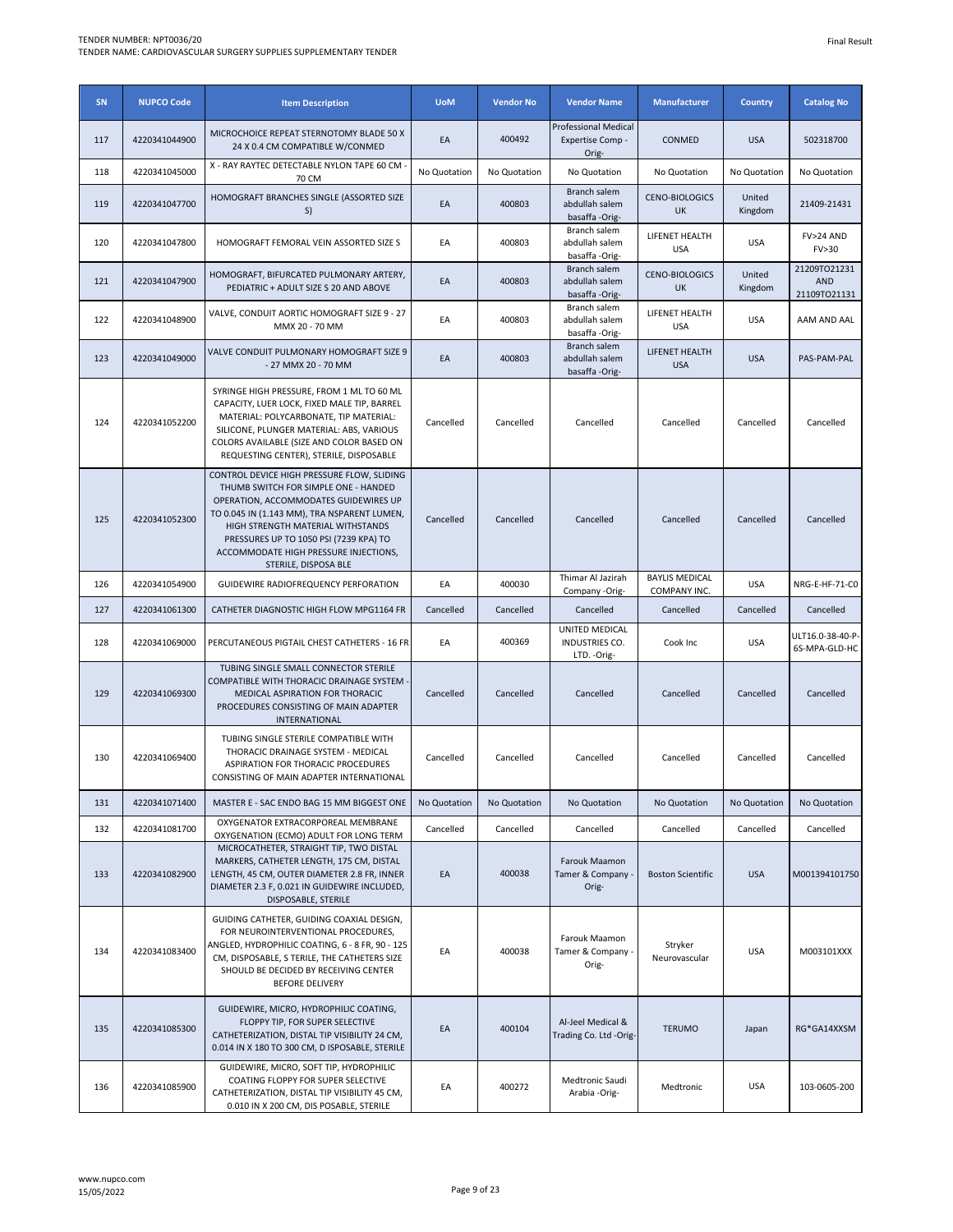| SN  | <b>NUPCO Code</b> | <b>Item Description</b>                                                                                                                                                                                                                                                                                                    | <b>UoM</b>   | <b>Vendor No</b> | <b>Vendor Name</b>                                       | <b>Manufacturer</b>                   | <b>Country</b>    | <b>Catalog No</b>                          |
|-----|-------------------|----------------------------------------------------------------------------------------------------------------------------------------------------------------------------------------------------------------------------------------------------------------------------------------------------------------------------|--------------|------------------|----------------------------------------------------------|---------------------------------------|-------------------|--------------------------------------------|
| 117 | 4220341044900     | MICROCHOICE REPEAT STERNOTOMY BLADE 50 X<br>24 X 0.4 CM COMPATIBLE W/CONMED                                                                                                                                                                                                                                                | EA           | 400492           | <b>Professional Medical</b><br>Expertise Comp -<br>Orig- | CONMED                                | <b>USA</b>        | 502318700                                  |
| 118 | 4220341045000     | X - RAY RAYTEC DETECTABLE NYLON TAPE 60 CM<br>70 CM                                                                                                                                                                                                                                                                        | No Quotation | No Quotation     | No Quotation                                             | No Quotation                          | No Quotation      | No Quotation                               |
| 119 | 4220341047700     | HOMOGRAFT BRANCHES SINGLE (ASSORTED SIZE<br>S)                                                                                                                                                                                                                                                                             | EA           | 400803           | Branch salem<br>abdullah salem<br>basaffa -Orig-         | <b>CENO-BIOLOGICS</b><br>UK           | United<br>Kingdom | 21409-21431                                |
| 120 | 4220341047800     | HOMOGRAFT FEMORAL VEIN ASSORTED SIZE S                                                                                                                                                                                                                                                                                     | EA           | 400803           | Branch salem<br>abdullah salem<br>basaffa -Orig-         | LIFENET HEALTH<br><b>USA</b>          | <b>USA</b>        | FV>24 AND<br>FV>30                         |
| 121 | 4220341047900     | HOMOGRAFT, BIFURCATED PULMONARY ARTERY,<br>PEDIATRIC + ADULT SIZE S 20 AND ABOVE                                                                                                                                                                                                                                           | EA           | 400803           | Branch salem<br>abdullah salem<br>basaffa -Orig-         | <b>CENO-BIOLOGICS</b><br>UK           | United<br>Kingdom | 21209TO21231<br><b>AND</b><br>21109TO21131 |
| 122 | 4220341048900     | VALVE, CONDUIT AORTIC HOMOGRAFT SIZE 9 - 27<br>MMX 20 - 70 MM                                                                                                                                                                                                                                                              | EA           | 400803           | Branch salem<br>abdullah salem<br>basaffa-Orig-          | LIFENET HEALTH<br><b>USA</b>          | <b>USA</b>        | AAM AND AAL                                |
| 123 | 4220341049000     | VALVE CONDUIT PULMONARY HOMOGRAFT SIZE 9<br>- 27 MMX 20 - 70 MM                                                                                                                                                                                                                                                            | EA           | 400803           | Branch salem<br>abdullah salem<br>basaffa -Orig-         | LIFENET HEALTH<br><b>USA</b>          | <b>USA</b>        | PAS-PAM-PAL                                |
| 124 | 4220341052200     | SYRINGE HIGH PRESSURE, FROM 1 ML TO 60 ML<br>CAPACITY, LUER LOCK, FIXED MALE TIP, BARREL<br>MATERIAL: POLYCARBONATE, TIP MATERIAL:<br>SILICONE, PLUNGER MATERIAL: ABS, VARIOUS<br>COLORS AVAILABLE (SIZE AND COLOR BASED ON<br>REQUESTING CENTER), STERILE, DISPOSABLE                                                     | Cancelled    | Cancelled        | Cancelled                                                | Cancelled                             | Cancelled         | Cancelled                                  |
| 125 | 4220341052300     | CONTROL DEVICE HIGH PRESSURE FLOW, SLIDING<br>THUMB SWITCH FOR SIMPLE ONE - HANDED<br>OPERATION, ACCOMMODATES GUIDEWIRES UP<br>TO 0.045 IN (1.143 MM), TRA NSPARENT LUMEN,<br>HIGH STRENGTH MATERIAL WITHSTANDS<br>PRESSURES UP TO 1050 PSI (7239 KPA) TO<br>ACCOMMODATE HIGH PRESSURE INJECTIONS,<br>STERILE, DISPOSA BLE | Cancelled    | Cancelled        | Cancelled                                                | Cancelled                             | Cancelled         | Cancelled                                  |
| 126 | 4220341054900     | GUIDEWIRE RADIOFREQUENCY PERFORATION                                                                                                                                                                                                                                                                                       | EA           | 400030           | Thimar Al Jazirah<br>Company -Orig-                      | <b>BAYLIS MEDICAL</b><br>COMPANY INC. | <b>USA</b>        | NRG-E-HF-71-CO                             |
| 127 | 4220341061300     | CATHETER DIAGNOSTIC HIGH FLOW MPG1164 FR                                                                                                                                                                                                                                                                                   | Cancelled    | Cancelled        | Cancelled                                                | Cancelled                             | Cancelled         | Cancelled                                  |
| 128 | 4220341069000     | PERCUTANEOUS PIGTAIL CHEST CATHETERS - 16 FR                                                                                                                                                                                                                                                                               | EA           | 400369           | UNITED MEDICAL<br>INDUSTRIES CO.<br>LTD. - Orig-         | Cook Inc                              | <b>USA</b>        | ULT16.0-38-40-P-<br>6S-MPA-GLD-HC          |
| 129 | 4220341069300     | TUBING SINGLE SMALL CONNECTOR STERILE<br>COMPATIBLE WITH THORACIC DRAINAGE SYSTEM<br>MEDICAL ASPIRATION FOR THORACIC<br>PROCEDURES CONSISTING OF MAIN ADAPTER<br>INTERNATIONAL                                                                                                                                             | Cancelled    | Cancelled        | Cancelled                                                | Cancelled                             | Cancelled         | Cancelled                                  |
| 130 | 4220341069400     | TUBING SINGLE STERILE COMPATIBLE WITH<br>THORACIC DRAINAGE SYSTEM - MEDICAL<br>ASPIRATION FOR THORACIC PROCEDURES<br>CONSISTING OF MAIN ADAPTER INTERNATIONAL                                                                                                                                                              | Cancelled    | Cancelled        | Cancelled                                                | Cancelled                             | Cancelled         | Cancelled                                  |
| 131 | 4220341071400     | MASTER E - SAC ENDO BAG 15 MM BIGGEST ONE                                                                                                                                                                                                                                                                                  | No Quotation | No Quotation     | No Quotation                                             | No Quotation                          | No Quotation      | No Quotation                               |
| 132 | 4220341081700     | OXYGENATOR EXTRACORPOREAL MEMBRANE<br>OXYGENATION (ECMO) ADULT FOR LONG TERM                                                                                                                                                                                                                                               | Cancelled    | Cancelled        | Cancelled                                                | Cancelled                             | Cancelled         | Cancelled                                  |
| 133 | 4220341082900     | MICROCATHETER, STRAIGHT TIP, TWO DISTAL<br>MARKERS, CATHETER LENGTH, 175 CM, DISTAL<br>LENGTH, 45 CM, OUTER DIAMETER 2.8 FR, INNER<br>DIAMETER 2.3 F, 0.021 IN GUIDEWIRE INCLUDED,<br>DISPOSABLE, STERILE                                                                                                                  | EA           | 400038           | Farouk Maamon<br>Tamer & Company<br>Orig-                | <b>Boston Scientific</b>              | <b>USA</b>        | M001394101750                              |
| 134 | 4220341083400     | GUIDING CATHETER, GUIDING COAXIAL DESIGN,<br>FOR NEUROINTERVENTIONAL PROCEDURES,<br>ANGLED, HYDROPHILIC COATING, 6 - 8 FR, 90 - 125<br>CM, DISPOSABLE, S TERILE, THE CATHETERS SIZE<br>SHOULD BE DECIDED BY RECEIVING CENTER<br><b>BEFORE DELIVERY</b>                                                                     | EA           | 400038           | Farouk Maamon<br>Tamer & Company .<br>Orig-              | Stryker<br>Neurovascular              | <b>USA</b>        | M003101XXX                                 |
| 135 | 4220341085300     | GUIDEWIRE, MICRO, HYDROPHILIC COATING,<br>FLOPPY TIP, FOR SUPER SELECTIVE<br>CATHETERIZATION, DISTAL TIP VISIBILITY 24 CM,<br>0.014 IN X 180 TO 300 CM, D ISPOSABLE, STERILE                                                                                                                                               | EA           | 400104           | Al-Jeel Medical &<br>Trading Co. Ltd -Orig-              | <b>TERUMO</b>                         | Japan             | RG*GA14XXSM                                |
| 136 | 4220341085900     | GUIDEWIRE, MICRO, SOFT TIP, HYDROPHILIC<br>COATING FLOPPY FOR SUPER SELECTIVE<br>CATHETERIZATION, DISTAL TIP VISIBILITY 45 CM,<br>0.010 IN X 200 CM, DIS POSABLE, STERILE                                                                                                                                                  | EA           | 400272           | Medtronic Saudi<br>Arabia -Orig-                         | Medtronic                             | <b>USA</b>        | 103-0605-200                               |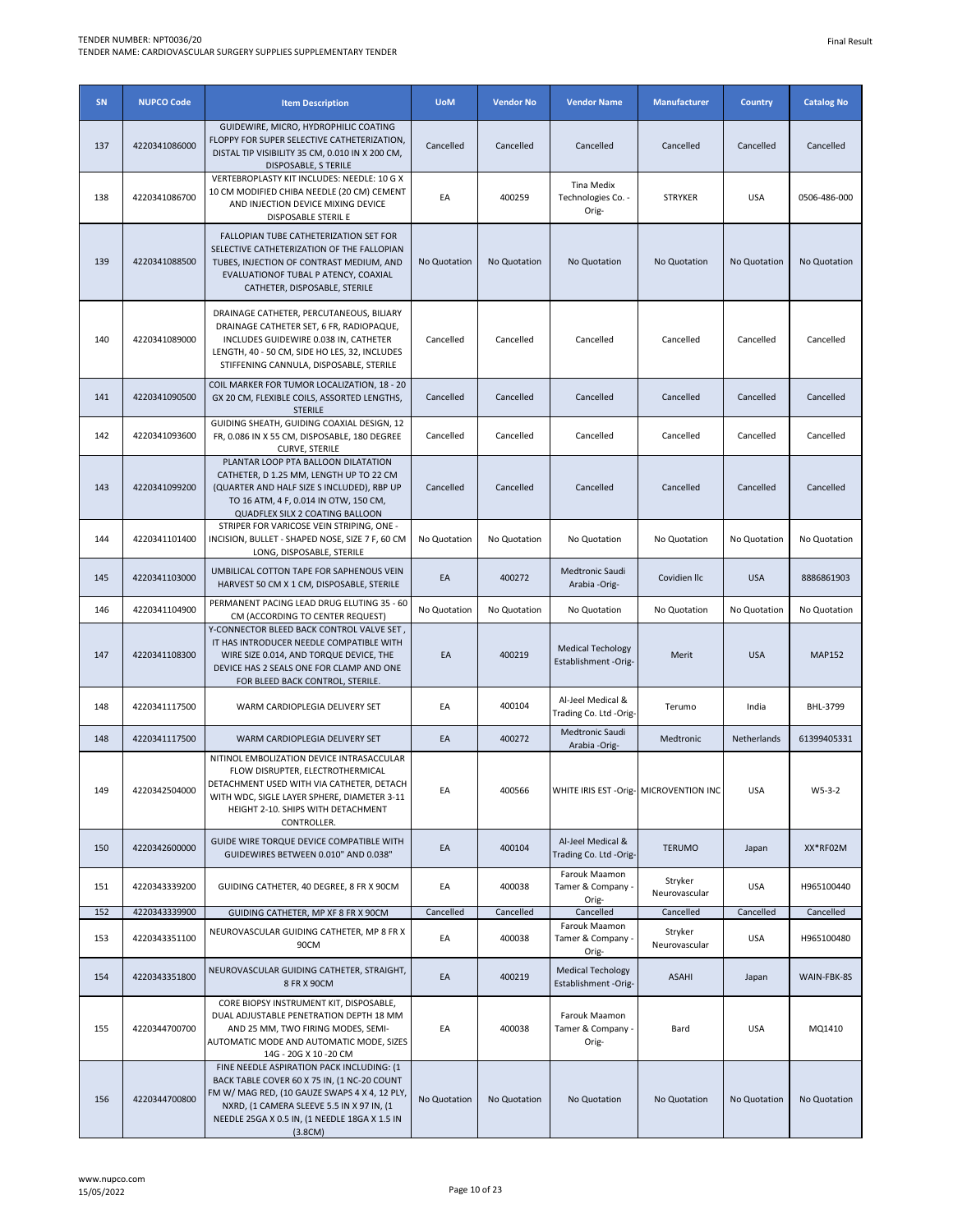| SN  | <b>NUPCO Code</b> | <b>Item Description</b>                                                                                                                                                                                                                            | <b>UoM</b>   | <b>Vendor No</b> | <b>Vendor Name</b>                               | <b>Manufacturer</b>      | <b>Country</b> | <b>Catalog No</b> |
|-----|-------------------|----------------------------------------------------------------------------------------------------------------------------------------------------------------------------------------------------------------------------------------------------|--------------|------------------|--------------------------------------------------|--------------------------|----------------|-------------------|
| 137 | 4220341086000     | GUIDEWIRE, MICRO, HYDROPHILIC COATING<br>FLOPPY FOR SUPER SELECTIVE CATHETERIZATION,<br>DISTAL TIP VISIBILITY 35 CM, 0.010 IN X 200 CM,<br>DISPOSABLE, S TERILE                                                                                    | Cancelled    | Cancelled        | Cancelled                                        | Cancelled                | Cancelled      | Cancelled         |
| 138 | 4220341086700     | VERTEBROPLASTY KIT INCLUDES: NEEDLE: 10 G X<br>10 CM MODIFIED CHIBA NEEDLE (20 CM) CEMENT<br>AND INJECTION DEVICE MIXING DEVICE<br>DISPOSABLE STERIL E                                                                                             | EA           | 400259           | Tina Medix<br>Technologies Co. -<br>Orig-        | <b>STRYKER</b>           | <b>USA</b>     | 0506-486-000      |
| 139 | 4220341088500     | FALLOPIAN TUBE CATHETERIZATION SET FOR<br>SELECTIVE CATHETERIZATION OF THE FALLOPIAN<br>TUBES, INJECTION OF CONTRAST MEDIUM, AND<br>EVALUATIONOF TUBAL P ATENCY, COAXIAL<br>CATHETER, DISPOSABLE, STERILE                                          | No Quotation | No Quotation     | No Quotation                                     | No Quotation             | No Quotation   | No Quotation      |
| 140 | 4220341089000     | DRAINAGE CATHETER, PERCUTANEOUS, BILIARY<br>DRAINAGE CATHETER SET, 6 FR, RADIOPAQUE,<br>INCLUDES GUIDEWIRE 0.038 IN, CATHETER<br>LENGTH, 40 - 50 CM, SIDE HO LES, 32, INCLUDES<br>STIFFENING CANNULA, DISPOSABLE, STERILE                          | Cancelled    | Cancelled        | Cancelled                                        | Cancelled                | Cancelled      | Cancelled         |
| 141 | 4220341090500     | COIL MARKER FOR TUMOR LOCALIZATION, 18 - 20<br>GX 20 CM, FLEXIBLE COILS, ASSORTED LENGTHS,<br><b>STERILE</b>                                                                                                                                       | Cancelled    | Cancelled        | Cancelled                                        | Cancelled                | Cancelled      | Cancelled         |
| 142 | 4220341093600     | GUIDING SHEATH, GUIDING COAXIAL DESIGN, 12<br>FR, 0.086 IN X 55 CM, DISPOSABLE, 180 DEGREE<br><b>CURVE, STERILE</b>                                                                                                                                | Cancelled    | Cancelled        | Cancelled                                        | Cancelled                | Cancelled      | Cancelled         |
| 143 | 4220341099200     | PLANTAR LOOP PTA BALLOON DILATATION<br>CATHETER, D 1.25 MM, LENGTH UP TO 22 CM<br>(QUARTER AND HALF SIZE S INCLUDED), RBP UP<br>TO 16 ATM, 4 F, 0.014 IN OTW, 150 CM,<br>QUADFLEX SILX 2 COATING BALLOON                                           | Cancelled    | Cancelled        | Cancelled                                        | Cancelled                | Cancelled      | Cancelled         |
| 144 | 4220341101400     | STRIPER FOR VARICOSE VEIN STRIPING, ONE -<br>INCISION, BULLET - SHAPED NOSE, SIZE 7 F, 60 CM<br>LONG, DISPOSABLE, STERILE                                                                                                                          | No Quotation | No Quotation     | No Quotation                                     | No Quotation             | No Quotation   | No Quotation      |
| 145 | 4220341103000     | UMBILICAL COTTON TAPE FOR SAPHENOUS VEIN<br>HARVEST 50 CM X 1 CM, DISPOSABLE, STERILE                                                                                                                                                              | EA           | 400272           | Medtronic Saudi<br>Arabia -Orig-                 | Covidien IIc             | <b>USA</b>     | 8886861903        |
| 146 | 4220341104900     | PERMANENT PACING LEAD DRUG ELUTING 35 - 60<br>CM (ACCORDING TO CENTER REQUEST)                                                                                                                                                                     | No Quotation | No Quotation     | No Quotation                                     | No Quotation             | No Quotation   | No Quotation      |
| 147 | 4220341108300     | Y-CONNECTOR BLEED BACK CONTROL VALVE SET,<br>IT HAS INTRODUCER NEEDLE COMPATIBLE WITH<br>WIRE SIZE 0.014, AND TORQUE DEVICE, THE<br>DEVICE HAS 2 SEALS ONE FOR CLAMP AND ONE<br>FOR BLEED BACK CONTROL, STERILE.                                   | EA           | 400219           | <b>Medical Techology</b><br>Establishment -Orig- | Merit                    | <b>USA</b>     | <b>MAP152</b>     |
| 148 | 4220341117500     | WARM CARDIOPLEGIA DELIVERY SET                                                                                                                                                                                                                     | EA           | 400104           | Al-Jeel Medical &<br>Trading Co. Ltd -Orig-      | Terumo                   | India          | BHL-3799          |
| 148 | 4220341117500     | WARM CARDIOPLEGIA DELIVERY SET                                                                                                                                                                                                                     | EA           | 400272           | Medtronic Saudi<br>Arabia -Orig-                 | Medtronic                | Netherlands    | 61399405331       |
| 149 | 4220342504000     | NITINOL EMBOLIZATION DEVICE INTRASACCULAR<br>FLOW DISRUPTER. ELECTROTHERMICAL<br>DETACHMENT USED WITH VIA CATHETER, DETACH<br>WITH WDC, SIGLE LAYER SPHERE, DIAMETER 3-11<br>HEIGHT 2-10. SHIPS WITH DETACHMENT<br>CONTROLLER.                     | EA           | 400566           | WHITE IRIS EST - Orig- MICROVENTION INC          |                          | <b>USA</b>     | $W5-3-2$          |
| 150 | 4220342600000     | GUIDE WIRE TORQUE DEVICE COMPATIBLE WITH<br>GUIDEWIRES BETWEEN 0.010" AND 0.038"                                                                                                                                                                   | EA           | 400104           | Al-Jeel Medical &<br>Trading Co. Ltd -Orig-      | <b>TERUMO</b>            | Japan          | XX*RF02M          |
| 151 | 4220343339200     | GUIDING CATHETER, 40 DEGREE, 8 FR X 90CM                                                                                                                                                                                                           | EA           | 400038           | Farouk Maamon<br>Tamer & Company<br>Orig-        | Stryker<br>Neurovascular | <b>USA</b>     | H965100440        |
| 152 | 4220343339900     | GUIDING CATHETER, MP XF 8 FR X 90CM                                                                                                                                                                                                                | Cancelled    | Cancelled        | Cancelled<br>Farouk Maamon                       | Cancelled                | Cancelled      | Cancelled         |
| 153 | 4220343351100     | NEUROVASCULAR GUIDING CATHETER, MP 8 FR X<br>90CM                                                                                                                                                                                                  | EA           | 400038           | Tamer & Company .<br>Orig-                       | Stryker<br>Neurovascular | <b>USA</b>     | H965100480        |
| 154 | 4220343351800     | NEUROVASCULAR GUIDING CATHETER, STRAIGHT,<br>8 FR X 90CM                                                                                                                                                                                           | EA           | 400219           | <b>Medical Techology</b><br>Establishment -Orig- | <b>ASAHI</b>             | Japan          | WAIN-FBK-8S       |
| 155 | 4220344700700     | CORE BIOPSY INSTRUMENT KIT, DISPOSABLE,<br>DUAL ADJUSTABLE PENETRATION DEPTH 18 MM<br>AND 25 MM, TWO FIRING MODES, SEMI-<br>AUTOMATIC MODE AND AUTOMATIC MODE, SIZES<br>14G - 20G X 10 -20 CM                                                      | EA           | 400038           | Farouk Maamon<br>Tamer & Company<br>Orig-        | Bard                     | <b>USA</b>     | MQ1410            |
| 156 | 4220344700800     | FINE NEEDLE ASPIRATION PACK INCLUDING: (1<br>BACK TABLE COVER 60 X 75 IN, (1 NC-20 COUNT<br>FM W/ MAG RED, (10 GAUZE SWAPS 4 X 4, 12 PLY,<br>NXRD, (1 CAMERA SLEEVE 5.5 IN X 97 IN, (1<br>NEEDLE 25GA X 0.5 IN, (1 NEEDLE 18GA X 1.5 IN<br>(3.8CM) | No Quotation | No Quotation     | No Quotation                                     | No Quotation             | No Quotation   | No Quotation      |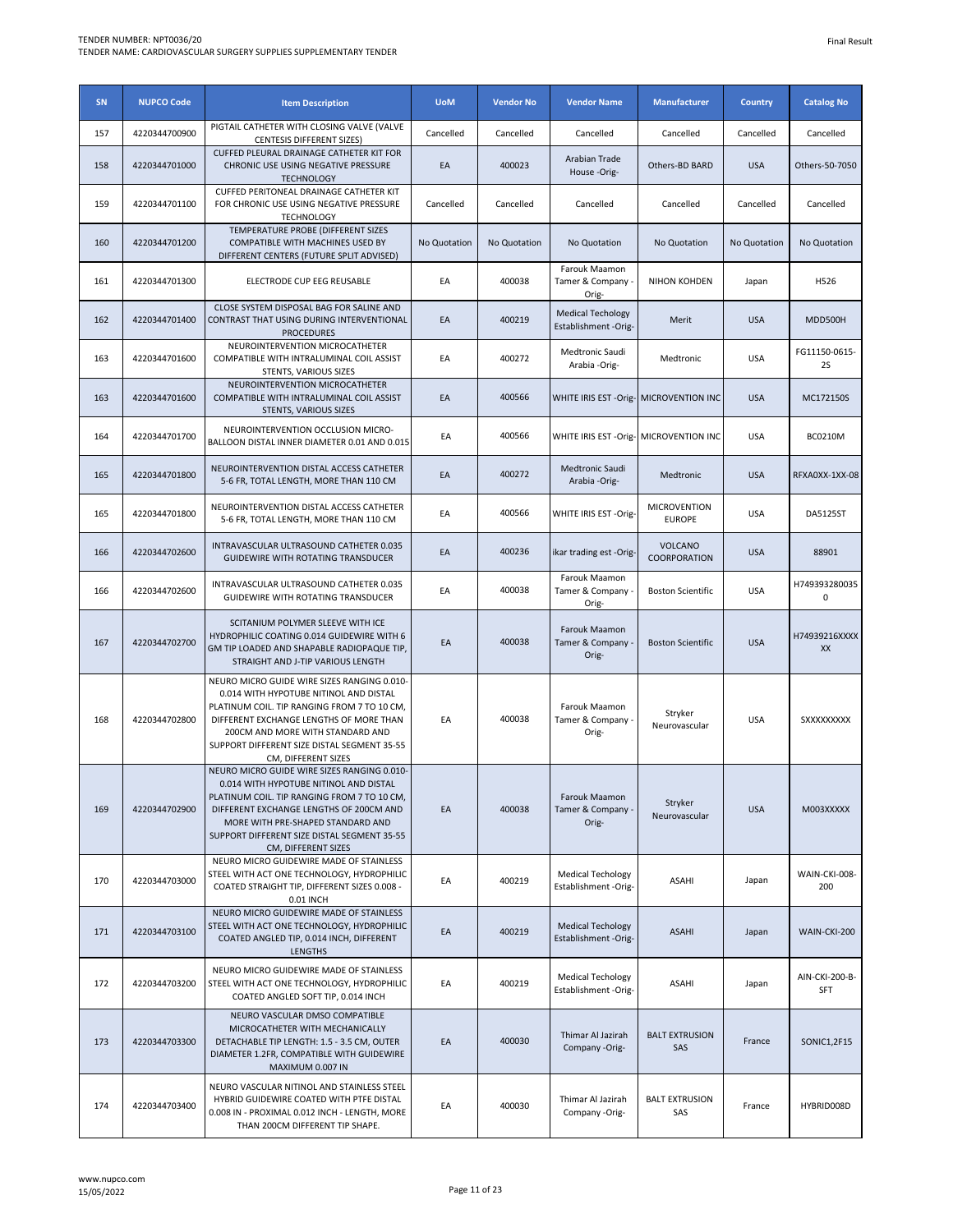| SN  | <b>NUPCO Code</b> | <b>Item Description</b>                                                                                                                                                                                                                                                                    | <b>UoM</b>   | <b>Vendor No</b> | <b>Vendor Name</b>                               | <b>Manufacturer</b>                     | <b>Country</b>      | <b>Catalog No</b>     |
|-----|-------------------|--------------------------------------------------------------------------------------------------------------------------------------------------------------------------------------------------------------------------------------------------------------------------------------------|--------------|------------------|--------------------------------------------------|-----------------------------------------|---------------------|-----------------------|
| 157 | 4220344700900     | PIGTAIL CATHETER WITH CLOSING VALVE (VALVE<br><b>CENTESIS DIFFERENT SIZES)</b>                                                                                                                                                                                                             | Cancelled    | Cancelled        | Cancelled                                        | Cancelled                               | Cancelled           | Cancelled             |
| 158 | 4220344701000     | CUFFED PLEURAL DRAINAGE CATHETER KIT FOR<br>CHRONIC USE USING NEGATIVE PRESSURE<br><b>TECHNOLOGY</b>                                                                                                                                                                                       | EA           | 400023           | Arabian Trade<br>House-Orig-                     | Others-BD BARD                          | <b>USA</b>          | Others-50-7050        |
| 159 | 4220344701100     | CUFFED PERITONEAL DRAINAGE CATHETER KIT<br>FOR CHRONIC USE USING NEGATIVE PRESSURE<br><b>TECHNOLOGY</b>                                                                                                                                                                                    | Cancelled    | Cancelled        | Cancelled                                        | Cancelled                               | Cancelled           | Cancelled             |
| 160 | 4220344701200     | TEMPERATURE PROBE (DIFFERENT SIZES<br>COMPATIBLE WITH MACHINES USED BY<br>DIFFERENT CENTERS (FUTURE SPLIT ADVISED)                                                                                                                                                                         | No Quotation | No Quotation     | No Quotation                                     | No Quotation                            | <b>No Quotation</b> | No Quotation          |
| 161 | 4220344701300     | ELECTRODE CUP EEG REUSABLE                                                                                                                                                                                                                                                                 | EA           | 400038           | Farouk Maamon<br>Tamer & Company<br>Orig-        | NIHON KOHDEN                            | Japan               | H526                  |
| 162 | 4220344701400     | CLOSE SYSTEM DISPOSAL BAG FOR SALINE AND<br>CONTRAST THAT USING DURING INTERVENTIONAL<br><b>PROCEDURES</b>                                                                                                                                                                                 | EA           | 400219           | <b>Medical Techology</b><br>Establishment -Orig- | Merit                                   | <b>USA</b>          | MDD500H               |
| 163 | 4220344701600     | NEUROINTERVENTION MICROCATHETER<br>COMPATIBLE WITH INTRALUMINAL COIL ASSIST<br>STENTS, VARIOUS SIZES                                                                                                                                                                                       | EA           | 400272           | Medtronic Saudi<br>Arabia -Orig-                 | Medtronic                               | <b>USA</b>          | FG11150-0615-<br>2S   |
| 163 | 4220344701600     | NEUROINTERVENTION MICROCATHETER<br>COMPATIBLE WITH INTRALUMINAL COIL ASSIST<br>STENTS, VARIOUS SIZES                                                                                                                                                                                       | EA           | 400566           |                                                  | WHITE IRIS EST - Orig- MICROVENTION INC | <b>USA</b>          | MC172150S             |
| 164 | 4220344701700     | NEUROINTERVENTION OCCLUSION MICRO-<br>BALLOON DISTAL INNER DIAMETER 0.01 AND 0.015                                                                                                                                                                                                         | EA           | 400566           | WHITE IRIS EST - Orig- MICROVENTION INC          |                                         | <b>USA</b>          | <b>BC0210M</b>        |
| 165 | 4220344701800     | NEUROINTERVENTION DISTAL ACCESS CATHETER<br>5-6 FR, TOTAL LENGTH, MORE THAN 110 CM                                                                                                                                                                                                         | EA           | 400272           | Medtronic Saudi<br>Arabia -Orig-                 | Medtronic                               | <b>USA</b>          | RFXA0XX-1XX-08        |
| 165 | 4220344701800     | NEUROINTERVENTION DISTAL ACCESS CATHETER<br>5-6 FR, TOTAL LENGTH, MORE THAN 110 CM                                                                                                                                                                                                         | EA           | 400566           | WHITE IRIS EST -Orig-                            | <b>MICROVENTION</b><br><b>EUROPE</b>    | <b>USA</b>          | <b>DA5125ST</b>       |
| 166 | 4220344702600     | INTRAVASCULAR ULTRASOUND CATHETER 0.035<br>GUIDEWIRE WITH ROTATING TRANSDUCER                                                                                                                                                                                                              | EA           | 400236           | ikar trading est -Orig-                          | <b>VOLCANO</b><br>COORPORATION          | <b>USA</b>          | 88901                 |
| 166 | 4220344702600     | INTRAVASCULAR ULTRASOUND CATHETER 0.035<br>GUIDEWIRE WITH ROTATING TRANSDUCER                                                                                                                                                                                                              | EA           | 400038           | Farouk Maamon<br>Tamer & Company<br>Orig-        | <b>Boston Scientific</b>                | <b>USA</b>          | H749393280035<br>0    |
| 167 | 4220344702700     | SCITANIUM POLYMER SLEEVE WITH ICE<br>HYDROPHILIC COATING 0.014 GUIDEWIRE WITH 6<br>GM TIP LOADED AND SHAPABLE RADIOPAQUE TIP,<br>STRAIGHT AND J-TIP VARIOUS LENGTH                                                                                                                         | EA           | 400038           | Farouk Maamon<br>Tamer & Company<br>Orig-        | <b>Boston Scientific</b>                | <b>USA</b>          | H74939216XXXX<br>XX   |
| 168 | 4220344702800     | NEURO MICRO GUIDE WIRE SIZES RANGING 0.010-<br>0.014 WITH HYPOTUBE NITINOL AND DISTAL<br>PLATINUM COIL. TIP RANGING FROM 7 TO 10 CM,<br>DIFFERENT EXCHANGE LENGTHS OF MORE THAN<br>200CM AND MORE WITH STANDARD AND<br>SUPPORT DIFFERENT SIZE DISTAL SEGMENT 35-55<br>CM, DIFFERENT SIZES  | EA           | 400038           | Farouk Maamon<br>Tamer & Company<br>Orig-        | Stryker<br>Neurovascular                | <b>USA</b>          | <b>SXXXXXXXXX</b>     |
| 169 | 4220344702900     | NEURO MICRO GUIDE WIRE SIZES RANGING 0.010-<br>0.014 WITH HYPOTUBE NITINOL AND DISTAL<br>PLATINUM COIL. TIP RANGING FROM 7 TO 10 CM,<br>DIFFERENT EXCHANGE LENGTHS OF 200CM AND<br>MORE WITH PRE-SHAPED STANDARD AND<br>SUPPORT DIFFERENT SIZE DISTAL SEGMENT 35-55<br>CM, DIFFERENT SIZES | EA           | 400038           | Farouk Maamon<br>Tamer & Company .<br>Orig-      | Stryker<br>Neurovascular                | <b>USA</b>          | M003XXXXX             |
| 170 | 4220344703000     | NEURO MICRO GUIDEWIRE MADE OF STAINLESS<br>STEEL WITH ACT ONE TECHNOLOGY, HYDROPHILIC<br>COATED STRAIGHT TIP, DIFFERENT SIZES 0.008 -<br>0.01 INCH                                                                                                                                         | EA           | 400219           | <b>Medical Techology</b><br>Establishment -Orig- | ASAHI                                   | Japan               | WAIN-CKI-008-<br>200  |
| 171 | 4220344703100     | NEURO MICRO GUIDEWIRE MADE OF STAINLESS<br>STEEL WITH ACT ONE TECHNOLOGY, HYDROPHILIC<br>COATED ANGLED TIP, 0.014 INCH, DIFFERENT<br><b>LENGTHS</b>                                                                                                                                        | EA           | 400219           | <b>Medical Techology</b><br>Establishment -Orig- | <b>ASAHI</b>                            | Japan               | WAIN-CKI-200          |
| 172 | 4220344703200     | NEURO MICRO GUIDEWIRE MADE OF STAINLESS<br>STEEL WITH ACT ONE TECHNOLOGY, HYDROPHILIC<br>COATED ANGLED SOFT TIP, 0.014 INCH                                                                                                                                                                | EA           | 400219           | <b>Medical Techology</b><br>Establishment -Orig- | ASAHI                                   | Japan               | AIN-CKI-200-B-<br>SFT |
| 173 | 4220344703300     | NEURO VASCULAR DMSO COMPATIBLE<br>MICROCATHETER WITH MECHANICALLY<br>DETACHABLE TIP LENGTH: 1.5 - 3.5 CM, OUTER<br>DIAMETER 1.2FR, COMPATIBLE WITH GUIDEWIRE<br>MAXIMUM 0.007 IN                                                                                                           | EA           | 400030           | Thimar Al Jazirah<br>Company -Orig-              | <b>BALT EXTRUSION</b><br>SAS            | France              | SONIC1,2F15           |
| 174 | 4220344703400     | NEURO VASCULAR NITINOL AND STAINLESS STEEL<br>HYBRID GUIDEWIRE COATED WITH PTFE DISTAL<br>0.008 IN - PROXIMAL 0.012 INCH - LENGTH, MORE<br>THAN 200CM DIFFERENT TIP SHAPE.                                                                                                                 | EA           | 400030           | Thimar Al Jazirah<br>Company -Orig-              | <b>BALT EXTRUSION</b><br>SAS            | France              | HYBRID008D            |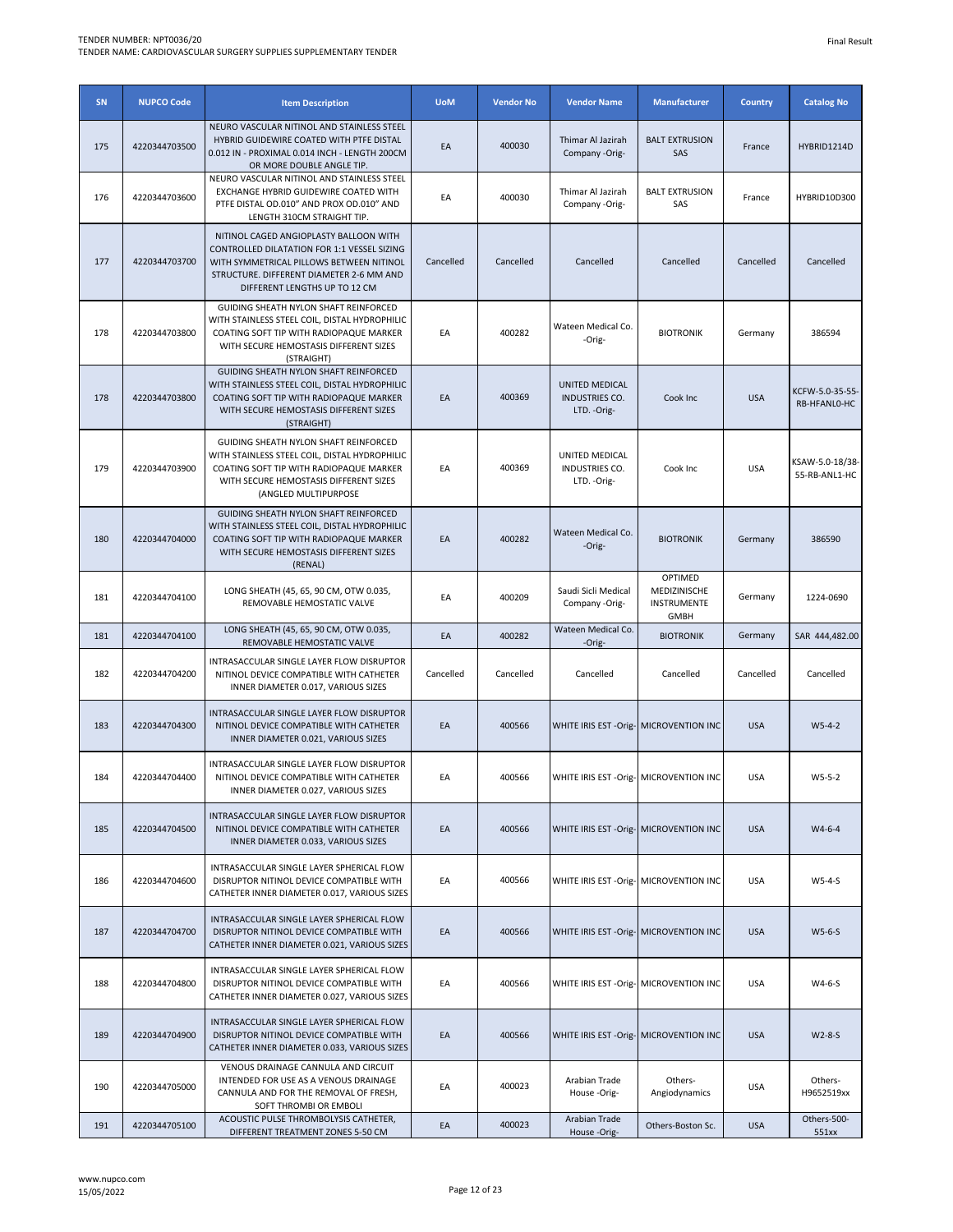| SN  | <b>NUPCO Code</b> | <b>Item Description</b>                                                                                                                                                                                        | <b>UoM</b> | <b>Vendor No</b> | <b>Vendor Name</b>                                      | <b>Manufacturer</b>                                   | <b>Country</b> | <b>Catalog No</b>                |
|-----|-------------------|----------------------------------------------------------------------------------------------------------------------------------------------------------------------------------------------------------------|------------|------------------|---------------------------------------------------------|-------------------------------------------------------|----------------|----------------------------------|
| 175 | 4220344703500     | NEURO VASCULAR NITINOL AND STAINLESS STEEL<br>HYBRID GUIDEWIRE COATED WITH PTFE DISTAL<br>0.012 IN - PROXIMAL 0.014 INCH - LENGTH 200CM<br>OR MORE DOUBLE ANGLE TIP.                                           | EA         | 400030           | Thimar Al Jazirah<br>Company -Orig-                     | <b>BALT EXTRUSION</b><br>SAS                          | France         | HYBRID1214D                      |
| 176 | 4220344703600     | NEURO VASCULAR NITINOL AND STAINLESS STEEL<br>EXCHANGE HYBRID GUIDEWIRE COATED WITH<br>PTFE DISTAL OD.010" AND PROX OD.010" AND<br>LENGTH 310CM STRAIGHT TIP.                                                  | EA         | 400030           | Thimar Al Jazirah<br>Company -Orig-                     | <b>BALT EXTRUSION</b><br>SAS                          | France         | HYBRID10D300                     |
| 177 | 4220344703700     | NITINOL CAGED ANGIOPLASTY BALLOON WITH<br>CONTROLLED DILATATION FOR 1:1 VESSEL SIZING<br>WITH SYMMETRICAL PILLOWS BETWEEN NITINOL<br>STRUCTURE. DIFFERENT DIAMETER 2-6 MM AND<br>DIFFERENT LENGTHS UP TO 12 CM | Cancelled  | Cancelled        | Cancelled                                               | Cancelled                                             | Cancelled      | Cancelled                        |
| 178 | 4220344703800     | GUIDING SHEATH NYLON SHAFT REINFORCED<br>WITH STAINLESS STEEL COIL, DISTAL HYDROPHILIC<br>COATING SOFT TIP WITH RADIOPAQUE MARKER<br>WITH SECURE HEMOSTASIS DIFFERENT SIZES<br>(STRAIGHT)                      | EA         | 400282           | Wateen Medical Co.<br>-Orig-                            | <b>BIOTRONIK</b>                                      | Germany        | 386594                           |
| 178 | 4220344703800     | GUIDING SHEATH NYLON SHAFT REINFORCED<br>WITH STAINLESS STEEL COIL, DISTAL HYDROPHILIC<br>COATING SOFT TIP WITH RADIOPAQUE MARKER<br>WITH SECURE HEMOSTASIS DIFFERENT SIZES<br>(STRAIGHT)                      | EA         | 400369           | <b>UNITED MEDICAL</b><br>INDUSTRIES CO.<br>LTD. - Orig- | Cook Inc                                              | <b>USA</b>     | KCFW-5.0-35-55-<br>RB-HFANL0-HC  |
| 179 | 4220344703900     | GUIDING SHEATH NYLON SHAFT REINFORCED<br>WITH STAINLESS STEEL COIL, DISTAL HYDROPHILIC<br>COATING SOFT TIP WITH RADIOPAQUE MARKER<br>WITH SECURE HEMOSTASIS DIFFERENT SIZES<br>(ANGLED MULTIPURPOSE            | EA         | 400369           | UNITED MEDICAL<br>INDUSTRIES CO.<br>LTD. - Orig-        | Cook Inc                                              | <b>USA</b>     | KSAW-5.0-18/38-<br>55-RB-ANL1-HC |
| 180 | 4220344704000     | GUIDING SHEATH NYLON SHAFT REINFORCED<br>WITH STAINLESS STEEL COIL, DISTAL HYDROPHILIC<br>COATING SOFT TIP WITH RADIOPAQUE MARKER<br>WITH SECURE HEMOSTASIS DIFFERENT SIZES<br>(RENAL)                         | EA         | 400282           | Wateen Medical Co.<br>-Orig-                            | <b>BIOTRONIK</b>                                      | Germany        | 386590                           |
| 181 | 4220344704100     | LONG SHEATH (45, 65, 90 CM, OTW 0.035,<br>REMOVABLE HEMOSTATIC VALVE                                                                                                                                           | EA         | 400209           | Saudi Sicli Medical<br>Company -Orig-                   | OPTIMED<br>MEDIZINISCHE<br>INSTRUMENTE<br><b>GMBH</b> | Germany        | 1224-0690                        |
| 181 | 4220344704100     | LONG SHEATH (45, 65, 90 CM, OTW 0.035,<br>REMOVABLE HEMOSTATIC VALVE                                                                                                                                           | EA         | 400282           | Wateen Medical Co.<br>-Orig-                            | <b>BIOTRONIK</b>                                      | Germany        | SAR 444,482.00                   |
| 182 | 4220344704200     | INTRASACCULAR SINGLE LAYER FLOW DISRUPTOR<br>NITINOL DEVICE COMPATIBLE WITH CATHETER<br>INNER DIAMETER 0.017, VARIOUS SIZES                                                                                    | Cancelled  | Cancelled        | Cancelled                                               | Cancelled                                             | Cancelled      | Cancelled                        |
| 183 | 4220344704300     | INTRASACCULAR SINGLE LAYER FLOW DISRUPTOR<br>NITINOL DEVICE COMPATIBLE WITH CATHETER<br>INNER DIAMETER 0.021, VARIOUS SIZES                                                                                    | EA         | 400566           | WHITE IRIS EST - Orig- MICROVENTION INC                 |                                                       | <b>USA</b>     | $W5-4-2$                         |
| 184 | 4220344704400     | INTRASACCULAR SINGLE LAYER FLOW DISRUPTOR<br>NITINOL DEVICE COMPATIBLE WITH CATHETER<br>INNER DIAMETER 0.027, VARIOUS SIZES                                                                                    | EA         | 400566           |                                                         | WHITE IRIS EST - Orig- MICROVENTION INC               | <b>USA</b>     | $W5-5-2$                         |
| 185 | 4220344704500     | INTRASACCULAR SINGLE LAYER FLOW DISRUPTOR<br>NITINOL DEVICE COMPATIBLE WITH CATHETER<br>INNER DIAMETER 0.033, VARIOUS SIZES                                                                                    | EA         | 400566           | WHITE IRIS EST - Orig- MICROVENTION INC                 |                                                       | <b>USA</b>     | $W4-6-4$                         |
| 186 | 4220344704600     | INTRASACCULAR SINGLE LAYER SPHERICAL FLOW<br>DISRUPTOR NITINOL DEVICE COMPATIBLE WITH<br>CATHETER INNER DIAMETER 0.017, VARIOUS SIZES                                                                          | EA         | 400566           | WHITE IRIS EST - Orig- MICROVENTION INC                 |                                                       | <b>USA</b>     | W5-4-S                           |
| 187 | 4220344704700     | INTRASACCULAR SINGLE LAYER SPHERICAL FLOW<br>DISRUPTOR NITINOL DEVICE COMPATIBLE WITH<br>CATHETER INNER DIAMETER 0.021, VARIOUS SIZES                                                                          | EA         | 400566           | WHITE IRIS EST - Orig- MICROVENTION INC                 |                                                       | <b>USA</b>     | $W5-6-S$                         |
| 188 | 4220344704800     | INTRASACCULAR SINGLE LAYER SPHERICAL FLOW<br>DISRUPTOR NITINOL DEVICE COMPATIBLE WITH<br>CATHETER INNER DIAMETER 0.027, VARIOUS SIZES                                                                          | EA         | 400566           | WHITE IRIS EST - Orig- MICROVENTION INC                 |                                                       | <b>USA</b>     | W4-6-S                           |
| 189 | 4220344704900     | INTRASACCULAR SINGLE LAYER SPHERICAL FLOW<br>DISRUPTOR NITINOL DEVICE COMPATIBLE WITH<br>CATHETER INNER DIAMETER 0.033, VARIOUS SIZES                                                                          | EA         | 400566           | WHITE IRIS EST - Orig- MICROVENTION INC                 |                                                       | <b>USA</b>     | W2-8-S                           |
| 190 | 4220344705000     | VENOUS DRAINAGE CANNULA AND CIRCUIT<br>INTENDED FOR USE AS A VENOUS DRAINAGE<br>CANNULA AND FOR THE REMOVAL OF FRESH,<br>SOFT THROMBI OR EMBOLI                                                                | EA         | 400023           | Arabian Trade<br>House-Orig-                            | Others-<br>Angiodynamics                              | <b>USA</b>     | Others-<br>H9652519xx            |
| 191 | 4220344705100     | ACOUSTIC PULSE THROMBOLYSIS CATHETER,<br>DIFFERENT TREATMENT ZONES 5-50 CM                                                                                                                                     | EA         | 400023           | Arabian Trade<br>House-Orig-                            | Others-Boston Sc.                                     | <b>USA</b>     | Others-500-<br>551xx             |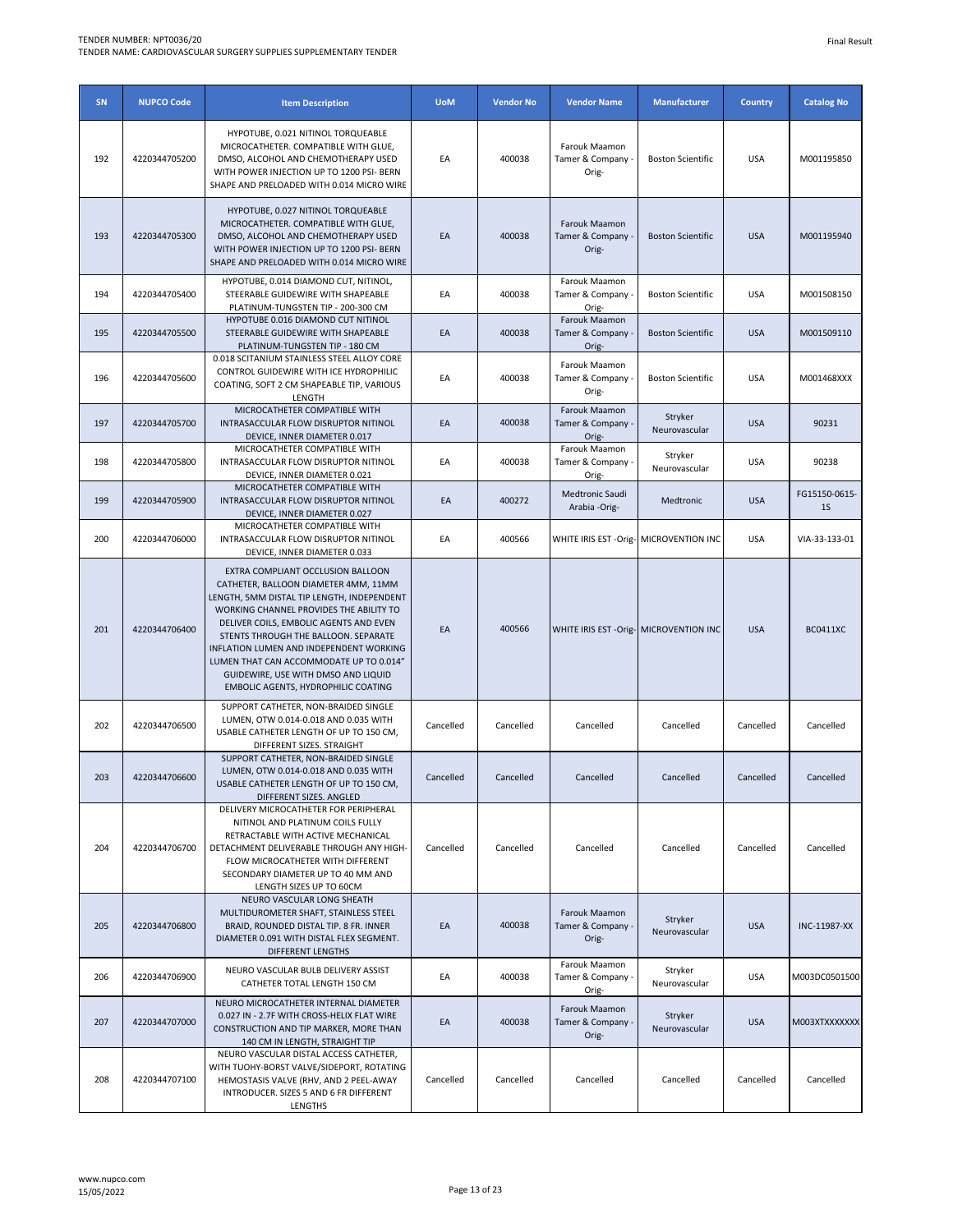| SN  | <b>NUPCO Code</b> | <b>Item Description</b>                                                                                                                                                                                                                                                                                                                                                                                                  | <b>UoM</b> | <b>Vendor No</b> | <b>Vendor Name</b>                          | <b>Manufacturer</b>      | <b>Country</b> | <b>Catalog No</b>               |
|-----|-------------------|--------------------------------------------------------------------------------------------------------------------------------------------------------------------------------------------------------------------------------------------------------------------------------------------------------------------------------------------------------------------------------------------------------------------------|------------|------------------|---------------------------------------------|--------------------------|----------------|---------------------------------|
| 192 | 4220344705200     | HYPOTUBE, 0.021 NITINOL TORQUEABLE<br>MICROCATHETER. COMPATIBLE WITH GLUE,<br>DMSO, ALCOHOL AND CHEMOTHERAPY USED<br>WITH POWER INJECTION UP TO 1200 PSI- BERN<br>SHAPE AND PRELOADED WITH 0.014 MICRO WIRE                                                                                                                                                                                                              | EA         | 400038           | Farouk Maamon<br>Tamer & Company -<br>Orig- | <b>Boston Scientific</b> | <b>USA</b>     | M001195850                      |
| 193 | 4220344705300     | HYPOTUBE, 0.027 NITINOL TORQUEABLE<br>MICROCATHETER. COMPATIBLE WITH GLUE,<br>DMSO, ALCOHOL AND CHEMOTHERAPY USED<br>WITH POWER INJECTION UP TO 1200 PSI- BERN<br>SHAPE AND PRELOADED WITH 0.014 MICRO WIRE                                                                                                                                                                                                              | EA         | 400038           | Farouk Maamon<br>Tamer & Company<br>Orig-   | <b>Boston Scientific</b> | <b>USA</b>     | M001195940                      |
| 194 | 4220344705400     | HYPOTUBE, 0.014 DIAMOND CUT, NITINOL,<br>STEERABLE GUIDEWIRE WITH SHAPEABLE<br>PLATINUM-TUNGSTEN TIP - 200-300 CM                                                                                                                                                                                                                                                                                                        | EA         | 400038           | Farouk Maamon<br>Tamer & Company -<br>Orig- | <b>Boston Scientific</b> | <b>USA</b>     | M001508150                      |
| 195 | 4220344705500     | HYPOTUBE 0.016 DIAMOND CUT NITINOL<br>STEERABLE GUIDEWIRE WITH SHAPEABLE<br>PLATINUM-TUNGSTEN TIP - 180 CM                                                                                                                                                                                                                                                                                                               | EA         | 400038           | Farouk Maamon<br>Tamer & Company<br>Orig-   | <b>Boston Scientific</b> | <b>USA</b>     | M001509110                      |
| 196 | 4220344705600     | 0.018 SCITANIUM STAINLESS STEEL ALLOY CORE<br>CONTROL GUIDEWIRE WITH ICE HYDROPHILIC<br>COATING, SOFT 2 CM SHAPEABLE TIP, VARIOUS<br>LENGTH                                                                                                                                                                                                                                                                              | EA         | 400038           | Farouk Maamon<br>Tamer & Company .<br>Orig- | <b>Boston Scientific</b> | <b>USA</b>     | M001468XXX                      |
| 197 | 4220344705700     | MICROCATHETER COMPATIBLE WITH<br>INTRASACCULAR FLOW DISRUPTOR NITINOL<br>DEVICE, INNER DIAMETER 0.017                                                                                                                                                                                                                                                                                                                    | EA         | 400038           | Farouk Maamon<br>Tamer & Company<br>Orig-   | Stryker<br>Neurovascular | <b>USA</b>     | 90231                           |
| 198 | 4220344705800     | MICROCATHETER COMPATIBLE WITH<br>INTRASACCULAR FLOW DISRUPTOR NITINOL<br>DEVICE, INNER DIAMETER 0.021                                                                                                                                                                                                                                                                                                                    | EA         | 400038           | Farouk Maamon<br>Tamer & Company -<br>Orig- | Stryker<br>Neurovascular | <b>USA</b>     | 90238                           |
| 199 | 4220344705900     | MICROCATHETER COMPATIBLE WITH<br>INTRASACCULAR FLOW DISRUPTOR NITINOL<br>DEVICE, INNER DIAMETER 0.027                                                                                                                                                                                                                                                                                                                    | EA         | 400272           | Medtronic Saudi<br>Arabia -Orig-            | Medtronic                | <b>USA</b>     | FG15150-0615-<br>1 <sub>S</sub> |
| 200 | 4220344706000     | MICROCATHETER COMPATIBLE WITH<br>INTRASACCULAR FLOW DISRUPTOR NITINOL<br>DEVICE, INNER DIAMETER 0.033                                                                                                                                                                                                                                                                                                                    | EA         | 400566           | WHITE IRIS EST -Orig-                       | <b>MICROVENTION INC</b>  | <b>USA</b>     | VIA-33-133-01                   |
| 201 | 4220344706400     | EXTRA COMPLIANT OCCLUSION BALLOON<br>CATHETER, BALLOON DIAMETER 4MM, 11MM<br>LENGTH, 5MM DISTAL TIP LENGTH, INDEPENDENT<br>WORKING CHANNEL PROVIDES THE ABILITY TO<br>DELIVER COILS, EMBOLIC AGENTS AND EVEN<br>STENTS THROUGH THE BALLOON. SEPARATE<br>INFLATION LUMEN AND INDEPENDENT WORKING<br>LUMEN THAT CAN ACCOMMODATE UP TO 0.014"<br>GUIDEWIRE, USE WITH DMSO AND LIQUID<br>EMBOLIC AGENTS, HYDROPHILIC COATING | EA         | 400566           | WHITE IRIS EST - Orig- MICROVENTION INC     |                          | <b>USA</b>     | <b>BC0411XC</b>                 |
| 202 | 4220344706500     | SUPPORT CATHETER, NON-BRAIDED SINGLE<br>LUMEN, OTW 0.014-0.018 AND 0.035 WITH<br>USABLE CATHETER LENGTH OF UP TO 150 CM,<br>DIFFERENT SIZES. STRAIGHT                                                                                                                                                                                                                                                                    | Cancelled  | Cancelled        | Cancelled                                   | Cancelled                | Cancelled      | Cancelled                       |
| 203 | 4220344706600     | SUPPORT CATHETER, NON-BRAIDED SINGLE<br>LUMEN, OTW 0.014-0.018 AND 0.035 WITH<br>USABLE CATHETER LENGTH OF UP TO 150 CM,<br>DIFFERENT SIZES. ANGLED                                                                                                                                                                                                                                                                      | Cancelled  | Cancelled        | Cancelled                                   | Cancelled                | Cancelled      | Cancelled                       |
| 204 | 4220344706700     | DELIVERY MICROCATHETER FOR PERIPHERAL<br>NITINOL AND PLATINUM COILS FULLY<br>RETRACTABLE WITH ACTIVE MECHANICAL<br>DETACHMENT DELIVERABLE THROUGH ANY HIGH-<br>FLOW MICROCATHETER WITH DIFFERENT<br>SECONDARY DIAMETER UP TO 40 MM AND<br>LENGTH SIZES UP TO 60CM                                                                                                                                                        | Cancelled  | Cancelled        | Cancelled                                   | Cancelled                | Cancelled      | Cancelled                       |
| 205 | 4220344706800     | NEURO VASCULAR LONG SHEATH<br>MULTIDUROMETER SHAFT, STAINLESS STEEL<br>BRAID, ROUNDED DISTAL TIP. 8 FR. INNER<br>DIAMETER 0.091 WITH DISTAL FLEX SEGMENT.<br>DIFFERENT LENGTHS                                                                                                                                                                                                                                           | EA         | 400038           | Farouk Maamon<br>Tamer & Company .<br>Orig- | Stryker<br>Neurovascular | <b>USA</b>     | INC-11987-XX                    |
| 206 | 4220344706900     | NEURO VASCULAR BULB DELIVERY ASSIST<br>CATHETER TOTAL LENGTH 150 CM                                                                                                                                                                                                                                                                                                                                                      | EA         | 400038           | Farouk Maamon<br>Tamer & Company -<br>Orig- | Stryker<br>Neurovascular | <b>USA</b>     | M003DC0501500                   |
| 207 | 4220344707000     | NEURO MICROCATHETER INTERNAL DIAMETER<br>0.027 IN - 2.7F WITH CROSS-HELIX FLAT WIRE<br>CONSTRUCTION AND TIP MARKER, MORE THAN<br>140 CM IN LENGTH, STRAIGHT TIP                                                                                                                                                                                                                                                          | EA         | 400038           | Farouk Maamon<br>Tamer & Company -<br>Orig- | Stryker<br>Neurovascular | <b>USA</b>     | M003XTXXXXXXX                   |
| 208 | 4220344707100     | NEURO VASCULAR DISTAL ACCESS CATHETER,<br>WITH TUOHY-BORST VALVE/SIDEPORT, ROTATING<br>HEMOSTASIS VALVE (RHV, AND 2 PEEL-AWAY<br>INTRODUCER. SIZES 5 AND 6 FR DIFFERENT<br>LENGTHS                                                                                                                                                                                                                                       | Cancelled  | Cancelled        | Cancelled                                   | Cancelled                | Cancelled      | Cancelled                       |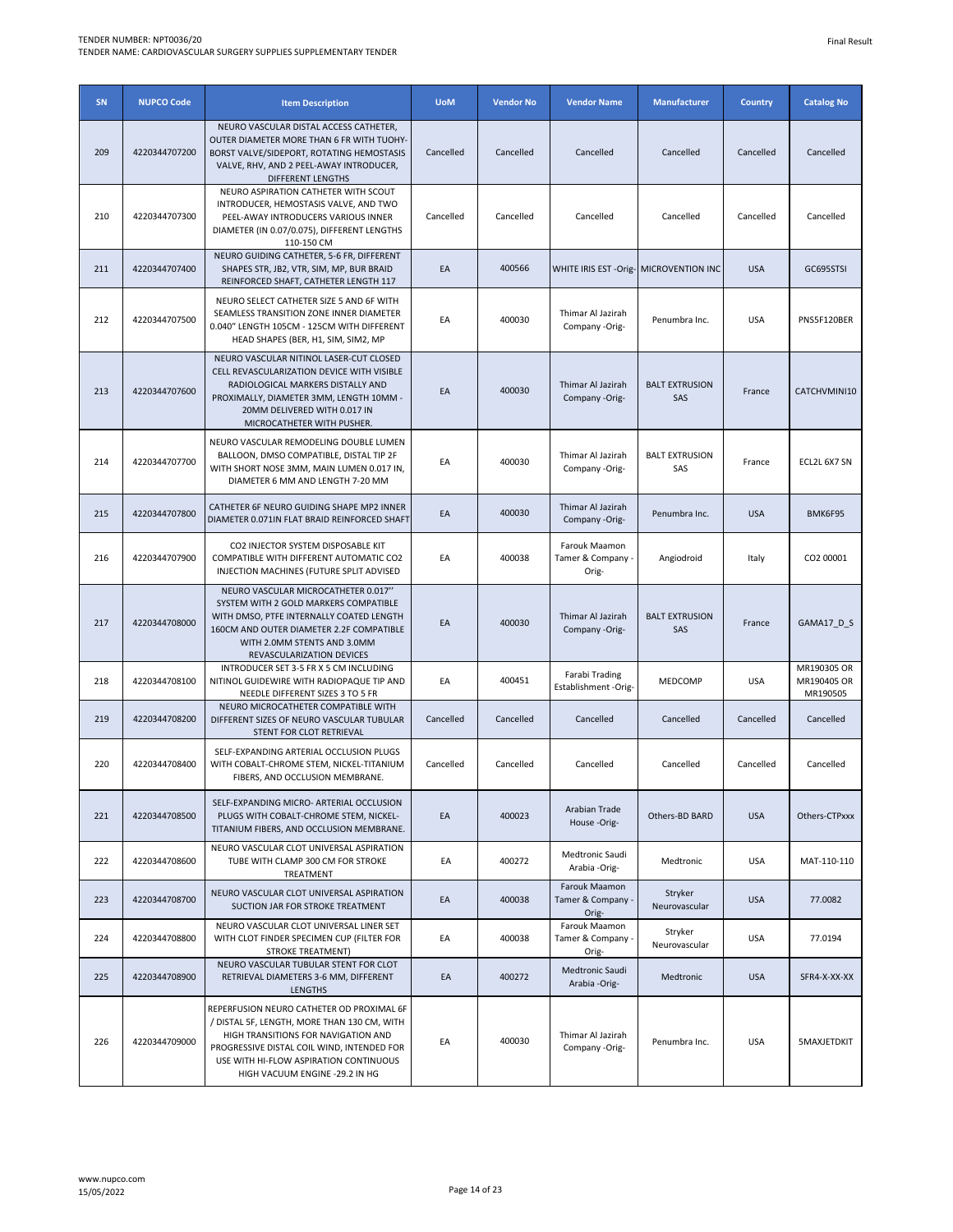| SN  | <b>NUPCO Code</b> | <b>Item Description</b>                                                                                                                                                                                                                                   | <b>UoM</b> | <b>Vendor No</b> | <b>Vendor Name</b>                          | <b>Manufacturer</b>          | <b>Country</b> | <b>Catalog No</b>                      |
|-----|-------------------|-----------------------------------------------------------------------------------------------------------------------------------------------------------------------------------------------------------------------------------------------------------|------------|------------------|---------------------------------------------|------------------------------|----------------|----------------------------------------|
| 209 | 4220344707200     | NEURO VASCULAR DISTAL ACCESS CATHETER,<br>OUTER DIAMETER MORE THAN 6 FR WITH TUOHY-<br>BORST VALVE/SIDEPORT, ROTATING HEMOSTASIS<br>VALVE, RHV, AND 2 PEEL-AWAY INTRODUCER,<br>DIFFERENT LENGTHS                                                          | Cancelled  | Cancelled        | Cancelled                                   | Cancelled                    | Cancelled      | Cancelled                              |
| 210 | 4220344707300     | NEURO ASPIRATION CATHETER WITH SCOUT<br>INTRODUCER, HEMOSTASIS VALVE, AND TWO<br>PEEL-AWAY INTRODUCERS VARIOUS INNER<br>DIAMETER (IN 0.07/0.075), DIFFERENT LENGTHS<br>110-150 CM                                                                         | Cancelled  | Cancelled        | Cancelled                                   | Cancelled                    | Cancelled      | Cancelled                              |
| 211 | 4220344707400     | NEURO GUIDING CATHETER, 5-6 FR, DIFFERENT<br>SHAPES STR, JB2, VTR, SIM, MP, BUR BRAID<br>REINFORCED SHAFT, CATHETER LENGTH 117                                                                                                                            | EA         | 400566           | WHITE IRIS EST - Orig- MICROVENTION INC     |                              | <b>USA</b>     | GC695STSI                              |
| 212 | 4220344707500     | NEURO SELECT CATHETER SIZE 5 AND 6F WITH<br>SEAMLESS TRANSITION ZONE INNER DIAMETER<br>0.040" LENGTH 105CM - 125CM WITH DIFFERENT<br>HEAD SHAPES (BER, H1, SIM, SIM2, MP                                                                                  | EA         | 400030           | Thimar Al Jazirah<br>Company -Orig-         | Penumbra Inc.                | <b>USA</b>     | PNS5F120BER                            |
| 213 | 4220344707600     | NEURO VASCULAR NITINOL LASER-CUT CLOSED<br>CELL REVASCULARIZATION DEVICE WITH VISIBLE<br>RADIOLOGICAL MARKERS DISTALLY AND<br>PROXIMALLY, DIAMETER 3MM, LENGTH 10MM -<br>20MM DELIVERED WITH 0.017 IN<br>MICROCATHETER WITH PUSHER.                       | EA         | 400030           | Thimar Al Jazirah<br>Company -Orig-         | <b>BALT EXTRUSION</b><br>SAS | France         | CATCHVMINI10                           |
| 214 | 4220344707700     | NEURO VASCULAR REMODELING DOUBLE LUMEN<br>BALLOON, DMSO COMPATIBLE, DISTAL TIP 2F<br>WITH SHORT NOSE 3MM, MAIN LUMEN 0.017 IN,<br>DIAMETER 6 MM AND LENGTH 7-20 MM                                                                                        | EA         | 400030           | Thimar Al Jazirah<br>Company -Orig-         | <b>BALT EXTRUSION</b><br>SAS | France         | ECL2L 6X7 SN                           |
| 215 | 4220344707800     | CATHETER 6F NEURO GUIDING SHAPE MP2 INNER<br>DIAMETER 0.071IN FLAT BRAID REINFORCED SHAFT                                                                                                                                                                 | EA         | 400030           | Thimar Al Jazirah<br>Company -Orig-         | Penumbra Inc.                | <b>USA</b>     | BMK6F95                                |
| 216 | 4220344707900     | CO2 INJECTOR SYSTEM DISPOSABLE KIT<br>COMPATIBLE WITH DIFFERENT AUTOMATIC CO2<br>INJECTION MACHINES (FUTURE SPLIT ADVISED                                                                                                                                 | EA         | 400038           | Farouk Maamon<br>Tamer & Company<br>Orig-   | Angiodroid                   | Italy          | CO2 00001                              |
| 217 | 4220344708000     | NEURO VASCULAR MICROCATHETER 0.017"<br>SYSTEM WITH 2 GOLD MARKERS COMPATIBLE<br>WITH DMSO, PTFE INTERNALLY COATED LENGTH<br>160CM AND OUTER DIAMETER 2.2F COMPATIBLE<br>WITH 2.0MM STENTS AND 3.0MM<br>REVASCULARIZATION DEVICES                          | EA         | 400030           | Thimar Al Jazirah<br>Company -Orig-         | <b>BALT EXTRUSION</b><br>SAS | France         | GAMA17_D_S                             |
| 218 | 4220344708100     | INTRODUCER SET 3-5 FR X 5 CM INCLUDING<br>NITINOL GUIDEWIRE WITH RADIOPAQUE TIP AND<br>NEEDLE DIFFERENT SIZES 3 TO 5 FR                                                                                                                                   | EA         | 400451           | Farabi Trading<br>Establishment -Orig-      | MEDCOMP                      | <b>USA</b>     | MR190305 OR<br>MR190405 OR<br>MR190505 |
| 219 | 4220344708200     | NEURO MICROCATHETER COMPATIBLE WITH<br>DIFFERENT SIZES OF NEURO VASCULAR TUBULAR<br>STENT FOR CLOT RETRIEVAL                                                                                                                                              | Cancelled  | Cancelled        | Cancelled                                   | Cancelled                    | Cancelled      | Cancelled                              |
| 220 | 4220344708400     | SELF-EXPANDING ARTERIAL OCCLUSION PLUGS<br>WITH COBALT-CHROME STEM, NICKEL-TITANIUM<br>FIBERS, AND OCCLUSION MEMBRANE.                                                                                                                                    | Cancelled  | Cancelled        | Cancelled                                   | Cancelled                    | Cancelled      | Cancelled                              |
| 221 | 4220344708500     | SELF-EXPANDING MICRO- ARTERIAL OCCLUSION<br>PLUGS WITH COBALT-CHROME STEM, NICKEL-<br>TITANIUM FIBERS, AND OCCLUSION MEMBRANE.                                                                                                                            | EA         | 400023           | Arabian Trade<br>House-Orig-                | Others-BD BARD               | <b>USA</b>     | Others-CTPxxx                          |
| 222 | 4220344708600     | NEURO VASCULAR CLOT UNIVERSAL ASPIRATION<br>TUBE WITH CLAMP 300 CM FOR STROKE<br>TREATMENT                                                                                                                                                                | EA         | 400272           | Medtronic Saudi<br>Arabia -Orig-            | Medtronic                    | <b>USA</b>     | MAT-110-110                            |
| 223 | 4220344708700     | NEURO VASCULAR CLOT UNIVERSAL ASPIRATION<br>SUCTION JAR FOR STROKE TREATMENT                                                                                                                                                                              | EA         | 400038           | Farouk Maamon<br>Tamer & Company -<br>Orig- | Stryker<br>Neurovascular     | <b>USA</b>     | 77,0082                                |
| 224 | 4220344708800     | NEURO VASCULAR CLOT UNIVERSAL LINER SET<br>WITH CLOT FINDER SPECIMEN CUP (FILTER FOR<br>STROKE TREATMENT)                                                                                                                                                 | EA         | 400038           | Farouk Maamon<br>Tamer & Company .<br>Orig- | Stryker<br>Neurovascular     | <b>USA</b>     | 77.0194                                |
| 225 | 4220344708900     | NEURO VASCULAR TUBULAR STENT FOR CLOT<br>RETRIEVAL DIAMETERS 3-6 MM, DIFFERENT<br><b>LENGTHS</b>                                                                                                                                                          | EA         | 400272           | Medtronic Saudi<br>Arabia -Orig-            | Medtronic                    | <b>USA</b>     | SFR4-X-XX-XX                           |
| 226 | 4220344709000     | REPERFUSION NEURO CATHETER OD PROXIMAL 6F<br>/ DISTAL 5F, LENGTH, MORE THAN 130 CM, WITH<br>HIGH TRANSITIONS FOR NAVIGATION AND<br>PROGRESSIVE DISTAL COIL WIND, INTENDED FOR<br>USE WITH HI-FLOW ASPIRATION CONTINUOUS<br>HIGH VACUUM ENGINE -29.2 IN HG | EA         | 400030           | Thimar Al Jazirah<br>Company -Orig-         | Penumbra Inc.                | <b>USA</b>     | <b>5MAXJETDKIT</b>                     |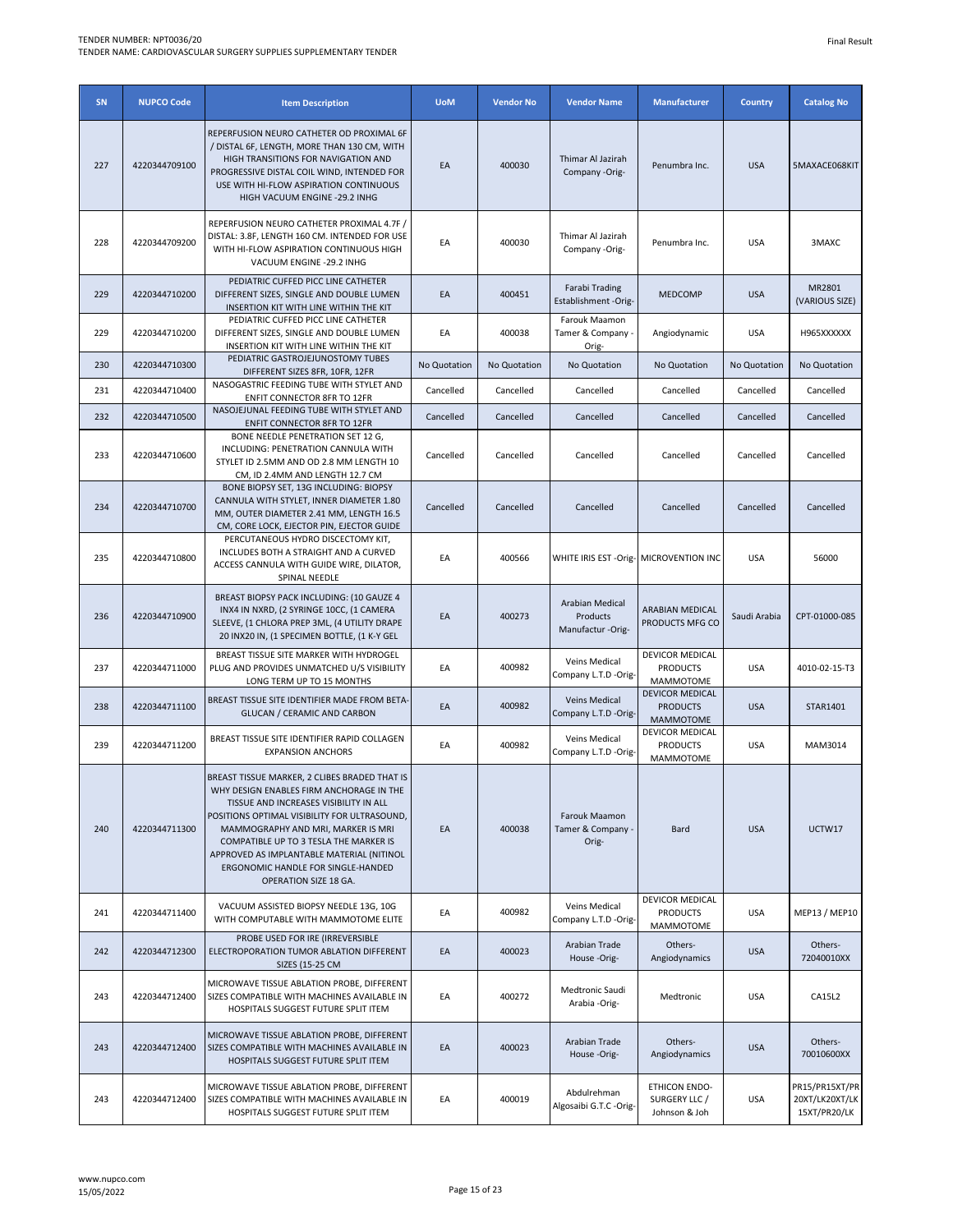| SN  | <b>NUPCO Code</b> | <b>Item Description</b>                                                                                                                                                                                                                                                                                                                                                         | <b>UoM</b>   | <b>Vendor No</b> | <b>Vendor Name</b>                               | <b>Manufacturer</b>                                           | <b>Country</b> | <b>Catalog No</b>                                |
|-----|-------------------|---------------------------------------------------------------------------------------------------------------------------------------------------------------------------------------------------------------------------------------------------------------------------------------------------------------------------------------------------------------------------------|--------------|------------------|--------------------------------------------------|---------------------------------------------------------------|----------------|--------------------------------------------------|
| 227 | 4220344709100     | REPERFUSION NEURO CATHETER OD PROXIMAL 6F<br>/ DISTAL 6F, LENGTH, MORE THAN 130 CM, WITH<br>HIGH TRANSITIONS FOR NAVIGATION AND<br>PROGRESSIVE DISTAL COIL WIND, INTENDED FOR<br>USE WITH HI-FLOW ASPIRATION CONTINUOUS<br>HIGH VACUUM ENGINE -29.2 INHG                                                                                                                        | EA           | 400030           | Thimar Al Jazirah<br>Company -Orig-              | Penumbra Inc.                                                 | <b>USA</b>     | 5MAXACE068KIT                                    |
| 228 | 4220344709200     | REPERFUSION NEURO CATHETER PROXIMAL 4.7F /<br>DISTAL: 3.8F, LENGTH 160 CM. INTENDED FOR USE<br>WITH HI-FLOW ASPIRATION CONTINUOUS HIGH<br>VACUUM ENGINE -29.2 INHG                                                                                                                                                                                                              | EA           | 400030           | Thimar Al Jazirah<br>Company -Orig-              | Penumbra Inc.                                                 | <b>USA</b>     | 3MAXC                                            |
| 229 | 4220344710200     | PEDIATRIC CUFFED PICC LINE CATHETER<br>DIFFERENT SIZES, SINGLE AND DOUBLE LUMEN<br>INSERTION KIT WITH LINE WITHIN THE KIT                                                                                                                                                                                                                                                       | EA           | 400451           | Farabi Trading<br>Establishment -Orig-           | <b>MEDCOMP</b>                                                | <b>USA</b>     | MR2801<br>(VARIOUS SIZE)                         |
| 229 | 4220344710200     | PEDIATRIC CUFFED PICC LINE CATHETER<br>DIFFERENT SIZES, SINGLE AND DOUBLE LUMEN<br>INSERTION KIT WITH LINE WITHIN THE KIT                                                                                                                                                                                                                                                       | EA           | 400038           | Farouk Maamon<br>Tamer & Company -<br>Orig-      | Angiodynamic                                                  | <b>USA</b>     | H965XXXXXX                                       |
| 230 | 4220344710300     | PEDIATRIC GASTROJEJUNOSTOMY TUBES<br>DIFFERENT SIZES 8FR, 10FR, 12FR                                                                                                                                                                                                                                                                                                            | No Quotation | No Quotation     | No Quotation                                     | No Quotation                                                  | No Quotation   | No Quotation                                     |
| 231 | 4220344710400     | NASOGASTRIC FEEDING TUBE WITH STYLET AND                                                                                                                                                                                                                                                                                                                                        | Cancelled    | Cancelled        | Cancelled                                        | Cancelled                                                     | Cancelled      | Cancelled                                        |
| 232 | 4220344710500     | <b>ENFIT CONNECTOR 8FR TO 12FR</b><br>NASOJEJUNAL FEEDING TUBE WITH STYLET AND                                                                                                                                                                                                                                                                                                  | Cancelled    | Cancelled        | Cancelled                                        | Cancelled                                                     | Cancelled      | Cancelled                                        |
|     |                   | <b>ENFIT CONNECTOR 8FR TO 12FR</b><br>BONE NEEDLE PENETRATION SET 12 G,                                                                                                                                                                                                                                                                                                         |              |                  |                                                  |                                                               |                |                                                  |
| 233 | 4220344710600     | INCLUDING: PENETRATION CANNULA WITH<br>STYLET ID 2.5MM AND OD 2.8 MM LENGTH 10<br>CM, ID 2.4MM AND LENGTH 12.7 CM                                                                                                                                                                                                                                                               | Cancelled    | Cancelled        | Cancelled                                        | Cancelled                                                     | Cancelled      | Cancelled                                        |
| 234 | 4220344710700     | BONE BIOPSY SET, 13G INCLUDING: BIOPSY<br>CANNULA WITH STYLET, INNER DIAMETER 1.80<br>MM, OUTER DIAMETER 2.41 MM, LENGTH 16.5<br>CM, CORE LOCK, EJECTOR PIN, EJECTOR GUIDE                                                                                                                                                                                                      | Cancelled    | Cancelled        | Cancelled                                        | Cancelled                                                     | Cancelled      | Cancelled                                        |
| 235 | 4220344710800     | PERCUTANEOUS HYDRO DISCECTOMY KIT,<br>INCLUDES BOTH A STRAIGHT AND A CURVED<br>ACCESS CANNULA WITH GUIDE WIRE, DILATOR,<br>SPINAL NEEDLE                                                                                                                                                                                                                                        | EA           | 400566           | WHITE IRIS EST - Orig- MICROVENTION INC          |                                                               | <b>USA</b>     | 56000                                            |
| 236 | 4220344710900     | BREAST BIOPSY PACK INCLUDING: (10 GAUZE 4<br>INX4 IN NXRD, (2 SYRINGE 10CC, (1 CAMERA<br>SLEEVE, (1 CHLORA PREP 3ML, (4 UTILITY DRAPE<br>20 INX20 IN, (1 SPECIMEN BOTTLE, (1 K-Y GEL                                                                                                                                                                                            | EA           | 400273           | Arabian Medical<br>Products<br>Manufactur -Orig- | <b>ARABIAN MEDICAL</b><br>PRODUCTS MFG CO                     | Saudi Arabia   | CPT-01000-085                                    |
| 237 | 4220344711000     | BREAST TISSUE SITE MARKER WITH HYDROGEL<br>PLUG AND PROVIDES UNMATCHED U/S VISIBILITY<br>LONG TERM UP TO 15 MONTHS                                                                                                                                                                                                                                                              | EA           | 400982           | Veins Medical<br>Company L.T.D -Orig-            | <b>DEVICOR MEDICAL</b><br><b>PRODUCTS</b><br><b>MAMMOTOME</b> | <b>USA</b>     | 4010-02-15-T3                                    |
| 238 | 4220344711100     | BREAST TISSUE SITE IDENTIFIER MADE FROM BETA-<br><b>GLUCAN / CERAMIC AND CARBON</b>                                                                                                                                                                                                                                                                                             | EA           | 400982           | Veins Medical<br>Company L.T.D -Orig-            | <b>DEVICOR MEDICAL</b><br><b>PRODUCTS</b><br><b>MAMMOTOME</b> | <b>USA</b>     | STAR1401                                         |
| 239 | 4220344711200     | BREAST TISSUE SITE IDENTIFIER RAPID COLLAGEN<br><b>EXPANSION ANCHORS</b>                                                                                                                                                                                                                                                                                                        | EA           | 400982           | Veins Medical<br>Company L.T.D -Orig-            | DEVICOR MEDICAL<br><b>PRODUCTS</b><br><b>MAMMOTOME</b>        | <b>USA</b>     | MAM3014                                          |
| 240 | 4220344711300     | BREAST TISSUE MARKER, 2 CLIBES BRADED THAT IS<br>WHY DESIGN ENABLES FIRM ANCHORAGE IN THE<br>TISSUE AND INCREASES VISIBILITY IN ALL<br>POSITIONS OPTIMAL VISIBILITY FOR ULTRASOUND,<br>MAMMOGRAPHY AND MRI, MARKER IS MRI<br>COMPATIBLE UP TO 3 TESLA THE MARKER IS<br>APPROVED AS IMPLANTABLE MATERIAL (NITINOL<br>ERGONOMIC HANDLE FOR SINGLE-HANDED<br>OPERATION SIZE 18 GA. | EA           | 400038           | Farouk Maamon<br>Tamer & Company -<br>Orig-      | <b>Bard</b>                                                   | <b>USA</b>     | UCTW17                                           |
| 241 | 4220344711400     | VACUUM ASSISTED BIOPSY NEEDLE 13G, 10G<br>WITH COMPUTABLE WITH MAMMOTOME ELITE                                                                                                                                                                                                                                                                                                  | EA           | 400982           | Veins Medical<br>Company L.T.D -Orig-            | DEVICOR MEDICAL<br><b>PRODUCTS</b><br><b>MAMMOTOME</b>        | <b>USA</b>     | MEP13 / MEP10                                    |
| 242 | 4220344712300     | PROBE USED FOR IRE (IRREVERSIBLE<br>ELECTROPORATION TUMOR ABLATION DIFFERENT<br>SIZES (15-25 CM                                                                                                                                                                                                                                                                                 | EA           | 400023           | Arabian Trade<br>House -Orig-                    | Others-<br>Angiodynamics                                      | <b>USA</b>     | Others-<br>72040010XX                            |
| 243 | 4220344712400     | MICROWAVE TISSUE ABLATION PROBE, DIFFERENT<br>SIZES COMPATIBLE WITH MACHINES AVAILABLE IN<br>HOSPITALS SUGGEST FUTURE SPLIT ITEM                                                                                                                                                                                                                                                | EA           | 400272           | Medtronic Saudi<br>Arabia -Orig-                 | Medtronic                                                     | <b>USA</b>     | CA15L2                                           |
| 243 | 4220344712400     | MICROWAVE TISSUE ABLATION PROBE, DIFFERENT<br>SIZES COMPATIBLE WITH MACHINES AVAILABLE IN<br>HOSPITALS SUGGEST FUTURE SPLIT ITEM                                                                                                                                                                                                                                                | EA           | 400023           | Arabian Trade<br>House -Orig-                    | Others-<br>Angiodynamics                                      | <b>USA</b>     | Others-<br>70010600XX                            |
| 243 | 4220344712400     | MICROWAVE TISSUE ABLATION PROBE, DIFFERENT<br>SIZES COMPATIBLE WITH MACHINES AVAILABLE IN<br>HOSPITALS SUGGEST FUTURE SPLIT ITEM                                                                                                                                                                                                                                                | EA           | 400019           | Abdulrehman<br>Algosaibi G.T.C -Orig-            | <b>ETHICON ENDO-</b><br>SURGERY LLC /<br>Johnson & Joh        | <b>USA</b>     | PR15/PR15XT/PR<br>20XT/LK20XT/LK<br>15XT/PR20/LK |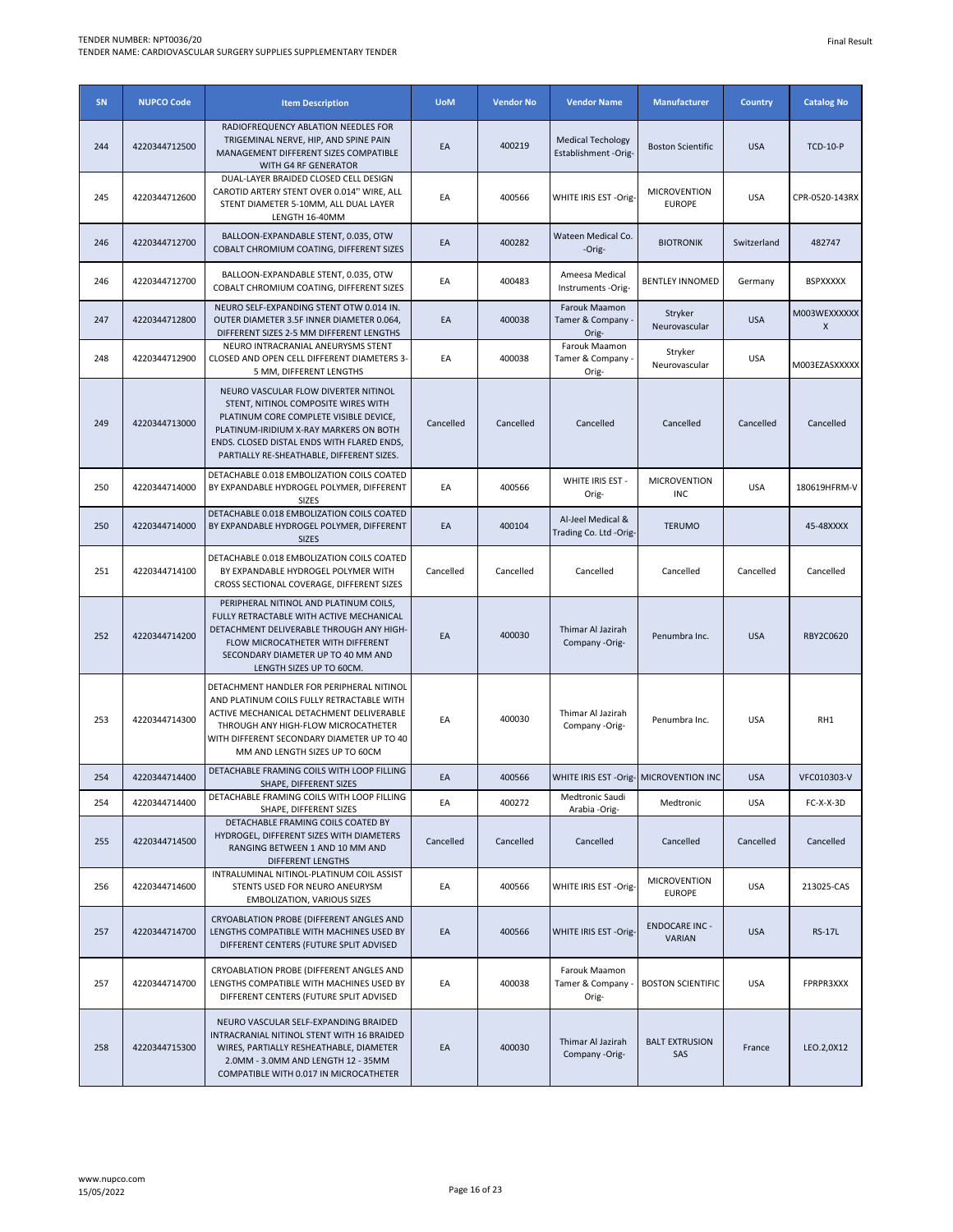| SN  | <b>NUPCO Code</b> | <b>Item Description</b>                                                                                                                                                                                                                                    | <b>UoM</b> | <b>Vendor No</b> | <b>Vendor Name</b>                               | <b>Manufacturer</b>                    | <b>Country</b> | <b>Catalog No</b> |
|-----|-------------------|------------------------------------------------------------------------------------------------------------------------------------------------------------------------------------------------------------------------------------------------------------|------------|------------------|--------------------------------------------------|----------------------------------------|----------------|-------------------|
| 244 | 4220344712500     | RADIOFREQUENCY ABLATION NEEDLES FOR<br>TRIGEMINAL NERVE, HIP, AND SPINE PAIN<br>MANAGEMENT DIFFERENT SIZES COMPATIBLE<br>WITH G4 RF GENERATOR                                                                                                              | EA         | 400219           | <b>Medical Techology</b><br>Establishment -Orig- | <b>Boston Scientific</b>               | <b>USA</b>     | <b>TCD-10-P</b>   |
| 245 | 4220344712600     | DUAL-LAYER BRAIDED CLOSED CELL DESIGN<br>CAROTID ARTERY STENT OVER 0.014" WIRE, ALL<br>STENT DIAMETER 5-10MM, ALL DUAL LAYER<br>LENGTH 16-40MM                                                                                                             | EA         | 400566           | WHITE IRIS EST -Orig-                            | <b>MICROVENTION</b><br><b>EUROPE</b>   | <b>USA</b>     | CPR-0520-143RX    |
| 246 | 4220344712700     | BALLOON-EXPANDABLE STENT, 0.035, OTW<br>COBALT CHROMIUM COATING, DIFFERENT SIZES                                                                                                                                                                           | EA         | 400282           | Wateen Medical Co.<br>-Orig-                     | <b>BIOTRONIK</b>                       | Switzerland    | 482747            |
| 246 | 4220344712700     | BALLOON-EXPANDABLE STENT, 0.035, OTW<br>COBALT CHROMIUM COATING, DIFFERENT SIZES                                                                                                                                                                           | EA         | 400483           | Ameesa Medical<br>Instruments -Orig-             | <b>BENTLEY INNOMED</b>                 | Germany        | <b>BSPXXXXX</b>   |
| 247 | 4220344712800     | NEURO SELF-EXPANDING STENT OTW 0.014 IN.<br>OUTER DIAMETER 3.5F INNER DIAMETER 0.064,<br>DIFFERENT SIZES 2-5 MM DIFFERENT LENGTHS                                                                                                                          | EA         | 400038           | Farouk Maamon<br>Tamer & Company<br>Orig-        | Stryker<br>Neurovascular               | <b>USA</b>     | M003WEXXXXXX<br>X |
| 248 | 4220344712900     | NEURO INTRACRANIAL ANEURYSMS STENT<br>CLOSED AND OPEN CELL DIFFERENT DIAMETERS 3-<br>5 MM, DIFFERENT LENGTHS                                                                                                                                               | EA         | 400038           | Farouk Maamon<br>Tamer & Company -<br>Orig-      | Stryker<br>Neurovascular               | <b>USA</b>     | M003EZASXXXXX     |
| 249 | 4220344713000     | NEURO VASCULAR FLOW DIVERTER NITINOL<br>STENT, NITINOL COMPOSITE WIRES WITH<br>PLATINUM CORE COMPLETE VISIBLE DEVICE,<br>PLATINUM-IRIDIUM X-RAY MARKERS ON BOTH<br>ENDS. CLOSED DISTAL ENDS WITH FLARED ENDS,<br>PARTIALLY RE-SHEATHABLE, DIFFERENT SIZES. | Cancelled  | Cancelled        | Cancelled                                        | Cancelled                              | Cancelled      | Cancelled         |
| 250 | 4220344714000     | DETACHABLE 0.018 EMBOLIZATION COILS COATED<br>BY EXPANDABLE HYDROGEL POLYMER, DIFFERENT<br><b>SIZES</b>                                                                                                                                                    | EA         | 400566           | WHITE IRIS EST -<br>Orig-                        | <b>MICROVENTION</b><br><b>INC</b>      | <b>USA</b>     | 180619HFRM-V      |
| 250 | 4220344714000     | DETACHABLE 0.018 EMBOLIZATION COILS COATED<br>BY EXPANDABLE HYDROGEL POLYMER, DIFFERENT<br><b>SIZES</b>                                                                                                                                                    | EA         | 400104           | Al-Jeel Medical &<br>Trading Co. Ltd -Orig-      | <b>TERUMO</b>                          |                | 45-48XXXX         |
| 251 | 4220344714100     | DETACHABLE 0.018 EMBOLIZATION COILS COATED<br>BY EXPANDABLE HYDROGEL POLYMER WITH<br>CROSS SECTIONAL COVERAGE, DIFFERENT SIZES                                                                                                                             | Cancelled  | Cancelled        | Cancelled                                        | Cancelled                              | Cancelled      | Cancelled         |
| 252 | 4220344714200     | PERIPHERAL NITINOL AND PLATINUM COILS,<br>FULLY RETRACTABLE WITH ACTIVE MECHANICAL<br>DETACHMENT DELIVERABLE THROUGH ANY HIGH-<br>FLOW MICROCATHETER WITH DIFFERENT<br>SECONDARY DIAMETER UP TO 40 MM AND<br>LENGTH SIZES UP TO 60CM.                      | EA         | 400030           | Thimar Al Jazirah<br>Company -Orig-              | Penumbra Inc.                          | <b>USA</b>     | RBY2C0620         |
| 253 | 4220344714300     | DETACHMENT HANDLER FOR PERIPHERAL NITINOL<br>AND PLATINUM COILS FULLY RETRACTABLE WITH<br>ACTIVE MECHANICAL DETACHMENT DELIVERABLE<br>THROUGH ANY HIGH-FLOW MICROCATHETER<br>WITH DIFFERENT SECONDARY DIAMETER UP TO 40<br>MM AND LENGTH SIZES UP TO 60CM  | EA         | 400030           | Thimar Al Jazirah<br>Company -Orig-              | Penumbra Inc.                          | <b>USA</b>     | RH1               |
| 254 | 4220344714400     | DETACHABLE FRAMING COILS WITH LOOP FILLING<br>SHAPE, DIFFERENT SIZES                                                                                                                                                                                       | EA         | 400566           | WHITE IRIS EST -Orig- MICROVENTION INC           |                                        | <b>USA</b>     | VFC010303-V       |
| 254 | 4220344714400     | DETACHABLE FRAMING COILS WITH LOOP FILLING<br>SHAPE, DIFFERENT SIZES                                                                                                                                                                                       | EA         | 400272           | Medtronic Saudi<br>Arabia -Orig-                 | Medtronic                              | <b>USA</b>     | FC-X-X-3D         |
| 255 | 4220344714500     | DETACHABLE FRAMING COILS COATED BY<br>HYDROGEL, DIFFERENT SIZES WITH DIAMETERS<br>RANGING BETWEEN 1 AND 10 MM AND<br>DIFFERENT LENGTHS                                                                                                                     | Cancelled  | Cancelled        | Cancelled                                        | Cancelled                              | Cancelled      | Cancelled         |
| 256 | 4220344714600     | INTRALUMINAL NITINOL-PLATINUM COIL ASSIST<br>STENTS USED FOR NEURO ANEURYSM<br>EMBOLIZATION, VARIOUS SIZES                                                                                                                                                 | EA         | 400566           | WHITE IRIS EST -Orig-                            | <b>MICROVENTION</b><br><b>EUROPE</b>   | <b>USA</b>     | 213025-CAS        |
| 257 | 4220344714700     | CRYOABLATION PROBE (DIFFERENT ANGLES AND<br>LENGTHS COMPATIBLE WITH MACHINES USED BY<br>DIFFERENT CENTERS (FUTURE SPLIT ADVISED                                                                                                                            | EA         | 400566           | WHITE IRIS EST -Orig-                            | <b>ENDOCARE INC -</b><br><b>VARIAN</b> | <b>USA</b>     | <b>RS-17L</b>     |
| 257 | 4220344714700     | CRYOABLATION PROBE (DIFFERENT ANGLES AND<br>LENGTHS COMPATIBLE WITH MACHINES USED BY<br>DIFFERENT CENTERS (FUTURE SPLIT ADVISED                                                                                                                            | EA         | 400038           | Farouk Maamon<br>Tamer & Company<br>Orig-        | <b>BOSTON SCIENTIFIC</b>               | <b>USA</b>     | FPRPR3XXX         |
| 258 | 4220344715300     | NEURO VASCULAR SELF-EXPANDING BRAIDED<br>INTRACRANIAL NITINOL STENT WITH 16 BRAIDED<br>WIRES, PARTIALLY RESHEATHABLE, DIAMETER<br>2.0MM - 3.0MM AND LENGTH 12 - 35MM<br>COMPATIBLE WITH 0.017 IN MICROCATHETER                                             | EA         | 400030           | Thimar Al Jazirah<br>Company -Orig-              | <b>BALT EXTRUSION</b><br>SAS           | France         | LEO.2,0X12        |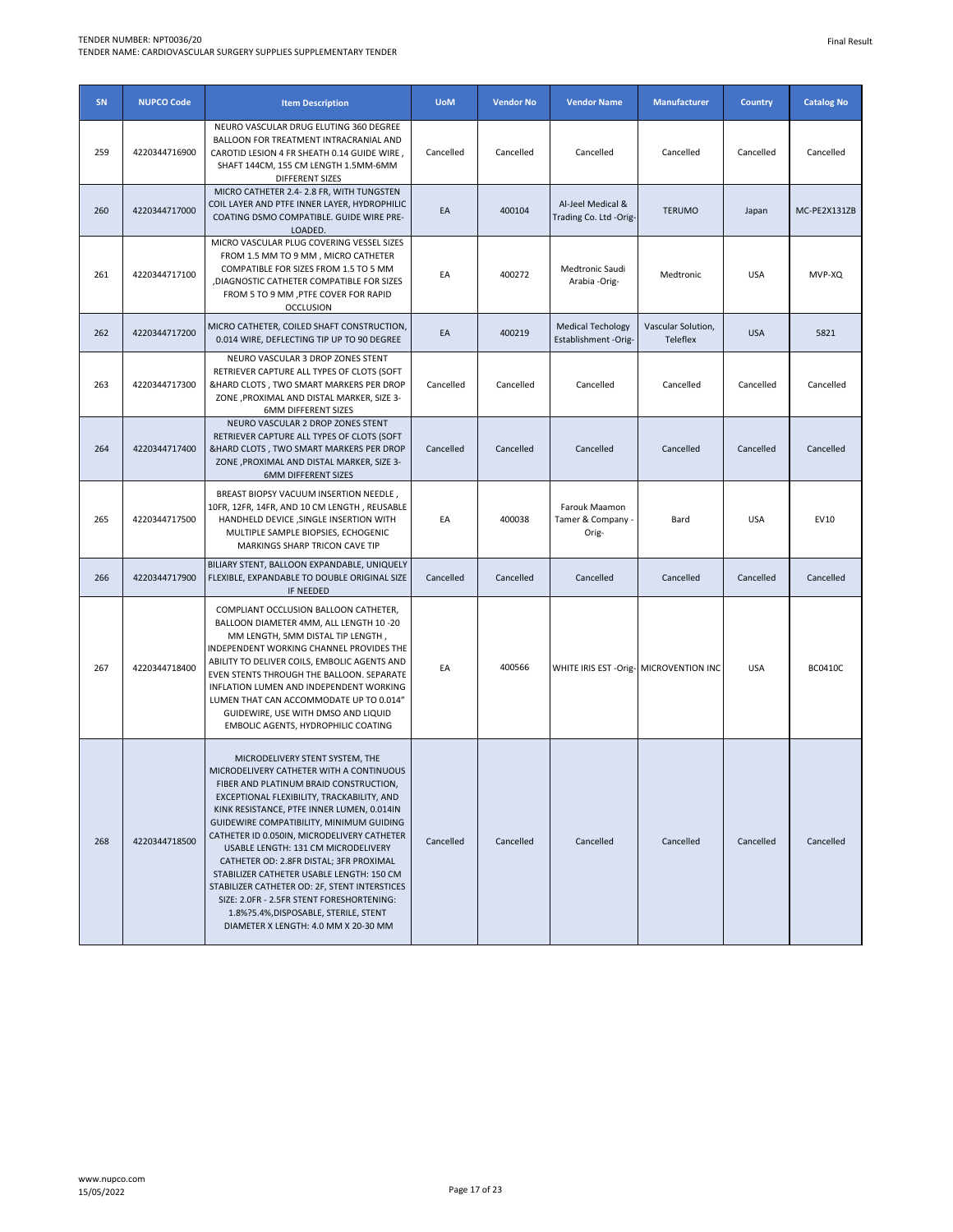| SN  | <b>NUPCO Code</b> | <b>Item Description</b>                                                                                                                                                                                                                                                                                                                                                                                                                                                                                                                                                                                                    | <b>UoM</b> | <b>Vendor No</b> | <b>Vendor Name</b>                               | <b>Manufacturer</b>            | <b>Country</b> | <b>Catalog No</b> |
|-----|-------------------|----------------------------------------------------------------------------------------------------------------------------------------------------------------------------------------------------------------------------------------------------------------------------------------------------------------------------------------------------------------------------------------------------------------------------------------------------------------------------------------------------------------------------------------------------------------------------------------------------------------------------|------------|------------------|--------------------------------------------------|--------------------------------|----------------|-------------------|
| 259 | 4220344716900     | NEURO VASCULAR DRUG ELUTING 360 DEGREE<br>BALLOON FOR TREATMENT INTRACRANIAL AND<br>CAROTID LESION 4 FR SHEATH 0.14 GUIDE WIRE,<br>SHAFT 144CM, 155 CM LENGTH 1.5MM-6MM<br><b>DIFFERENT SIZES</b>                                                                                                                                                                                                                                                                                                                                                                                                                          | Cancelled  | Cancelled        | Cancelled                                        | Cancelled                      | Cancelled      | Cancelled         |
| 260 | 4220344717000     | MICRO CATHETER 2.4-2.8 FR, WITH TUNGSTEN<br>COIL LAYER AND PTFE INNER LAYER, HYDROPHILIC<br>COATING DSMO COMPATIBLE. GUIDE WIRE PRE-<br>LOADED.                                                                                                                                                                                                                                                                                                                                                                                                                                                                            | EA         | 400104           | Al-Jeel Medical &<br>Trading Co. Ltd -Orig-      | <b>TERUMO</b>                  | Japan          | MC-PE2X131ZB      |
| 261 | 4220344717100     | MICRO VASCULAR PLUG COVERING VESSEL SIZES<br>FROM 1.5 MM TO 9 MM, MICRO CATHETER<br>COMPATIBLE FOR SIZES FROM 1.5 TO 5 MM<br>, DIAGNOSTIC CATHETER COMPATIBLE FOR SIZES<br>FROM 5 TO 9 MM , PTFE COVER FOR RAPID<br><b>OCCLUSION</b>                                                                                                                                                                                                                                                                                                                                                                                       | EA         | 400272           | Medtronic Saudi<br>Arabia -Orig-                 | Medtronic                      | <b>USA</b>     | MVP-XQ            |
| 262 | 4220344717200     | MICRO CATHETER, COILED SHAFT CONSTRUCTION,<br>0.014 WIRE, DEFLECTING TIP UP TO 90 DEGREE                                                                                                                                                                                                                                                                                                                                                                                                                                                                                                                                   | EA         | 400219           | <b>Medical Techology</b><br>Establishment -Orig- | Vascular Solution,<br>Teleflex | <b>USA</b>     | 5821              |
| 263 | 4220344717300     | NEURO VASCULAR 3 DROP ZONES STENT<br>RETRIEVER CAPTURE ALL TYPES OF CLOTS (SOFT<br>&HARD CLOTS, TWO SMART MARKERS PER DROP<br>ZONE , PROXIMAL AND DISTAL MARKER, SIZE 3-<br><b>6MM DIFFERENT SIZES</b>                                                                                                                                                                                                                                                                                                                                                                                                                     | Cancelled  | Cancelled        | Cancelled                                        | Cancelled                      | Cancelled      | Cancelled         |
| 264 | 4220344717400     | NEURO VASCULAR 2 DROP ZONES STENT<br>RETRIEVER CAPTURE ALL TYPES OF CLOTS (SOFT<br>&HARD CLOTS, TWO SMART MARKERS PER DROP<br>ZONE , PROXIMAL AND DISTAL MARKER, SIZE 3-<br><b>6MM DIFFERENT SIZES</b>                                                                                                                                                                                                                                                                                                                                                                                                                     | Cancelled  | Cancelled        | Cancelled                                        | Cancelled                      | Cancelled      | Cancelled         |
| 265 | 4220344717500     | BREAST BIOPSY VACUUM INSERTION NEEDLE,<br>10FR, 12FR, 14FR, AND 10 CM LENGTH, REUSABLE<br>HANDHELD DEVICE , SINGLE INSERTION WITH<br>MULTIPLE SAMPLE BIOPSIES, ECHOGENIC<br>MARKINGS SHARP TRICON CAVE TIP                                                                                                                                                                                                                                                                                                                                                                                                                 | EA         | 400038           | Farouk Maamon<br>Tamer & Company<br>Orig-        | Bard                           | <b>USA</b>     | EV10              |
| 266 | 4220344717900     | BILIARY STENT, BALLOON EXPANDABLE, UNIQUELY<br>FLEXIBLE, EXPANDABLE TO DOUBLE ORIGINAL SIZE<br>IF NEEDED                                                                                                                                                                                                                                                                                                                                                                                                                                                                                                                   | Cancelled  | Cancelled        | Cancelled                                        | Cancelled                      | Cancelled      | Cancelled         |
| 267 | 4220344718400     | COMPLIANT OCCLUSION BALLOON CATHETER,<br>BALLOON DIAMETER 4MM, ALL LENGTH 10 -20<br>MM LENGTH, 5MM DISTAL TIP LENGTH,<br>INDEPENDENT WORKING CHANNEL PROVIDES THE<br>ABILITY TO DELIVER COILS, EMBOLIC AGENTS AND<br>EVEN STENTS THROUGH THE BALLOON. SEPARATE<br>INFLATION LUMEN AND INDEPENDENT WORKING<br>LUMEN THAT CAN ACCOMMODATE UP TO 0.014"<br>GUIDEWIRE, USE WITH DMSO AND LIQUID<br>EMBOLIC AGENTS, HYDROPHILIC COATING                                                                                                                                                                                         | EA         | 400566           | WHITE IRIS EST - Orig- MICROVENTION INC          |                                | <b>USA</b>     | <b>BC0410C</b>    |
| 268 | 4220344718500     | MICRODELIVERY STENT SYSTEM, THE<br>MICRODELIVERY CATHETER WITH A CONTINUOUS<br>FIBER AND PLATINUM BRAID CONSTRUCTION,<br>EXCEPTIONAL FLEXIBILITY, TRACKABILITY, AND<br>KINK RESISTANCE, PTFE INNER LUMEN, 0.014IN<br>GUIDEWIRE COMPATIBILITY, MINIMUM GUIDING<br>CATHETER ID 0.050IN, MICRODELIVERY CATHETER<br>USABLE LENGTH: 131 CM MICRODELIVERY<br>CATHETER OD: 2.8FR DISTAL; 3FR PROXIMAL<br>STABILIZER CATHETER USABLE LENGTH: 150 CM<br>STABILIZER CATHETER OD: 2F, STENT INTERSTICES<br>SIZE: 2.0FR - 2.5FR STENT FORESHORTENING:<br>1.8%?5.4%, DISPOSABLE, STERILE, STENT<br>DIAMETER X LENGTH: 4.0 MM X 20-30 MM | Cancelled  | Cancelled        | Cancelled                                        | Cancelled                      | Cancelled      | Cancelled         |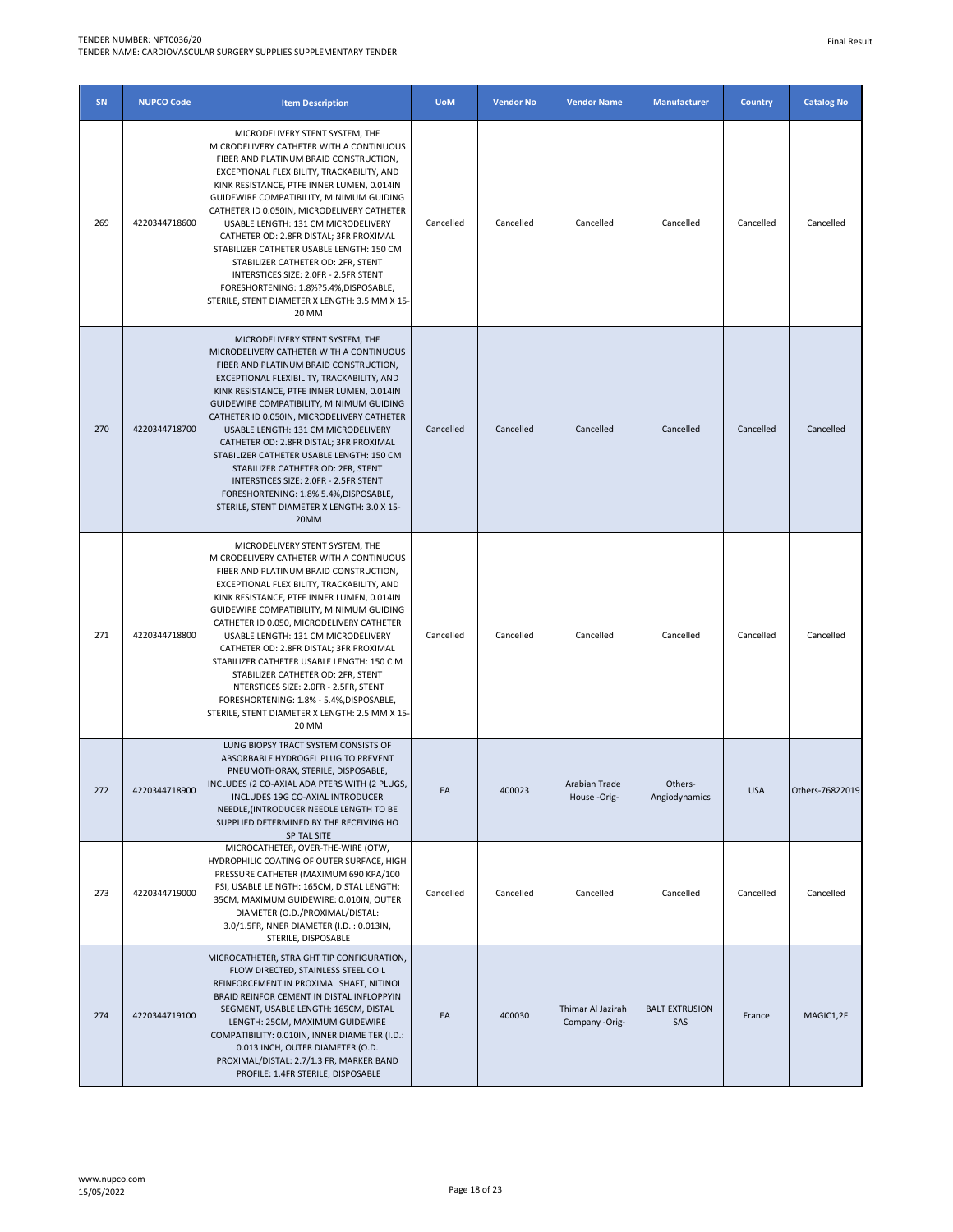| SN  | <b>NUPCO Code</b> | <b>Item Description</b>                                                                                                                                                                                                                                                                                                                                                                                                                                                                                                                                                                                                           | <b>UoM</b> | <b>Vendor No</b> | <b>Vendor Name</b>                  | <b>Manufacturer</b>          | <b>Country</b> | <b>Catalog No</b> |
|-----|-------------------|-----------------------------------------------------------------------------------------------------------------------------------------------------------------------------------------------------------------------------------------------------------------------------------------------------------------------------------------------------------------------------------------------------------------------------------------------------------------------------------------------------------------------------------------------------------------------------------------------------------------------------------|------------|------------------|-------------------------------------|------------------------------|----------------|-------------------|
| 269 | 4220344718600     | MICRODELIVERY STENT SYSTEM, THE<br>MICRODELIVERY CATHETER WITH A CONTINUOUS<br>FIBER AND PLATINUM BRAID CONSTRUCTION,<br>EXCEPTIONAL FLEXIBILITY, TRACKABILITY, AND<br>KINK RESISTANCE, PTFE INNER LUMEN, 0.014IN<br>GUIDEWIRE COMPATIBILITY, MINIMUM GUIDING<br>CATHETER ID 0.050IN, MICRODELIVERY CATHETER<br>USABLE LENGTH: 131 CM MICRODELIVERY<br>CATHETER OD: 2.8FR DISTAL; 3FR PROXIMAL<br>STABILIZER CATHETER USABLE LENGTH: 150 CM<br>STABILIZER CATHETER OD: 2FR, STENT<br>INTERSTICES SIZE: 2.0FR - 2.5FR STENT<br>FORESHORTENING: 1.8%?5.4%, DISPOSABLE,<br>STERILE, STENT DIAMETER X LENGTH: 3.5 MM X 15-<br>20 MM   | Cancelled  | Cancelled        | Cancelled                           | Cancelled                    | Cancelled      | Cancelled         |
| 270 | 4220344718700     | MICRODELIVERY STENT SYSTEM, THE<br>MICRODELIVERY CATHETER WITH A CONTINUOUS<br>FIBER AND PLATINUM BRAID CONSTRUCTION,<br>EXCEPTIONAL FLEXIBILITY, TRACKABILITY, AND<br>KINK RESISTANCE, PTFE INNER LUMEN, 0.014IN<br>GUIDEWIRE COMPATIBILITY, MINIMUM GUIDING<br>CATHETER ID 0.050IN, MICRODELIVERY CATHETER<br>USABLE LENGTH: 131 CM MICRODELIVERY<br>CATHETER OD: 2.8FR DISTAL; 3FR PROXIMAL<br>STABILIZER CATHETER USABLE LENGTH: 150 CM<br>STABILIZER CATHETER OD: 2FR, STENT<br>INTERSTICES SIZE: 2.0FR - 2.5FR STENT<br>FORESHORTENING: 1.8% 5.4%, DISPOSABLE,<br>STERILE, STENT DIAMETER X LENGTH: 3.0 X 15-<br>20MM       | Cancelled  | Cancelled        | Cancelled                           | Cancelled                    | Cancelled      | Cancelled         |
| 271 | 4220344718800     | MICRODELIVERY STENT SYSTEM, THE<br>MICRODELIVERY CATHETER WITH A CONTINUOUS<br>FIBER AND PLATINUM BRAID CONSTRUCTION,<br>EXCEPTIONAL FLEXIBILITY, TRACKABILITY, AND<br>KINK RESISTANCE, PTFE INNER LUMEN, 0.014IN<br>GUIDEWIRE COMPATIBILITY, MINIMUM GUIDING<br>CATHETER ID 0.050, MICRODELIVERY CATHETER<br>USABLE LENGTH: 131 CM MICRODELIVERY<br>CATHETER OD: 2.8FR DISTAL; 3FR PROXIMAL<br>STABILIZER CATHETER USABLE LENGTH: 150 C M<br>STABILIZER CATHETER OD: 2FR, STENT<br>INTERSTICES SIZE: 2.0FR - 2.5FR, STENT<br>FORESHORTENING: 1.8% - 5.4%, DISPOSABLE,<br>STERILE, STENT DIAMETER X LENGTH: 2.5 MM X 15-<br>20 MM | Cancelled  | Cancelled        | Cancelled                           | Cancelled                    | Cancelled      | Cancelled         |
| 272 | 4220344718900     | LUNG BIOPSY TRACT SYSTEM CONSISTS OF<br>ABSORBABLE HYDROGEL PLUG TO PREVENT<br>PNEUMOTHORAX, STERILE, DISPOSABLE,<br>INCLUDES (2 CO-AXIAL ADA PTERS WITH (2 PLUGS,<br>INCLUDES 19G CO-AXIAL INTRODUCER<br>NEEDLE, (INTRODUCER NEEDLE LENGTH TO BE<br>SUPPLIED DETERMINED BY THE RECEIVING HO<br>SPITAL SITE                                                                                                                                                                                                                                                                                                                       | EA         | 400023           | Arabian Trade<br>House-Orig-        | Others-<br>Angiodynamics     | <b>USA</b>     | Others-76822019   |
| 273 | 4220344719000     | MICROCATHETER, OVER-THE-WIRE (OTW,<br>HYDROPHILIC COATING OF OUTER SURFACE, HIGH<br>PRESSURE CATHETER (MAXIMUM 690 KPA/100<br>PSI, USABLE LE NGTH: 165CM, DISTAL LENGTH:<br>35CM, MAXIMUM GUIDEWIRE: 0.010IN, OUTER<br>DIAMETER (O.D./PROXIMAL/DISTAL:<br>3.0/1.5FR, INNER DIAMETER (I.D.: 0.013IN,<br>STERILE, DISPOSABLE                                                                                                                                                                                                                                                                                                        | Cancelled  | Cancelled        | Cancelled                           | Cancelled                    | Cancelled      | Cancelled         |
| 274 | 4220344719100     | MICROCATHETER, STRAIGHT TIP CONFIGURATION,<br>FLOW DIRECTED, STAINLESS STEEL COIL<br>REINFORCEMENT IN PROXIMAL SHAFT, NITINOL<br>BRAID REINFOR CEMENT IN DISTAL INFLOPPYIN<br>SEGMENT, USABLE LENGTH: 165CM, DISTAL<br>LENGTH: 25CM, MAXIMUM GUIDEWIRE<br>COMPATIBILITY: 0.010IN, INNER DIAME TER (I.D.:<br>0.013 INCH, OUTER DIAMETER (O.D.<br>PROXIMAL/DISTAL: 2.7/1.3 FR, MARKER BAND<br>PROFILE: 1.4FR STERILE, DISPOSABLE                                                                                                                                                                                                    | EA         | 400030           | Thimar Al Jazirah<br>Company -Orig- | <b>BALT EXTRUSION</b><br>SAS | France         | MAGIC1,2F         |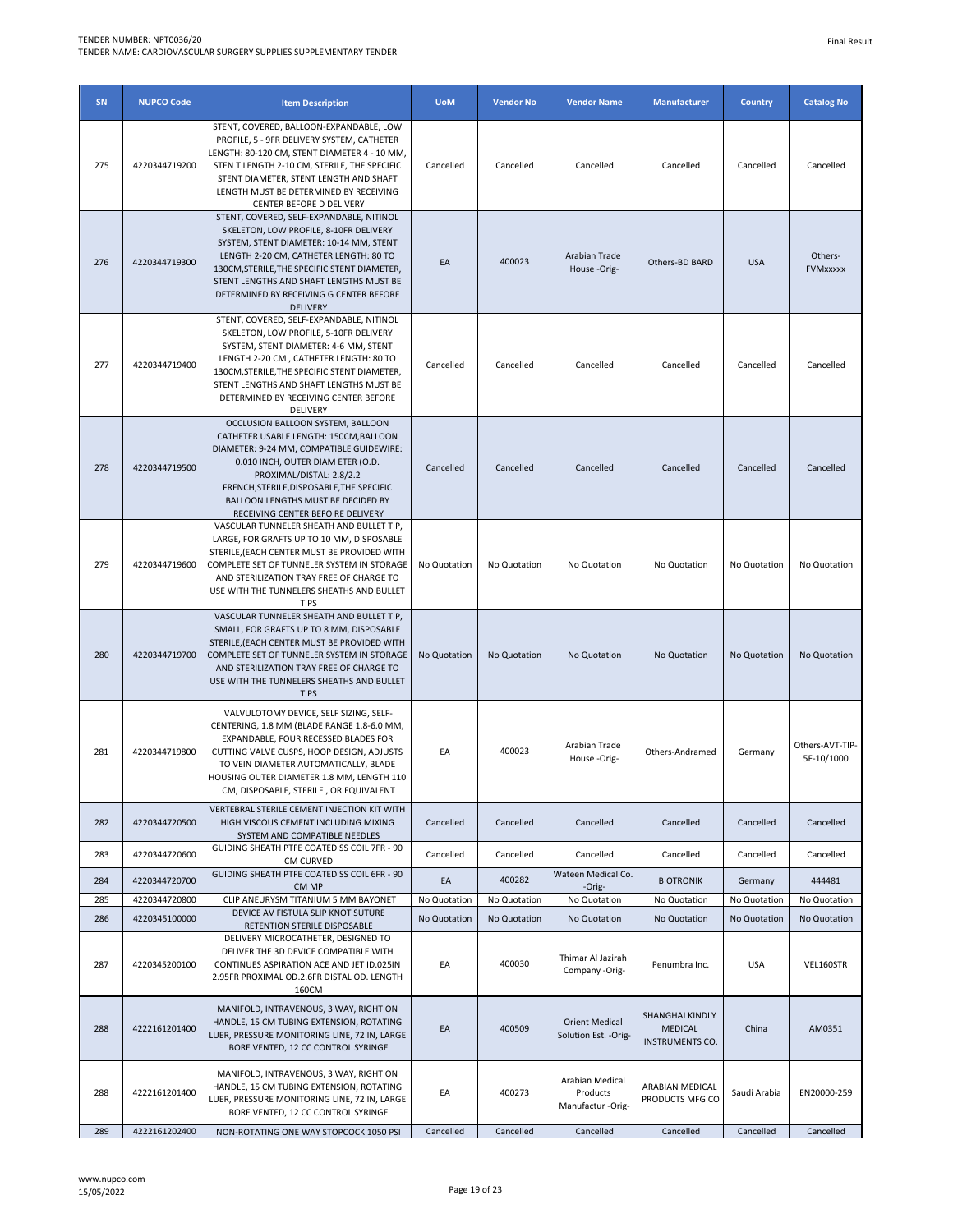| SN  | <b>NUPCO Code</b> | <b>Item Description</b>                                                                                                                                                                                                                                                                                                          | <b>UoM</b>   | <b>Vendor No</b> | <b>Vendor Name</b>                               | <b>Manufacturer</b>                                  | <b>Country</b> | <b>Catalog No</b>             |
|-----|-------------------|----------------------------------------------------------------------------------------------------------------------------------------------------------------------------------------------------------------------------------------------------------------------------------------------------------------------------------|--------------|------------------|--------------------------------------------------|------------------------------------------------------|----------------|-------------------------------|
| 275 | 4220344719200     | STENT, COVERED, BALLOON-EXPANDABLE, LOW<br>PROFILE, 5 - 9FR DELIVERY SYSTEM, CATHETER<br>LENGTH: 80-120 CM, STENT DIAMETER 4 - 10 MM,<br>STEN T LENGTH 2-10 CM, STERILE, THE SPECIFIC<br>STENT DIAMETER, STENT LENGTH AND SHAFT<br>LENGTH MUST BE DETERMINED BY RECEIVING<br>CENTER BEFORE D DELIVERY                            | Cancelled    | Cancelled        | Cancelled                                        | Cancelled                                            | Cancelled      | Cancelled                     |
| 276 | 4220344719300     | STENT, COVERED, SELF-EXPANDABLE, NITINOL<br>SKELETON, LOW PROFILE, 8-10FR DELIVERY<br>SYSTEM, STENT DIAMETER: 10-14 MM, STENT<br>LENGTH 2-20 CM, CATHETER LENGTH: 80 TO<br>130CM, STERILE, THE SPECIFIC STENT DIAMETER,<br>STENT LENGTHS AND SHAFT LENGTHS MUST BE<br>DETERMINED BY RECEIVING G CENTER BEFORE<br><b>DELIVERY</b> | EA           | 400023           | Arabian Trade<br>House-Orig-                     | Others-BD BARD                                       | <b>USA</b>     | Others-<br><b>FVMxxxxx</b>    |
| 277 | 4220344719400     | STENT, COVERED, SELF-EXPANDABLE, NITINOL<br>SKELETON, LOW PROFILE, 5-10FR DELIVERY<br>SYSTEM, STENT DIAMETER: 4-6 MM, STENT<br>LENGTH 2-20 CM, CATHETER LENGTH: 80 TO<br>130CM, STERILE, THE SPECIFIC STENT DIAMETER,<br>STENT LENGTHS AND SHAFT LENGTHS MUST BE<br>DETERMINED BY RECEIVING CENTER BEFORE<br>DELIVERY            | Cancelled    | Cancelled        | Cancelled                                        | Cancelled                                            | Cancelled      | Cancelled                     |
| 278 | 4220344719500     | OCCLUSION BALLOON SYSTEM, BALLOON<br>CATHETER USABLE LENGTH: 150CM, BALLOON<br>DIAMETER: 9-24 MM, COMPATIBLE GUIDEWIRE:<br>0.010 INCH, OUTER DIAM ETER (O.D.<br>PROXIMAL/DISTAL: 2.8/2.2<br>FRENCH, STERILE, DISPOSABLE, THE SPECIFIC<br>BALLOON LENGTHS MUST BE DECIDED BY<br>RECEIVING CENTER BEFO RE DELIVERY                 | Cancelled    | Cancelled        | Cancelled                                        | Cancelled                                            | Cancelled      | Cancelled                     |
| 279 | 4220344719600     | VASCULAR TUNNELER SHEATH AND BULLET TIP,<br>LARGE, FOR GRAFTS UP TO 10 MM, DISPOSABLE<br>STERILE, (EACH CENTER MUST BE PROVIDED WITH<br>COMPLETE SET OF TUNNELER SYSTEM IN STORAGE<br>AND STERILIZATION TRAY FREE OF CHARGE TO<br>USE WITH THE TUNNELERS SHEATHS AND BULLET<br><b>TIPS</b>                                       | No Quotation | No Quotation     | No Quotation                                     | No Quotation                                         | No Quotation   | No Quotation                  |
| 280 | 4220344719700     | VASCULAR TUNNELER SHEATH AND BULLET TIP,<br>SMALL, FOR GRAFTS UP TO 8 MM, DISPOSABLE<br>STERILE, (EACH CENTER MUST BE PROVIDED WITH<br>COMPLETE SET OF TUNNELER SYSTEM IN STORAGE<br>AND STERILIZATION TRAY FREE OF CHARGE TO<br>USE WITH THE TUNNELERS SHEATHS AND BULLET<br><b>TIPS</b>                                        | No Quotation | No Quotation     | No Quotation                                     | No Quotation                                         | No Quotation   | No Quotation                  |
| 281 | 4220344719800     | VALVULOTOMY DEVICE, SELF SIZING, SELF-<br>CENTERING, 1.8 MM (BLADE RANGE 1.8-6.0 MM,<br>EXPANDABLE, FOUR RECESSED BLADES FOR<br>CUTTING VALVE CUSPS, HOOP DESIGN, ADJUSTS<br>TO VEIN DIAMETER AUTOMATICALLY, BLADE<br>HOUSING OUTER DIAMETER 1.8 MM, LENGTH 110<br>CM, DISPOSABLE, STERILE, OR EQUIVALENT                        | EA           | 400023           | Arabian Trade<br>House -Orig-                    | Others-Andramed                                      | Germany        | Others-AVT-TIP-<br>5F-10/1000 |
| 282 | 4220344720500     | VERTEBRAL STERILE CEMENT INJECTION KIT WITH<br>HIGH VISCOUS CEMENT INCLUDING MIXING<br>SYSTEM AND COMPATIBLE NEEDLES                                                                                                                                                                                                             | Cancelled    | Cancelled        | Cancelled                                        | Cancelled                                            | Cancelled      | Cancelled                     |
| 283 | 4220344720600     | GUIDING SHEATH PTFE COATED SS COIL 7FR - 90<br>CM CURVED                                                                                                                                                                                                                                                                         | Cancelled    | Cancelled        | Cancelled                                        | Cancelled                                            | Cancelled      | Cancelled                     |
| 284 | 4220344720700     | GUIDING SHEATH PTFE COATED SS COIL 6FR - 90<br>CM MP                                                                                                                                                                                                                                                                             | EA           | 400282           | Wateen Medical Co.<br>-Orig-                     | <b>BIOTRONIK</b>                                     | Germany        | 444481                        |
| 285 | 4220344720800     | CLIP ANEURYSM TITANIUM 5 MM BAYONET                                                                                                                                                                                                                                                                                              | No Quotation | No Quotation     | No Quotation                                     | No Quotation                                         | No Quotation   | No Quotation                  |
| 286 | 4220345100000     | DEVICE AV FISTULA SLIP KNOT SUTURE<br>RETENTION STERILE DISPOSABLE                                                                                                                                                                                                                                                               | No Quotation | No Quotation     | No Quotation                                     | No Quotation                                         | No Quotation   | No Quotation                  |
| 287 | 4220345200100     | DELIVERY MICROCATHETER, DESIGNED TO<br>DELIVER THE 3D DEVICE COMPATIBLE WITH<br>CONTINUES ASPIRATION ACE AND JET ID.025IN<br>2.95FR PROXIMAL OD.2.6FR DISTAL OD. LENGTH<br>160CM                                                                                                                                                 | EA           | 400030           | Thimar Al Jazirah<br>Company -Orig-              | Penumbra Inc.                                        | <b>USA</b>     | VEL160STR                     |
| 288 | 4222161201400     | MANIFOLD, INTRAVENOUS, 3 WAY, RIGHT ON<br>HANDLE, 15 CM TUBING EXTENSION, ROTATING<br>LUER, PRESSURE MONITORING LINE, 72 IN, LARGE<br>BORE VENTED, 12 CC CONTROL SYRINGE                                                                                                                                                         | EA           | 400509           | <b>Orient Medical</b><br>Solution Est. - Orig-   | SHANGHAI KINDLY<br>MEDICAL<br><b>INSTRUMENTS CO.</b> | China          | AM0351                        |
| 288 | 4222161201400     | MANIFOLD, INTRAVENOUS, 3 WAY, RIGHT ON<br>HANDLE, 15 CM TUBING EXTENSION, ROTATING<br>LUER, PRESSURE MONITORING LINE, 72 IN, LARGE<br>BORE VENTED, 12 CC CONTROL SYRINGE                                                                                                                                                         | EA           | 400273           | Arabian Medical<br>Products<br>Manufactur -Orig- | ARABIAN MEDICAL<br>PRODUCTS MFG CO                   | Saudi Arabia   | EN20000-259                   |
| 289 | 4222161202400     | NON-ROTATING ONE WAY STOPCOCK 1050 PSI                                                                                                                                                                                                                                                                                           | Cancelled    | Cancelled        | Cancelled                                        | Cancelled                                            | Cancelled      | Cancelled                     |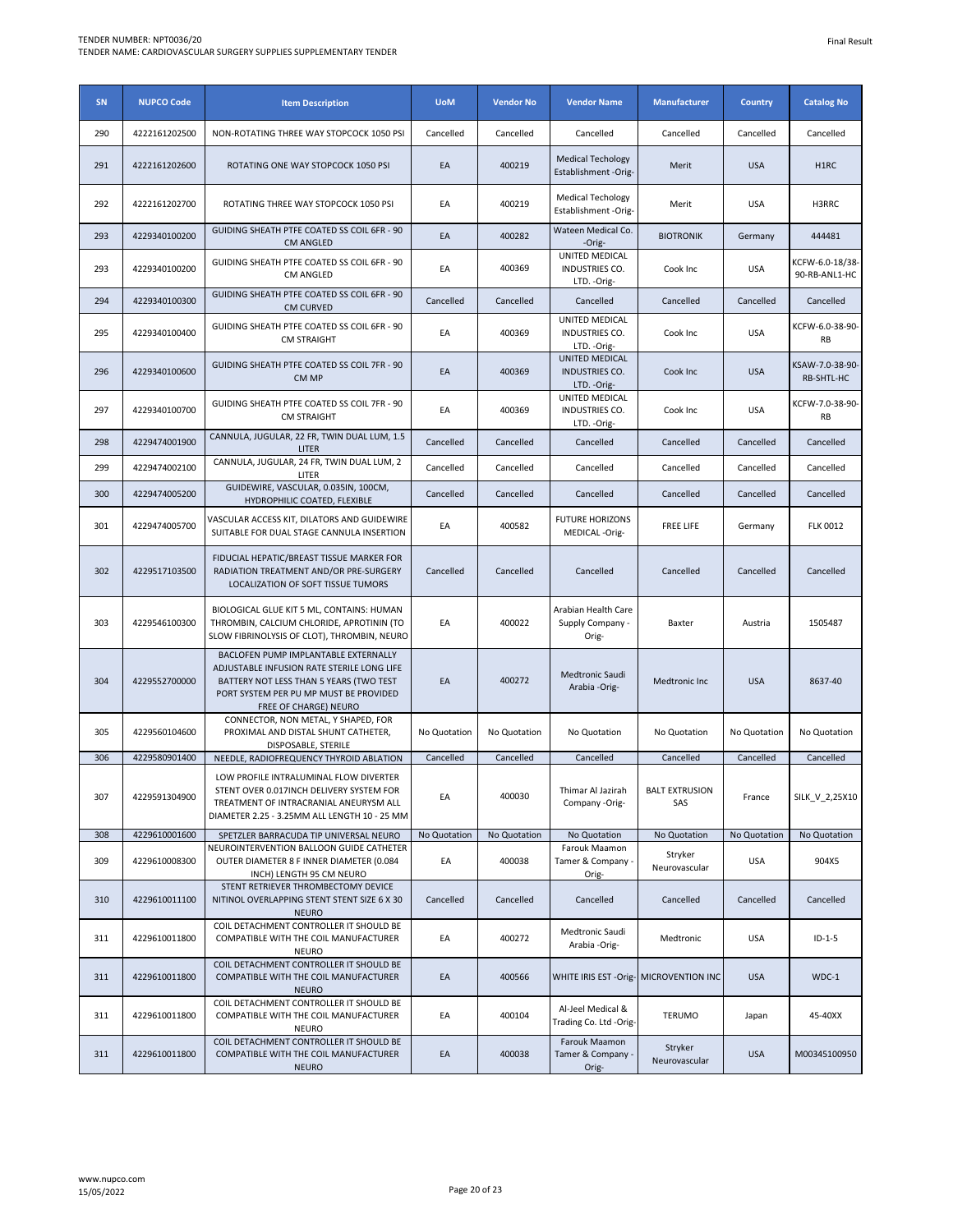| SN  | <b>NUPCO Code</b> | <b>Item Description</b>                                                                                                                                                                          | <b>UoM</b>   | <b>Vendor No</b> | <b>Vendor Name</b>                                      | <b>Manufacturer</b>          | <b>Country</b> | <b>Catalog No</b>                |
|-----|-------------------|--------------------------------------------------------------------------------------------------------------------------------------------------------------------------------------------------|--------------|------------------|---------------------------------------------------------|------------------------------|----------------|----------------------------------|
| 290 | 4222161202500     | NON-ROTATING THREE WAY STOPCOCK 1050 PSI                                                                                                                                                         | Cancelled    | Cancelled        | Cancelled                                               | Cancelled                    | Cancelled      | Cancelled                        |
| 291 | 4222161202600     | ROTATING ONE WAY STOPCOCK 1050 PSI                                                                                                                                                               | EA           | 400219           | <b>Medical Techology</b><br>Establishment -Orig-        | Merit                        | <b>USA</b>     | H1RC                             |
| 292 | 4222161202700     | ROTATING THREE WAY STOPCOCK 1050 PSI                                                                                                                                                             | EA           | 400219           | <b>Medical Techology</b><br>Establishment -Orig-        | Merit                        | <b>USA</b>     | H3RRC                            |
| 293 | 4229340100200     | GUIDING SHEATH PTFE COATED SS COIL 6FR - 90<br><b>CM ANGLED</b>                                                                                                                                  | EA           | 400282           | Wateen Medical Co.<br>-Orig-                            | <b>BIOTRONIK</b>             | Germany        | 444481                           |
| 293 | 4229340100200     | GUIDING SHEATH PTFE COATED SS COIL 6FR - 90<br>CM ANGLED                                                                                                                                         | EA           | 400369           | UNITED MEDICAL<br>INDUSTRIES CO.<br>LTD. - Orig-        | Cook Inc                     | <b>USA</b>     | KCFW-6.0-18/38-<br>90-RB-ANL1-HC |
| 294 | 4229340100300     | GUIDING SHEATH PTFE COATED SS COIL 6FR - 90<br><b>CM CURVED</b>                                                                                                                                  | Cancelled    | Cancelled        | Cancelled                                               | Cancelled                    | Cancelled      | Cancelled                        |
| 295 | 4229340100400     | GUIDING SHEATH PTFE COATED SS COIL 6FR - 90<br><b>CM STRAIGHT</b>                                                                                                                                | EA           | 400369           | UNITED MEDICAL<br>INDUSTRIES CO.<br>LTD. - Orig-        | Cook Inc                     | <b>USA</b>     | KCFW-6.0-38-90-<br><b>RB</b>     |
| 296 | 4229340100600     | GUIDING SHEATH PTFE COATED SS COIL 7FR - 90<br>CM MP                                                                                                                                             | EA           | 400369           | <b>UNITED MEDICAL</b><br>INDUSTRIES CO.<br>LTD. - Orig- | Cook Inc                     | <b>USA</b>     | KSAW-7.0-38-90-<br>RB-SHTL-HC    |
| 297 | 4229340100700     | GUIDING SHEATH PTFE COATED SS COIL 7FR - 90<br><b>CM STRAIGHT</b>                                                                                                                                | EA           | 400369           | <b>UNITED MEDICAL</b><br>INDUSTRIES CO.<br>LTD. - Orig- | Cook Inc                     | <b>USA</b>     | KCFW-7.0-38-90-<br><b>RB</b>     |
| 298 | 4229474001900     | CANNULA, JUGULAR, 22 FR, TWIN DUAL LUM, 1.5<br>LITER                                                                                                                                             | Cancelled    | Cancelled        | Cancelled                                               | Cancelled                    | Cancelled      | Cancelled                        |
| 299 | 4229474002100     | CANNULA, JUGULAR, 24 FR, TWIN DUAL LUM, 2<br>LITER                                                                                                                                               | Cancelled    | Cancelled        | Cancelled                                               | Cancelled                    | Cancelled      | Cancelled                        |
| 300 | 4229474005200     | GUIDEWIRE, VASCULAR, 0.035IN, 100CM,<br>HYDROPHILIC COATED, FLEXIBLE                                                                                                                             | Cancelled    | Cancelled        | Cancelled                                               | Cancelled                    | Cancelled      | Cancelled                        |
| 301 | 4229474005700     | VASCULAR ACCESS KIT, DILATORS AND GUIDEWIRE<br>SUITABLE FOR DUAL STAGE CANNULA INSERTION                                                                                                         | EA           | 400582           | <b>FUTURE HORIZONS</b><br>MEDICAL -Orig-                | <b>FREE LIFE</b>             | Germany        | <b>FLK 0012</b>                  |
| 302 | 4229517103500     | FIDUCIAL HEPATIC/BREAST TISSUE MARKER FOR<br>RADIATION TREATMENT AND/OR PRE-SURGERY<br>LOCALIZATION OF SOFT TISSUE TUMORS                                                                        | Cancelled    | Cancelled        | Cancelled                                               | Cancelled                    | Cancelled      | Cancelled                        |
| 303 | 4229546100300     | BIOLOGICAL GLUE KIT 5 ML, CONTAINS: HUMAN<br>THROMBIN, CALCIUM CHLORIDE, APROTININ (TO<br>SLOW FIBRINOLYSIS OF CLOT), THROMBIN, NEURO                                                            | EA           | 400022           | Arabian Health Care<br>Supply Company -<br>Orig-        | Baxter                       | Austria        | 1505487                          |
| 304 | 4229552700000     | BACLOFEN PUMP IMPLANTABLE EXTERNALLY<br>ADJUSTABLE INFUSION RATE STERILE LONG LIFE<br>BATTERY NOT LESS THAN 5 YEARS (TWO TEST<br>PORT SYSTEM PER PU MP MUST BE PROVIDED<br>FREE OF CHARGE) NEURO | EA           | 400272           | <b>Medtronic Saudi</b><br>Arabia -Orig-                 | Medtronic Inc                | <b>USA</b>     | 8637-40                          |
| 305 | 4229560104600     | CONNECTOR, NON METAL, Y SHAPED, FOR<br>PROXIMAL AND DISTAL SHUNT CATHETER,<br>DISPOSABLE, STERILE                                                                                                | No Quotation | No Quotation     | No Quotation                                            | No Quotation                 | No Quotation   | No Quotation                     |
| 306 | 4229580901400     | NEEDLE, RADIOFREQUENCY THYROID ABLATION                                                                                                                                                          | Cancelled    | Cancelled        | Cancelled                                               | Cancelled                    | Cancelled      | Cancelled                        |
| 307 | 4229591304900     | LOW PROFILE INTRALUMINAL FLOW DIVERTER<br>STENT OVER 0.017INCH DELIVERY SYSTEM FOR<br>TREATMENT OF INTRACRANIAL ANEURYSM ALL<br>DIAMETER 2.25 - 3.25MM ALL LENGTH 10 - 25 MM                     | EA           | 400030           | Thimar Al Jazirah<br>Company -Orig-                     | <b>BALT EXTRUSION</b><br>SAS | France         | SILK_V_2,25X10                   |
| 308 | 4229610001600     | SPETZLER BARRACUDA TIP UNIVERSAL NEURO                                                                                                                                                           | No Quotation | No Quotation     | No Quotation                                            | No Quotation                 | No Quotation   | No Quotation                     |
| 309 | 4229610008300     | NEUROINTERVENTION BALLOON GUIDE CATHETER<br>OUTER DIAMETER 8 F INNER DIAMETER (0.084<br>INCH) LENGTH 95 CM NEURO                                                                                 | EA           | 400038           | Farouk Maamon<br>Tamer & Company -<br>Orig-             | Stryker<br>Neurovascular     | <b>USA</b>     | 904X5                            |
| 310 | 4229610011100     | STENT RETRIEVER THROMBECTOMY DEVICE<br>NITINOL OVERLAPPING STENT STENT SIZE 6 X 30<br><b>NEURO</b>                                                                                               | Cancelled    | Cancelled        | Cancelled                                               | Cancelled                    | Cancelled      | Cancelled                        |
| 311 | 4229610011800     | COIL DETACHMENT CONTROLLER IT SHOULD BE<br>COMPATIBLE WITH THE COIL MANUFACTURER<br><b>NEURO</b>                                                                                                 | EA           | 400272           | Medtronic Saudi<br>Arabia -Orig-                        | Medtronic                    | <b>USA</b>     | $ID-1-5$                         |
| 311 | 4229610011800     | COIL DETACHMENT CONTROLLER IT SHOULD BE<br>COMPATIBLE WITH THE COIL MANUFACTURER<br><b>NEURO</b>                                                                                                 | EA           | 400566           | WHITE IRIS EST - Orig- MICROVENTION INC                 |                              | <b>USA</b>     | $WDC-1$                          |
| 311 | 4229610011800     | COIL DETACHMENT CONTROLLER IT SHOULD BE<br>COMPATIBLE WITH THE COIL MANUFACTURER<br><b>NEURO</b>                                                                                                 | EA           | 400104           | Al-Jeel Medical &<br>Trading Co. Ltd -Orig-             | <b>TERUMO</b>                | Japan          | 45-40XX                          |
| 311 | 4229610011800     | COIL DETACHMENT CONTROLLER IT SHOULD BE<br>COMPATIBLE WITH THE COIL MANUFACTURER<br><b>NEURO</b>                                                                                                 | EA           | 400038           | Farouk Maamon<br>Tamer & Company -<br>Orig-             | Stryker<br>Neurovascular     | <b>USA</b>     | M00345100950                     |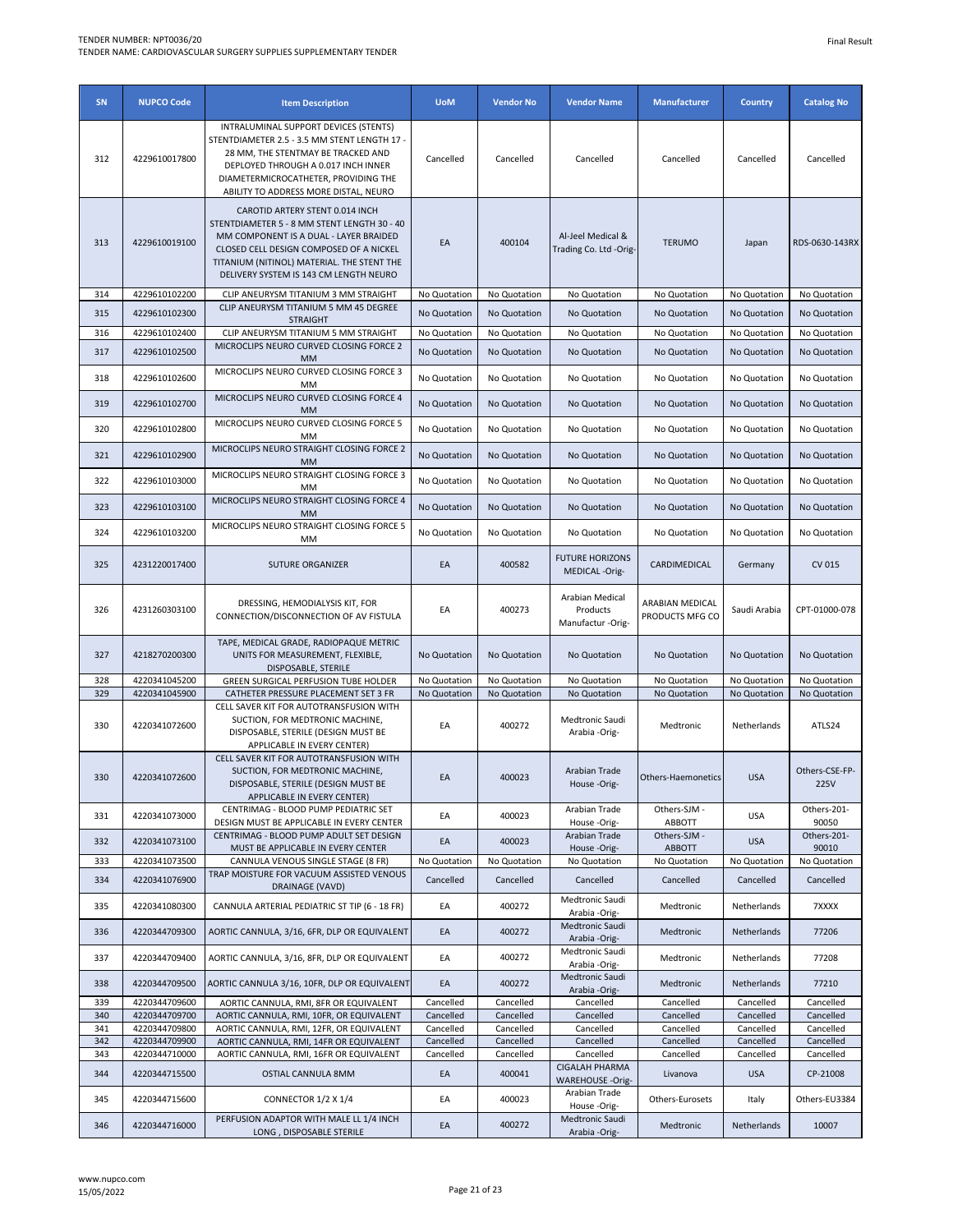| SN         | <b>NUPCO Code</b>              | <b>Item Description</b>                                                                                                                                                                                                                                     | <b>UoM</b>             | <b>Vendor No</b>       | <b>Vendor Name</b>                                  | <b>Manufacturer</b>                | Country                     | <b>Catalog No</b>      |
|------------|--------------------------------|-------------------------------------------------------------------------------------------------------------------------------------------------------------------------------------------------------------------------------------------------------------|------------------------|------------------------|-----------------------------------------------------|------------------------------------|-----------------------------|------------------------|
| 312        | 4229610017800                  | INTRALUMINAL SUPPORT DEVICES (STENTS)<br>STENTDIAMETER 2.5 - 3.5 MM STENT LENGTH 17 -<br>28 MM, THE STENTMAY BE TRACKED AND<br>DEPLOYED THROUGH A 0.017 INCH INNER<br>DIAMETERMICROCATHETER, PROVIDING THE<br>ABILITY TO ADDRESS MORE DISTAL, NEURO         | Cancelled              | Cancelled              | Cancelled                                           | Cancelled                          | Cancelled                   | Cancelled              |
| 313        | 4229610019100                  | CAROTID ARTERY STENT 0.014 INCH<br>STENTDIAMETER 5 - 8 MM STENT LENGTH 30 - 40<br>MM COMPONENT IS A DUAL - LAYER BRAIDED<br>CLOSED CELL DESIGN COMPOSED OF A NICKEL<br>TITANIUM (NITINOL) MATERIAL. THE STENT THE<br>DELIVERY SYSTEM IS 143 CM LENGTH NEURO | EA                     | 400104                 | Al-Jeel Medical &<br>Trading Co. Ltd -Orig-         | <b>TERUMO</b>                      | Japan                       | RDS-0630-143RX         |
| 314        | 4229610102200                  | CLIP ANEURYSM TITANIUM 3 MM STRAIGHT                                                                                                                                                                                                                        | No Quotation           | No Quotation           | No Quotation                                        | No Quotation                       | No Quotation                | No Quotation           |
| 315        | 4229610102300                  | CLIP ANEURYSM TITANIUM 5 MM 45 DEGREE<br><b>STRAIGHT</b>                                                                                                                                                                                                    | No Quotation           | No Quotation           | No Quotation                                        | No Quotation                       | No Quotation                | No Quotation           |
| 316        | 4229610102400                  | CLIP ANEURYSM TITANIUM 5 MM STRAIGHT                                                                                                                                                                                                                        | No Quotation           | No Quotation           | No Quotation                                        | No Quotation                       | No Quotation                | No Quotation           |
| 317        | 4229610102500                  | MICROCLIPS NEURO CURVED CLOSING FORCE 2<br>MM                                                                                                                                                                                                               | No Quotation           | No Quotation           | No Quotation                                        | No Quotation                       | No Quotation                | No Quotation           |
| 318        | 4229610102600                  | MICROCLIPS NEURO CURVED CLOSING FORCE 3<br>MM                                                                                                                                                                                                               | No Quotation           | No Quotation           | No Quotation                                        | No Quotation                       | No Quotation                | No Quotation           |
| 319        | 4229610102700                  | MICROCLIPS NEURO CURVED CLOSING FORCE 4<br>MМ                                                                                                                                                                                                               | No Quotation           | No Quotation           | No Quotation                                        | No Quotation                       | No Quotation                | No Quotation           |
| 320        | 4229610102800                  | MICROCLIPS NEURO CURVED CLOSING FORCE 5<br>MM                                                                                                                                                                                                               | No Quotation           | No Quotation           | No Quotation                                        | No Quotation                       | No Quotation                | No Quotation           |
| 321        | 4229610102900                  | MICROCLIPS NEURO STRAIGHT CLOSING FORCE 2<br>МM                                                                                                                                                                                                             | No Quotation           | No Quotation           | No Quotation                                        | No Quotation                       | No Quotation                | No Quotation           |
| 322        | 4229610103000                  | MICROCLIPS NEURO STRAIGHT CLOSING FORCE 3<br>MM                                                                                                                                                                                                             | No Quotation           | No Quotation           | No Quotation                                        | No Quotation                       | No Quotation                | No Quotation           |
| 323        | 4229610103100                  | MICROCLIPS NEURO STRAIGHT CLOSING FORCE 4<br><b>MM</b>                                                                                                                                                                                                      | No Quotation           | No Quotation           | No Quotation                                        | No Quotation                       | No Quotation                | No Quotation           |
| 324        | 4229610103200                  | MICROCLIPS NEURO STRAIGHT CLOSING FORCE 5<br>MМ                                                                                                                                                                                                             | No Quotation           | No Quotation           | No Quotation                                        | No Quotation                       | No Quotation                | No Quotation           |
| 325        | 4231220017400                  | <b>SUTURE ORGANIZER</b>                                                                                                                                                                                                                                     | EA                     | 400582                 | <b>FUTURE HORIZONS</b><br>MEDICAL -Orig-            | CARDIMEDICAL                       | Germany                     | CV 015                 |
| 326        | 4231260303100                  | DRESSING, HEMODIALYSIS KIT, FOR<br>CONNECTION/DISCONNECTION OF AV FISTULA                                                                                                                                                                                   | EA                     | 400273                 | Arabian Medical<br>Products<br>Manufactur -Orig-    | ARABIAN MEDICAL<br>PRODUCTS MFG CO | Saudi Arabia                | CPT-01000-078          |
| 327        | 4218270200300                  | TAPE, MEDICAL GRADE, RADIOPAQUE METRIC<br>UNITS FOR MEASUREMENT, FLEXIBLE,<br>DISPOSABLE, STERILE                                                                                                                                                           | No Quotation           | No Quotation           | No Quotation                                        | No Quotation                       | No Quotation                | No Quotation           |
| 328        | 4220341045200                  | GREEN SURGICAL PERFUSION TUBE HOLDER                                                                                                                                                                                                                        | No Quotation           | No Quotation           | No Quotation                                        | No Quotation                       | No Quotation                | No Quotation           |
| 329<br>330 | 4220341045900<br>4220341072600 | CATHETER PRESSURE PLACEMENT SET 3 FR<br>CELL SAVER KIT FOR AUTOTRANSFUSION WITH<br>SUCTION, FOR MEDTRONIC MACHINE,<br>DISPOSABLE, STERILE (DESIGN MUST BE<br>APPLICABLE IN EVERY CENTER)                                                                    | No Quotation<br>EA     | No Quotation<br>400272 | No Quotation<br>Medtronic Saudi<br>Arabia -Orig-    | No Quotation<br>Medtronic          | No Quotation<br>Netherlands | No Quotation<br>ATLS24 |
| 330        | 4220341072600                  | CELL SAVER KIT FOR AUTOTRANSFUSION WITH<br>SUCTION, FOR MEDTRONIC MACHINE,<br>DISPOSABLE, STERILE (DESIGN MUST BE<br>APPLICABLE IN EVERY CENTER)                                                                                                            | EA                     | 400023                 | Arabian Trade<br>House-Orig-                        | Others-Haemonetics                 | <b>USA</b>                  | Others-CSE-FP-<br>225V |
| 331        | 4220341073000                  | CENTRIMAG - BLOOD PUMP PEDIATRIC SET<br>DESIGN MUST BE APPLICABLE IN EVERY CENTER                                                                                                                                                                           | EA                     | 400023                 | Arabian Trade<br>House-Orig-                        | Others-SJM -<br>ABBOTT             | <b>USA</b>                  | Others-201-<br>90050   |
| 332        | 4220341073100                  | CENTRIMAG - BLOOD PUMP ADULT SET DESIGN<br>MUST BE APPLICABLE IN EVERY CENTER                                                                                                                                                                               | EA                     | 400023                 | Arabian Trade<br>House-Orig-                        | Others-SJM -<br><b>ABBOTT</b>      | <b>USA</b>                  | Others-201-<br>90010   |
| 333        | 4220341073500                  | CANNULA VENOUS SINGLE STAGE (8 FR)                                                                                                                                                                                                                          | No Quotation           | No Quotation           | No Quotation                                        | No Quotation                       | No Quotation                | No Quotation           |
| 334        | 4220341076900                  | TRAP MOISTURE FOR VACUUM ASSISTED VENOUS<br>DRAINAGE (VAVD)                                                                                                                                                                                                 | Cancelled              | Cancelled              | Cancelled                                           | Cancelled                          | Cancelled                   | Cancelled              |
| 335        | 4220341080300                  | CANNULA ARTERIAL PEDIATRIC ST TIP (6 - 18 FR)                                                                                                                                                                                                               | EA                     | 400272                 | Medtronic Saudi<br>Arabia -Orig-                    | Medtronic                          | Netherlands                 | 7XXXX                  |
| 336        | 4220344709300                  | AORTIC CANNULA, 3/16, 6FR, DLP OR EQUIVALENT                                                                                                                                                                                                                | EA                     | 400272                 | Medtronic Saudi<br>Arabia -Orig-                    | Medtronic                          | Netherlands                 | 77206                  |
| 337        | 4220344709400                  | AORTIC CANNULA, 3/16, 8FR, DLP OR EQUIVALENT                                                                                                                                                                                                                | EA                     | 400272                 | Medtronic Saudi<br>Arabia -Orig-<br>Medtronic Saudi | Medtronic                          | Netherlands                 | 77208                  |
| 338<br>339 | 4220344709500<br>4220344709600 | AORTIC CANNULA 3/16, 10FR, DLP OR EQUIVALENT                                                                                                                                                                                                                | EA                     | 400272<br>Cancelled    | Arabia -Orig-                                       | Medtronic<br>Cancelled             | Netherlands<br>Cancelled    | 77210<br>Cancelled     |
| 340        | 4220344709700                  | AORTIC CANNULA, RMI, 8FR OR EQUIVALENT<br>AORTIC CANNULA, RMI, 10FR, OR EQUIVALENT                                                                                                                                                                          | Cancelled<br>Cancelled | Cancelled              | Cancelled<br>Cancelled                              | Cancelled                          | Cancelled                   | Cancelled              |
| 341        | 4220344709800                  | AORTIC CANNULA, RMI, 12FR, OR EQUIVALENT                                                                                                                                                                                                                    | Cancelled              | Cancelled              | Cancelled                                           | Cancelled                          | Cancelled                   | Cancelled              |
| 342        | 4220344709900                  | AORTIC CANNULA, RMI, 14FR OR EQUIVALENT                                                                                                                                                                                                                     | Cancelled              | Cancelled              | Cancelled                                           | Cancelled                          | Cancelled                   | Cancelled              |
| 343<br>344 | 4220344710000<br>4220344715500 | AORTIC CANNULA, RMI, 16FR OR EQUIVALENT<br>OSTIAL CANNULA 8MM                                                                                                                                                                                               | Cancelled<br>EA        | Cancelled<br>400041    | Cancelled<br><b>CIGALAH PHARMA</b>                  | Cancelled<br>Livanova              | Cancelled<br><b>USA</b>     | Cancelled<br>CP-21008  |
| 345        | 4220344715600                  | CONNECTOR 1/2 X 1/4                                                                                                                                                                                                                                         | EA                     | 400023                 | <b>WAREHOUSE -Orig-</b><br>Arabian Trade            | Others-Eurosets                    | Italy                       | Others-EU3384          |
| 346        | 4220344716000                  | PERFUSION ADAPTOR WITH MALE LL 1/4 INCH<br>LONG, DISPOSABLE STERILE                                                                                                                                                                                         | EA                     | 400272                 | House -Orig-<br>Medtronic Saudi<br>Arabia -Orig-    | Medtronic                          | Netherlands                 | 10007                  |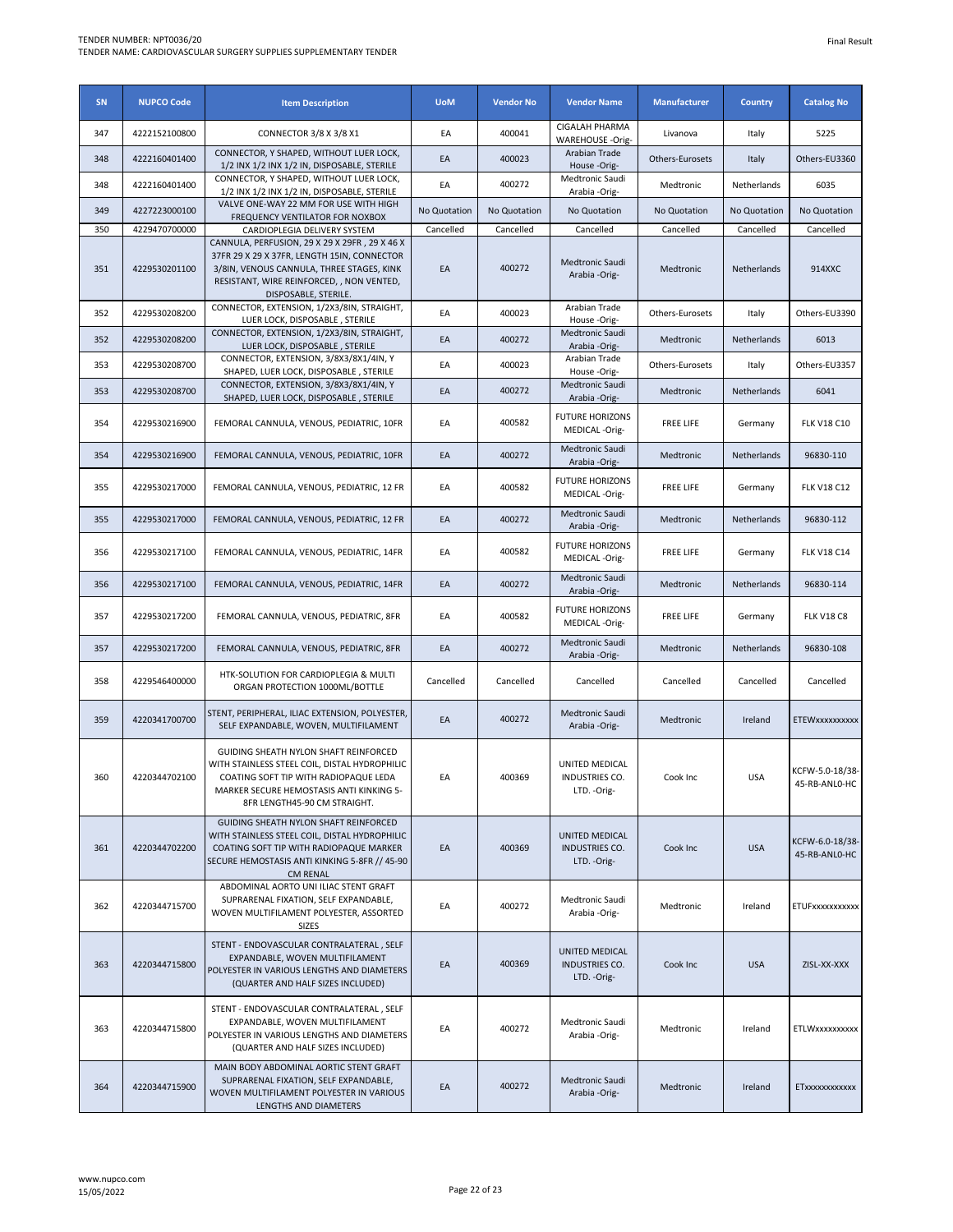| SN  | <b>NUPCO Code</b> | <b>Item Description</b>                                                                                                                                                                                        | <b>UoM</b>   | <b>Vendor No</b> | <b>Vendor Name</b>                                      | <b>Manufacturer</b> | <b>Country</b> | <b>Catalog No</b>                |
|-----|-------------------|----------------------------------------------------------------------------------------------------------------------------------------------------------------------------------------------------------------|--------------|------------------|---------------------------------------------------------|---------------------|----------------|----------------------------------|
| 347 | 4222152100800     | CONNECTOR 3/8 X 3/8 X1                                                                                                                                                                                         | EA           | 400041           | <b>CIGALAH PHARMA</b><br><b>WAREHOUSE -Orig-</b>        | Livanova            | Italy          | 5225                             |
| 348 | 4222160401400     | CONNECTOR, Y SHAPED, WITHOUT LUER LOCK,<br>1/2 INX 1/2 INX 1/2 IN, DISPOSABLE, STERILE                                                                                                                         | EA           | 400023           | Arabian Trade<br>House -Orig-                           | Others-Eurosets     | Italy          | Others-EU3360                    |
| 348 | 4222160401400     | CONNECTOR, Y SHAPED, WITHOUT LUER LOCK,<br>1/2 INX 1/2 INX 1/2 IN, DISPOSABLE, STERILE                                                                                                                         | EA           | 400272           | Medtronic Saudi<br>Arabia -Orig-                        | Medtronic           | Netherlands    | 6035                             |
| 349 | 4227223000100     | VALVE ONE-WAY 22 MM FOR USE WITH HIGH<br>FREQUENCY VENTILATOR FOR NOXBOX                                                                                                                                       | No Quotation | No Quotation     | No Quotation                                            | No Quotation        | No Quotation   | No Quotation                     |
| 350 | 4229470700000     | CARDIOPLEGIA DELIVERY SYSTEM                                                                                                                                                                                   | Cancelled    | Cancelled        | Cancelled                                               | Cancelled           | Cancelled      | Cancelled                        |
| 351 | 4229530201100     | CANNULA, PERFUSION, 29 X 29 X 29FR, 29 X 46 X<br>37FR 29 X 29 X 37FR, LENGTH 15IN, CONNECTOR<br>3/8IN, VENOUS CANNULA, THREE STAGES, KINK<br>RESISTANT, WIRE REINFORCED, , NON VENTED,<br>DISPOSABLE, STERILE. | EA           | 400272           | Medtronic Saudi<br>Arabia -Orig-                        | Medtronic           | Netherlands    | 914XXC                           |
| 352 | 4229530208200     | CONNECTOR, EXTENSION, 1/2X3/8IN, STRAIGHT,<br>LUER LOCK, DISPOSABLE, STERILE                                                                                                                                   | EA           | 400023           | Arabian Trade<br>House -Orig-                           | Others-Eurosets     | Italy          | Others-EU3390                    |
| 352 | 4229530208200     | CONNECTOR, EXTENSION, 1/2X3/8IN, STRAIGHT,<br>LUER LOCK, DISPOSABLE, STERILE                                                                                                                                   | EA           | 400272           | Medtronic Saudi<br>Arabia -Orig-                        | Medtronic           | Netherlands    | 6013                             |
| 353 | 4229530208700     | CONNECTOR, EXTENSION, 3/8X3/8X1/4IN, Y<br>SHAPED, LUER LOCK, DISPOSABLE, STERILE                                                                                                                               | EA           | 400023           | Arabian Trade<br>House -Orig-                           | Others-Eurosets     | Italy          | Others-EU3357                    |
| 353 | 4229530208700     | CONNECTOR, EXTENSION, 3/8X3/8X1/4IN, Y<br>SHAPED, LUER LOCK, DISPOSABLE, STERILE                                                                                                                               | EA           | 400272           | Medtronic Saudi<br>Arabia -Orig-                        | Medtronic           | Netherlands    | 6041                             |
| 354 | 4229530216900     | FEMORAL CANNULA, VENOUS, PEDIATRIC, 10FR                                                                                                                                                                       | EA           | 400582           | <b>FUTURE HORIZONS</b><br>MEDICAL -Orig-                | <b>FREE LIFE</b>    | Germany        | <b>FLK V18 C10</b>               |
| 354 | 4229530216900     | FEMORAL CANNULA, VENOUS, PEDIATRIC, 10FR                                                                                                                                                                       | EA           | 400272           | Medtronic Saudi<br>Arabia -Orig-                        | Medtronic           | Netherlands    | 96830-110                        |
| 355 | 4229530217000     | FEMORAL CANNULA, VENOUS, PEDIATRIC, 12 FR                                                                                                                                                                      | EA           | 400582           | <b>FUTURE HORIZONS</b><br>MEDICAL -Orig-                | <b>FREE LIFE</b>    | Germany        | <b>FLK V18 C12</b>               |
| 355 | 4229530217000     | FEMORAL CANNULA, VENOUS, PEDIATRIC, 12 FR                                                                                                                                                                      | EA           | 400272           | Medtronic Saudi<br>Arabia -Orig-                        | Medtronic           | Netherlands    | 96830-112                        |
| 356 | 4229530217100     | FEMORAL CANNULA, VENOUS, PEDIATRIC, 14FR                                                                                                                                                                       | EA           | 400582           | <b>FUTURE HORIZONS</b><br>MEDICAL -Orig-                | <b>FREE LIFE</b>    | Germany        | <b>FLK V18 C14</b>               |
| 356 | 4229530217100     | FEMORAL CANNULA, VENOUS, PEDIATRIC, 14FR                                                                                                                                                                       | EA           | 400272           | Medtronic Saudi<br>Arabia -Orig-                        | Medtronic           | Netherlands    | 96830-114                        |
| 357 | 4229530217200     | FEMORAL CANNULA, VENOUS, PEDIATRIC, 8FR                                                                                                                                                                        | EA           | 400582           | <b>FUTURE HORIZONS</b><br>MEDICAL -Orig-                | <b>FREE LIFE</b>    | Germany        | <b>FLK V18 C8</b>                |
| 357 | 4229530217200     | FEMORAL CANNULA, VENOUS, PEDIATRIC, 8FR                                                                                                                                                                        | EA           | 400272           | Medtronic Saudi<br>Arabia -Orig-                        | Medtronic           | Netherlands    | 96830-108                        |
| 358 | 4229546400000     | HTK-SOLUTION FOR CARDIOPLEGIA & MULTI<br>ORGAN PROTECTION 1000ML/BOTTLE                                                                                                                                        | Cancelled    | Cancelled        | Cancelled                                               | Cancelled           | Cancelled      | Cancelled                        |
| 359 | 4220341700700     | STENT, PERIPHERAL, ILIAC EXTENSION, POLYESTER,<br>SELF EXPANDABLE, WOVEN, MULTIFILAMENT                                                                                                                        | EA           | 400272           | Medtronic Saudi<br>Arabia -Orig-                        | Medtronic           | Ireland        | <b>ETEW</b> x x x x x x x x x x  |
| 360 | 4220344702100     | GUIDING SHEATH NYLON SHAFT REINFORCED<br>WITH STAINLESS STEEL COIL, DISTAL HYDROPHILIC<br>COATING SOFT TIP WITH RADIOPAQUE LEDA<br>MARKER SECURE HEMOSTASIS ANTI KINKING 5-<br>8FR LENGTH45-90 CM STRAIGHT.    | EA           | 400369           | UNITED MEDICAL<br>INDUSTRIES CO.<br>LTD. - Orig-        | Cook Inc            | <b>USA</b>     | KCFW-5.0-18/38-<br>45-RB-ANL0-HC |
| 361 | 4220344702200     | GUIDING SHEATH NYLON SHAFT REINFORCED<br>WITH STAINLESS STEEL COIL, DISTAL HYDROPHILIC<br>COATING SOFT TIP WITH RADIOPAQUE MARKER<br>SECURE HEMOSTASIS ANTI KINKING 5-8FR // 45-90<br><b>CM RENAL</b>          | EA           | 400369           | UNITED MEDICAL<br>INDUSTRIES CO.<br>LTD. - Orig-        | Cook Inc            | <b>USA</b>     | KCFW-6.0-18/38-<br>45-RB-ANLO-HC |
| 362 | 4220344715700     | ABDOMINAL AORTO UNI ILIAC STENT GRAFT<br>SUPRARENAL FIXATION, SELF EXPANDABLE,<br>WOVEN MULTIFILAMENT POLYESTER, ASSORTED<br><b>SIZES</b>                                                                      | EA           | 400272           | Medtronic Saudi<br>Arabia -Orig-                        | Medtronic           | Ireland        | ETUFxxxxxxxxxxx                  |
| 363 | 4220344715800     | STENT - ENDOVASCULAR CONTRALATERAL, SELF<br>EXPANDABLE, WOVEN MULTIFILAMENT<br>POLYESTER IN VARIOUS LENGTHS AND DIAMETERS<br>(QUARTER AND HALF SIZES INCLUDED)                                                 | EA           | 400369           | UNITED MEDICAL<br><b>INDUSTRIES CO.</b><br>LTD. - Orig- | Cook Inc            | <b>USA</b>     | ZISL-XX-XXX                      |
| 363 | 4220344715800     | STENT - ENDOVASCULAR CONTRALATERAL, SELF<br>EXPANDABLE, WOVEN MULTIFILAMENT<br>POLYESTER IN VARIOUS LENGTHS AND DIAMETERS<br>(QUARTER AND HALF SIZES INCLUDED)                                                 | EA           | 400272           | Medtronic Saudi<br>Arabia -Orig-                        | Medtronic           | Ireland        | ETLWxxxxxxxxxx                   |
| 364 | 4220344715900     | MAIN BODY ABDOMINAL AORTIC STENT GRAFT<br>SUPRARENAL FIXATION, SELF EXPANDABLE,<br>WOVEN MULTIFILAMENT POLYESTER IN VARIOUS<br>LENGTHS AND DIAMETERS                                                           | EA           | 400272           | Medtronic Saudi<br>Arabia -Orig-                        | Medtronic           | Ireland        | ETxxxxxxxxxxxx                   |